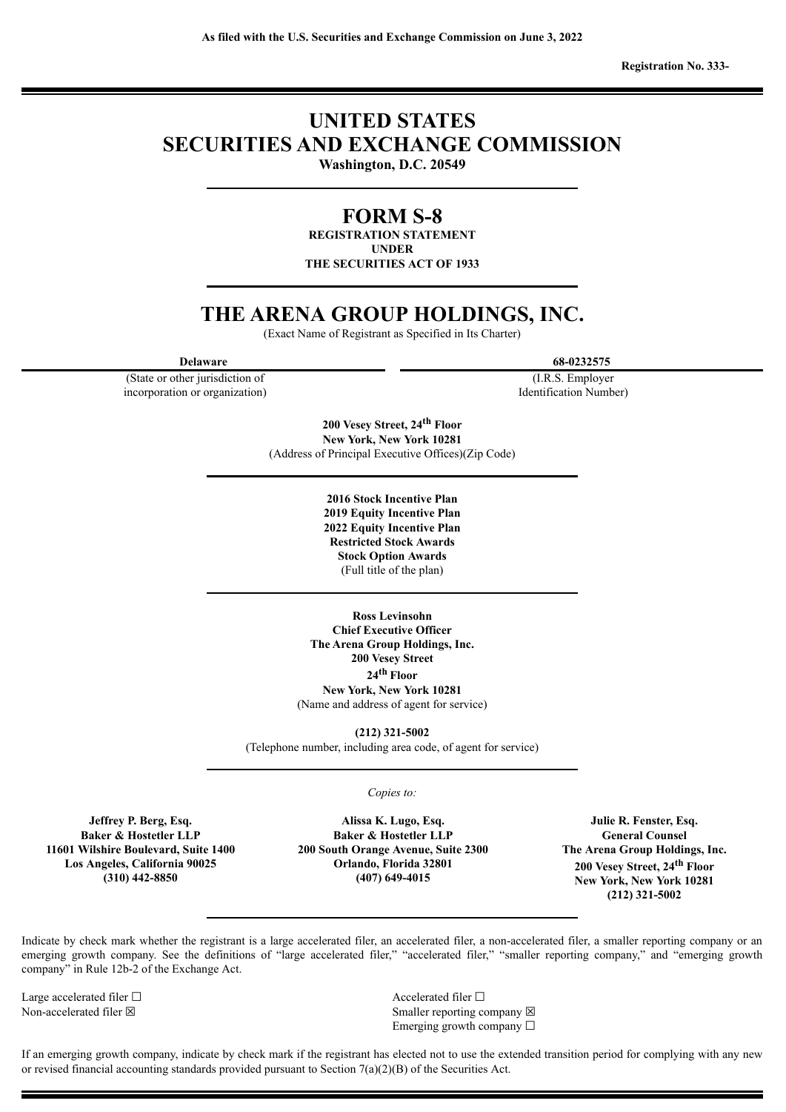**Registration No. 333-**

# **UNITED STATES SECURITIES AND EXCHANGE COMMISSION**

**Washington, D.C. 20549**

# **FORM S-8**

**REGISTRATION STATEMENT UNDER THE SECURITIES ACT OF 1933**

# **THE ARENA GROUP HOLDINGS, INC.**

(Exact Name of Registrant as Specified in Its Charter)

(State or other jurisdiction of incorporation or organization)

**Delaware 68-0232575**

(I.R.S. Employer Identification Number)

**200 Vesey Street, 24 th Floor New York, New York 10281** (Address of Principal Executive Offices)(Zip Code)

> **2016 Stock Incentive Plan 2019 Equity Incentive Plan 2022 Equity Incentive Plan Restricted Stock Awards Stock Option Awards** (Full title of the plan)

**Ross Levinsohn Chief Executive Officer The Arena Group Holdings, Inc. 200 Vesey Street 24 th Floor New York, New York 10281** (Name and address of agent for service)

**(212) 321-5002** (Telephone number, including area code, of agent for service)

*Copies to:*

**Jeffrey P. Berg, Esq. Baker & Hostetler LLP 11601 Wilshire Boulevard, Suite 1400 Los Angeles, California 90025 (310) 442-8850**

**Alissa K. Lugo, Esq. Baker & Hostetler LLP 200 South Orange Avenue, Suite 2300 Orlando, Florida 32801 (407) 649-4015**

**Julie R. Fenster, Esq. General Counsel The Arena Group Holdings, Inc. 200 Vesey Street, 24 th Floor New York, New York 10281 (212) 321-5002**

Indicate by check mark whether the registrant is a large accelerated filer, an accelerated filer, a non-accelerated filer, a smaller reporting company or an emerging growth company. See the definitions of "large accelerated filer," "accelerated filer," "smaller reporting company," and "emerging growth company" in Rule 12b-2 of the Exchange Act.

Large accelerated filer □ and settled filer □ and accelerated filer □

Non-accelerated filer ⊠ Smaller reporting company ⊠ Emerging growth company  $\Box$ 

If an emerging growth company, indicate by check mark if the registrant has elected not to use the extended transition period for complying with any new or revised financial accounting standards provided pursuant to Section 7(a)(2)(B) of the Securities Act.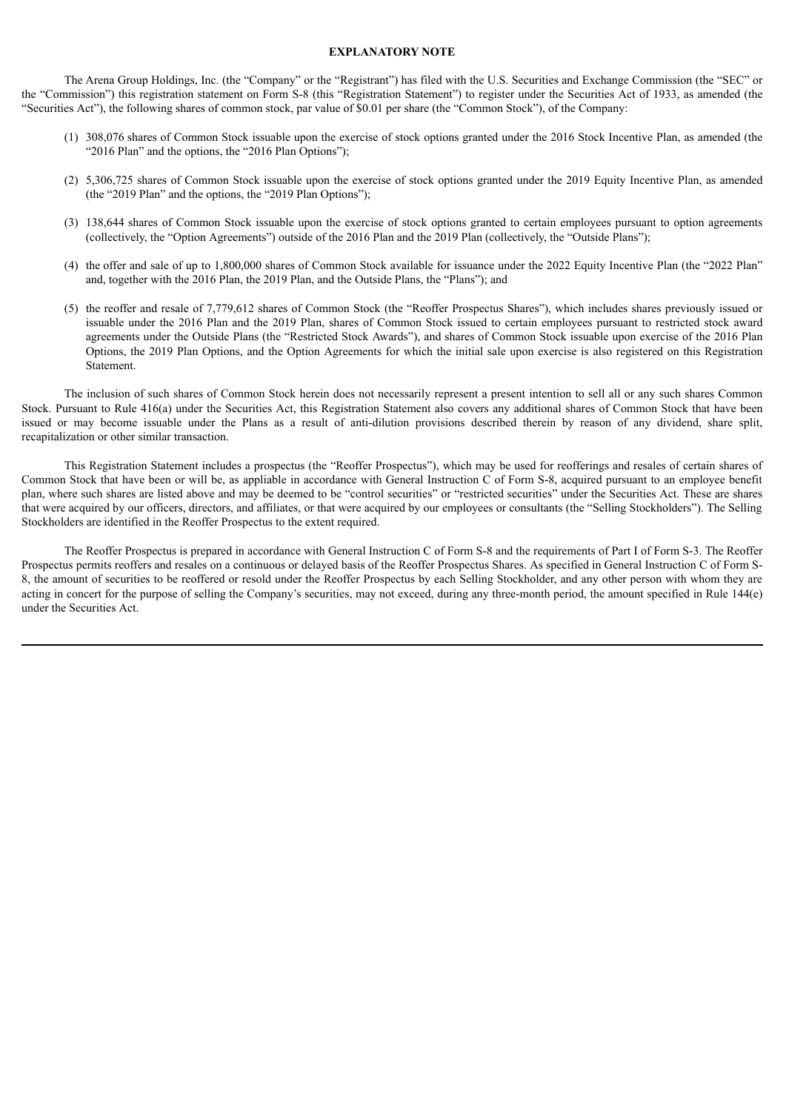#### **EXPLANATORY NOTE**

The Arena Group Holdings, Inc. (the "Company" or the "Registrant") has filed with the U.S. Securities and Exchange Commission (the "SEC" or the "Commission") this registration statement on Form S-8 (this "Registration Statement") to register under the Securities Act of 1933, as amended (the "Securities Act"), the following shares of common stock, par value of \$0.01 per share (the "Common Stock"), of the Company:

- (1) 308,076 shares of Common Stock issuable upon the exercise of stock options granted under the 2016 Stock Incentive Plan, as amended (the "2016 Plan" and the options, the "2016 Plan Options");
- (2) 5,306,725 shares of Common Stock issuable upon the exercise of stock options granted under the 2019 Equity Incentive Plan, as amended (the "2019 Plan" and the options, the "2019 Plan Options");
- (3) 138,644 shares of Common Stock issuable upon the exercise of stock options granted to certain employees pursuant to option agreements (collectively, the "Option Agreements") outside of the 2016 Plan and the 2019 Plan (collectively, the "Outside Plans");
- (4) the offer and sale of up to 1,800,000 shares of Common Stock available for issuance under the 2022 Equity Incentive Plan (the "2022 Plan" and, together with the 2016 Plan, the 2019 Plan, and the Outside Plans, the "Plans"); and
- (5) the reoffer and resale of 7,779,612 shares of Common Stock (the "Reoffer Prospectus Shares"), which includes shares previously issued or issuable under the 2016 Plan and the 2019 Plan, shares of Common Stock issued to certain employees pursuant to restricted stock award agreements under the Outside Plans (the "Restricted Stock Awards"), and shares of Common Stock issuable upon exercise of the 2016 Plan Options, the 2019 Plan Options, and the Option Agreements for which the initial sale upon exercise is also registered on this Registration **Statement**

The inclusion of such shares of Common Stock herein does not necessarily represent a present intention to sell all or any such shares Common Stock. Pursuant to Rule 416(a) under the Securities Act, this Registration Statement also covers any additional shares of Common Stock that have been issued or may become issuable under the Plans as a result of anti-dilution provisions described therein by reason of any dividend, share split, recapitalization or other similar transaction.

This Registration Statement includes a prospectus (the "Reoffer Prospectus"), which may be used for reofferings and resales of certain shares of Common Stock that have been or will be, as appliable in accordance with General Instruction C of Form S-8, acquired pursuant to an employee benefit plan, where such shares are listed above and may be deemed to be "control securities" or "restricted securities" under the Securities Act. These are shares that were acquired by our officers, directors, and affiliates, or that were acquired by our employees or consultants (the "Selling Stockholders"). The Selling Stockholders are identified in the Reoffer Prospectus to the extent required.

The Reoffer Prospectus is prepared in accordance with General Instruction C of Form S-8 and the requirements of Part I of Form S-3. The Reoffer Prospectus permits reoffers and resales on a continuous or delayed basis of the Reoffer Prospectus Shares. As specified in General Instruction C of Form S-8, the amount of securities to be reoffered or resold under the Reoffer Prospectus by each Selling Stockholder, and any other person with whom they are acting in concert for the purpose of selling the Company's securities, may not exceed, during any three-month period, the amount specified in Rule 144(e) under the Securities Act.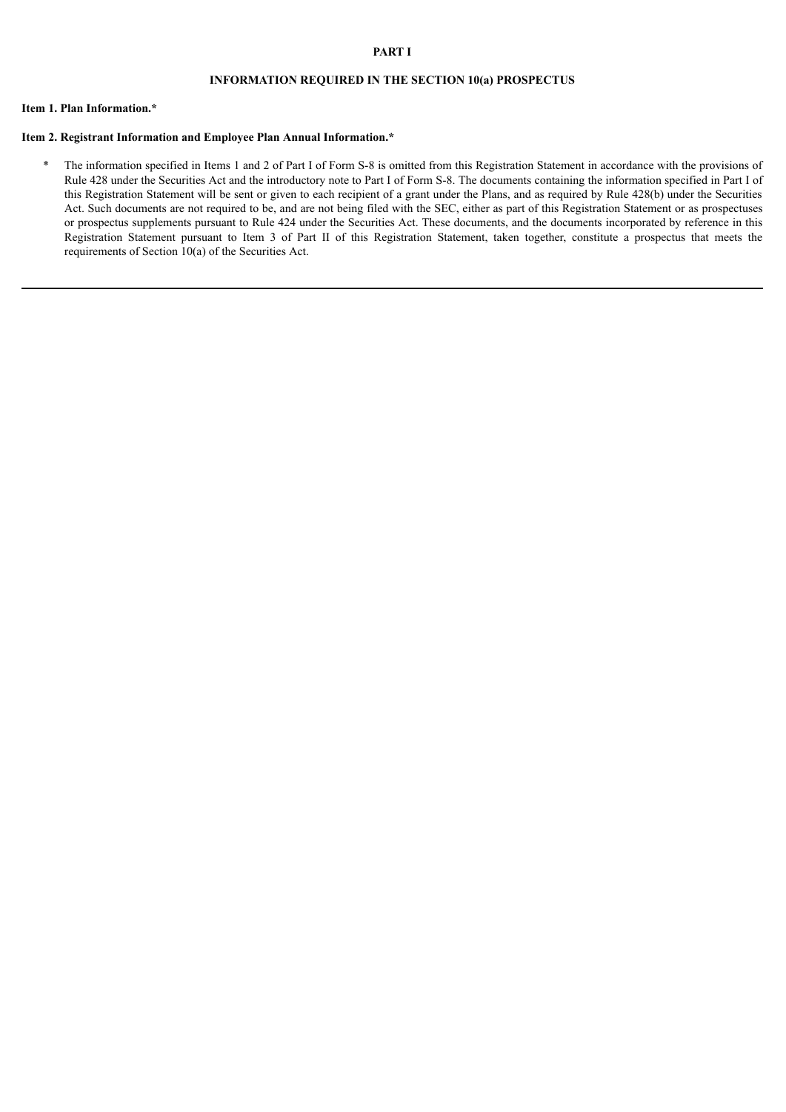### **PART I**

# **INFORMATION REQUIRED IN THE SECTION 10(a) PROSPECTUS**

# **Item 1. Plan Information.\***

# **Item 2. Registrant Information and Employee Plan Annual Information.\***

\* The information specified in Items 1 and 2 of Part I of Form S-8 is omitted from this Registration Statement in accordance with the provisions of Rule 428 under the Securities Act and the introductory note to Part I of Form S-8. The documents containing the information specified in Part I of this Registration Statement will be sent or given to each recipient of a grant under the Plans, and as required by Rule 428(b) under the Securities Act. Such documents are not required to be, and are not being filed with the SEC, either as part of this Registration Statement or as prospectuses or prospectus supplements pursuant to Rule 424 under the Securities Act. These documents, and the documents incorporated by reference in this Registration Statement pursuant to Item 3 of Part II of this Registration Statement, taken together, constitute a prospectus that meets the requirements of Section 10(a) of the Securities Act.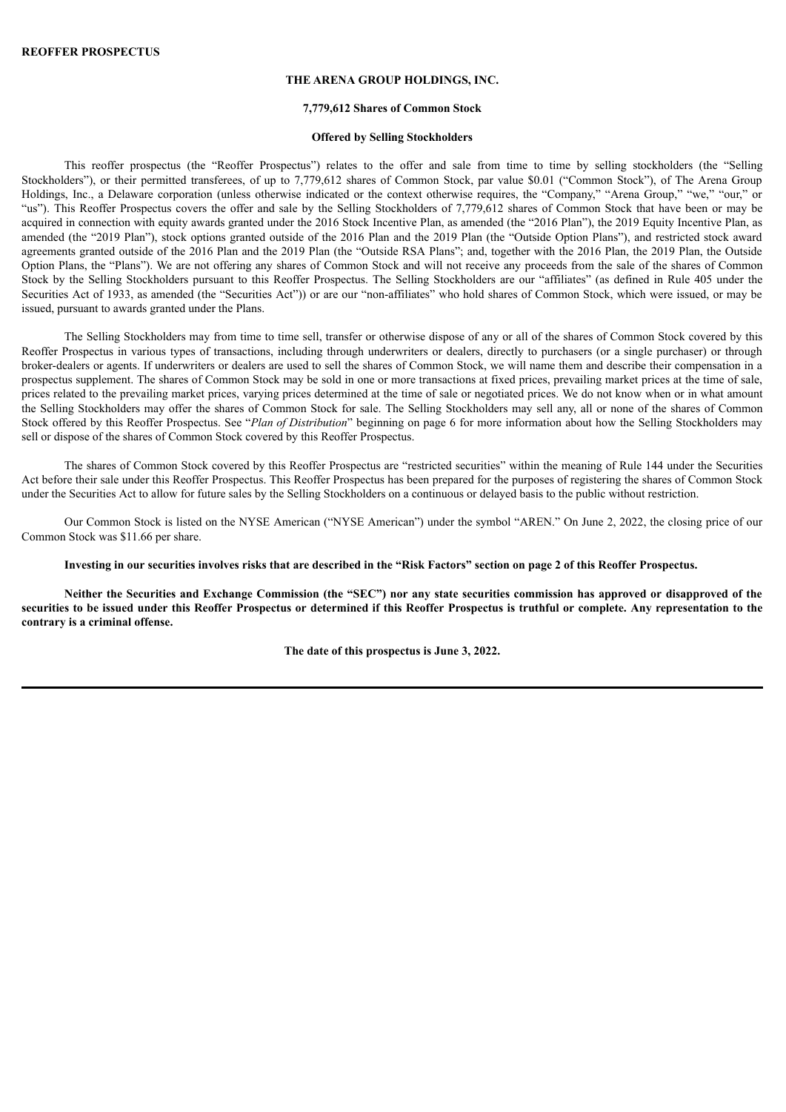## **THE ARENA GROUP HOLDINGS, INC.**

#### **7,779,612 Shares of Common Stock**

#### **Offered by Selling Stockholders**

This reoffer prospectus (the "Reoffer Prospectus") relates to the offer and sale from time to time by selling stockholders (the "Selling Stockholders"), or their permitted transferees, of up to 7,779,612 shares of Common Stock, par value \$0.01 ("Common Stock"), of The Arena Group Holdings, Inc., a Delaware corporation (unless otherwise indicated or the context otherwise requires, the "Company," "Arena Group," "we," "our," or "us"). This Reoffer Prospectus covers the offer and sale by the Selling Stockholders of 7,779,612 shares of Common Stock that have been or may be acquired in connection with equity awards granted under the 2016 Stock Incentive Plan, as amended (the "2016 Plan"), the 2019 Equity Incentive Plan, as amended (the "2019 Plan"), stock options granted outside of the 2016 Plan and the 2019 Plan (the "Outside Option Plans"), and restricted stock award agreements granted outside of the 2016 Plan and the 2019 Plan (the "Outside RSA Plans"; and, together with the 2016 Plan, the 2019 Plan, the Outside Option Plans, the "Plans"). We are not offering any shares of Common Stock and will not receive any proceeds from the sale of the shares of Common Stock by the Selling Stockholders pursuant to this Reoffer Prospectus. The Selling Stockholders are our "affiliates" (as defined in Rule 405 under the Securities Act of 1933, as amended (the "Securities Act")) or are our "non-affiliates" who hold shares of Common Stock, which were issued, or may be issued, pursuant to awards granted under the Plans.

The Selling Stockholders may from time to time sell, transfer or otherwise dispose of any or all of the shares of Common Stock covered by this Reoffer Prospectus in various types of transactions, including through underwriters or dealers, directly to purchasers (or a single purchaser) or through broker-dealers or agents. If underwriters or dealers are used to sell the shares of Common Stock, we will name them and describe their compensation in a prospectus supplement. The shares of Common Stock may be sold in one or more transactions at fixed prices, prevailing market prices at the time of sale, prices related to the prevailing market prices, varying prices determined at the time of sale or negotiated prices. We do not know when or in what amount the Selling Stockholders may offer the shares of Common Stock for sale. The Selling Stockholders may sell any, all or none of the shares of Common Stock offered by this Reoffer Prospectus. See "*Plan of Distribution*" beginning on page 6 for more information about how the Selling Stockholders may sell or dispose of the shares of Common Stock covered by this Reoffer Prospectus.

The shares of Common Stock covered by this Reoffer Prospectus are "restricted securities" within the meaning of Rule 144 under the Securities Act before their sale under this Reoffer Prospectus. This Reoffer Prospectus has been prepared for the purposes of registering the shares of Common Stock under the Securities Act to allow for future sales by the Selling Stockholders on a continuous or delayed basis to the public without restriction.

Our Common Stock is listed on the NYSE American ("NYSE American") under the symbol "AREN." On June 2, 2022, the closing price of our Common Stock was \$11.66 per share.

Investing in our securities involves risks that are described in the "Risk Factors" section on page 2 of this Reoffer Prospectus.

Neither the Securities and Exchange Commission (the "SEC") nor any state securities commission has approved or disapproved of the securities to be issued under this Reoffer Prospectus or determined if this Reoffer Prospectus is truthful or complete. Any representation to the **contrary is a criminal offense.**

**The date of this prospectus is June 3, 2022.**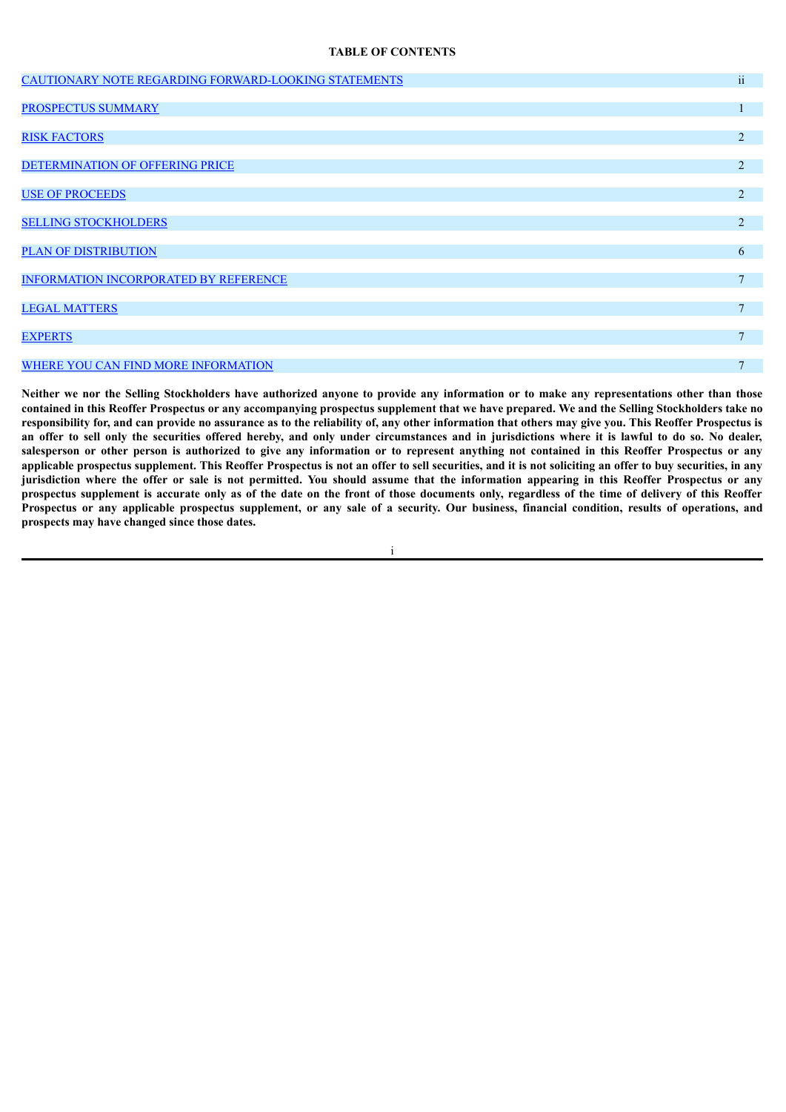#### **TABLE OF CONTENTS**

| CAUTIONARY NOTE REGARDING FORWARD-LOOKING STATEMENTS | $\sim$ $\sim$<br>11 |
|------------------------------------------------------|---------------------|
|                                                      |                     |
| <b>PROSPECTUS SUMMARY</b>                            |                     |
|                                                      |                     |
| <b>RISK FACTORS</b>                                  | 2                   |
|                                                      |                     |
| DETERMINATION OF OFFERING PRICE                      | 2                   |
| <b>USE OF PROCEEDS</b>                               | 2                   |
|                                                      |                     |
| <b>SELLING STOCKHOLDERS</b>                          | 2                   |
|                                                      |                     |
| <b>PLAN OF DISTRIBUTION</b>                          | 6                   |
| <b>INFORMATION INCORPORATED BY REFERENCE</b>         | $\mathbf{7}$        |
|                                                      |                     |
| <b>LEGAL MATTERS</b>                                 | $\mathbf{7}$        |
|                                                      |                     |
| <b>EXPERTS</b>                                       | $\tau$              |
|                                                      | $\mathbf{7}$        |
| WHERE YOU CAN FIND MORE INFORMATION                  |                     |

Neither we nor the Selling Stockholders have authorized anyone to provide any information or to make any representations other than those contained in this Reoffer Prospectus or any accompanying prospectus supplement that we have prepared. We and the Selling Stockholders take no responsibility for, and can provide no assurance as to the reliability of, any other information that others may give you. This Reoffer Prospectus is an offer to sell only the securities offered hereby, and only under circumstances and in jurisdictions where it is lawful to do so. No dealer, salesperson or other person is authorized to give any information or to represent anything not contained in this Reoffer Prospectus or any applicable prospectus supplement. This Reoffer Prospectus is not an offer to sell securities, and it is not soliciting an offer to buy securities, in any jurisdiction where the offer or sale is not permitted. You should assume that the information appearing in this Reoffer Prospectus or any prospectus supplement is accurate only as of the date on the front of those documents only, regardless of the time of delivery of this Reoffer Prospectus or any applicable prospectus supplement, or any sale of a security. Our business, financial condition, results of operations, and **prospects may have changed since those dates.**

i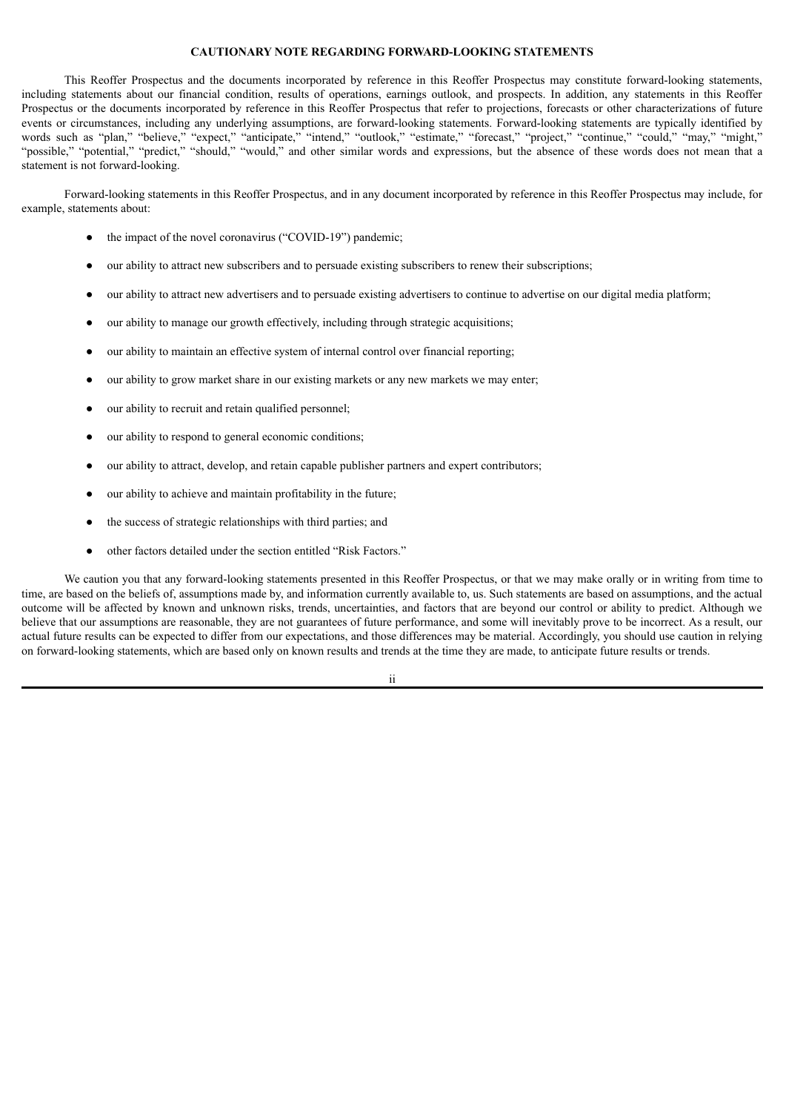#### **CAUTIONARY NOTE REGARDING FORWARD-LOOKING STATEMENTS**

<span id="page-6-0"></span>This Reoffer Prospectus and the documents incorporated by reference in this Reoffer Prospectus may constitute forward-looking statements, including statements about our financial condition, results of operations, earnings outlook, and prospects. In addition, any statements in this Reoffer Prospectus or the documents incorporated by reference in this Reoffer Prospectus that refer to projections, forecasts or other characterizations of future events or circumstances, including any underlying assumptions, are forward-looking statements. Forward-looking statements are typically identified by words such as "plan," "believe," "expect," "anticipate," "intend," "outlook," "estimate," "forecast," "project," "continue," "could," "may," "might," "possible," "potential," "predict," "should," "would," and other similar words and expressions, but the absence of these words does not mean that a statement is not forward-looking.

Forward-looking statements in this Reoffer Prospectus, and in any document incorporated by reference in this Reoffer Prospectus may include, for example, statements about:

- the impact of the novel coronavirus ("COVID-19") pandemic;
- our ability to attract new subscribers and to persuade existing subscribers to renew their subscriptions;
- our ability to attract new advertisers and to persuade existing advertisers to continue to advertise on our digital media platform;
- our ability to manage our growth effectively, including through strategic acquisitions;
- our ability to maintain an effective system of internal control over financial reporting;
- our ability to grow market share in our existing markets or any new markets we may enter;
- our ability to recruit and retain qualified personnel;
- our ability to respond to general economic conditions;
- our ability to attract, develop, and retain capable publisher partners and expert contributors;
- our ability to achieve and maintain profitability in the future;
- the success of strategic relationships with third parties; and
- other factors detailed under the section entitled "Risk Factors."

We caution you that any forward-looking statements presented in this Reoffer Prospectus, or that we may make orally or in writing from time to time, are based on the beliefs of, assumptions made by, and information currently available to, us. Such statements are based on assumptions, and the actual outcome will be affected by known and unknown risks, trends, uncertainties, and factors that are beyond our control or ability to predict. Although we believe that our assumptions are reasonable, they are not guarantees of future performance, and some will inevitably prove to be incorrect. As a result, our actual future results can be expected to differ from our expectations, and those differences may be material. Accordingly, you should use caution in relying on forward-looking statements, which are based only on known results and trends at the time they are made, to anticipate future results or trends.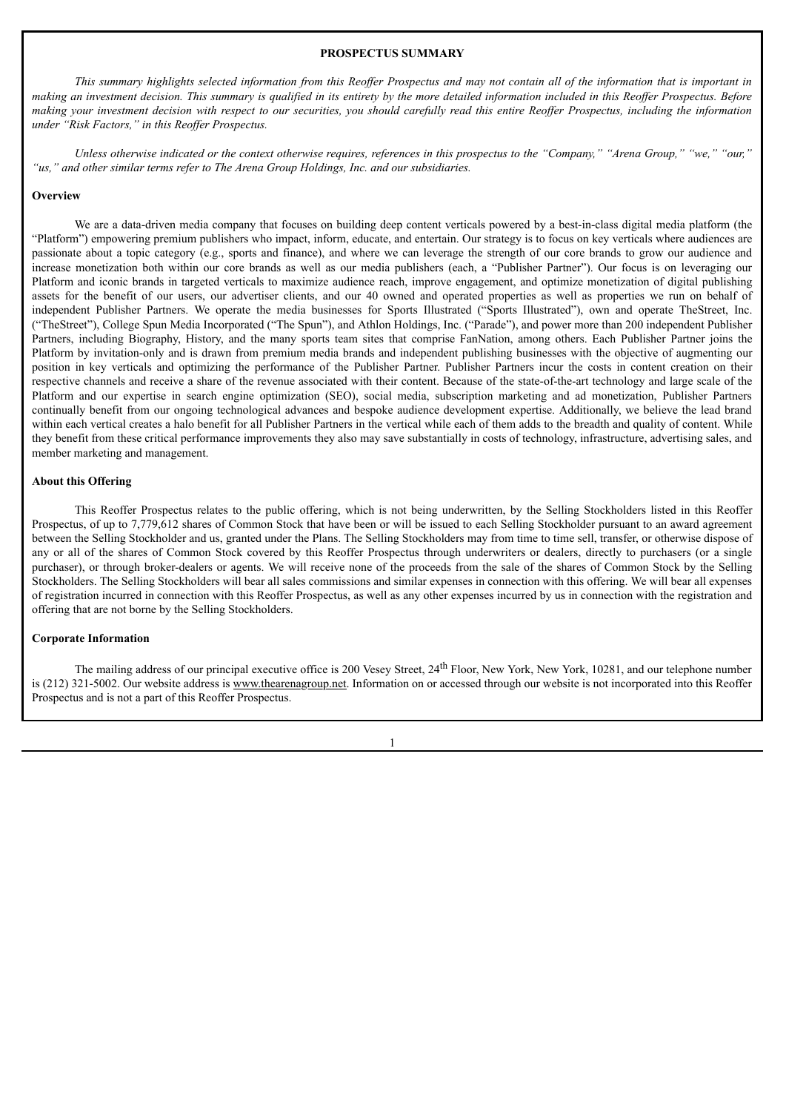## **PROSPECTUS SUMMARY**

<span id="page-7-0"></span>This summary highlights selected information from this Reoffer Prospectus and may not contain all of the information that is important in making an investment decision. This summary is qualified in its entirety by the more detailed information included in this Reoffer Prospectus. Before making your investment decision with respect to our securities, you should carefully read this entire Reoffer Prospectus, including the information *under "Risk Factors," in this Reof er Prospectus.*

Unless otherwise indicated or the context otherwise requires, references in this prospectus to the "Company," "Arena Group," "we," "our," *"us," and other similar terms refer to The Arena Group Holdings, Inc. and our subsidiaries.*

#### **Overview**

We are a data-driven media company that focuses on building deep content verticals powered by a best-in-class digital media platform (the "Platform") empowering premium publishers who impact, inform, educate, and entertain. Our strategy is to focus on key verticals where audiences are passionate about a topic category (e.g., sports and finance), and where we can leverage the strength of our core brands to grow our audience and increase monetization both within our core brands as well as our media publishers (each, a "Publisher Partner"). Our focus is on leveraging our Platform and iconic brands in targeted verticals to maximize audience reach, improve engagement, and optimize monetization of digital publishing assets for the benefit of our users, our advertiser clients, and our 40 owned and operated properties as well as properties we run on behalf of independent Publisher Partners. We operate the media businesses for Sports Illustrated ("Sports Illustrated"), own and operate TheStreet, Inc. ("TheStreet"), College Spun Media Incorporated ("The Spun"), and Athlon Holdings, Inc. ("Parade"), and power more than 200 independent Publisher Partners, including Biography, History, and the many sports team sites that comprise FanNation, among others. Each Publisher Partner joins the Platform by invitation-only and is drawn from premium media brands and independent publishing businesses with the objective of augmenting our position in key verticals and optimizing the performance of the Publisher Partner. Publisher Partners incur the costs in content creation on their respective channels and receive a share of the revenue associated with their content. Because of the state-of-the-art technology and large scale of the Platform and our expertise in search engine optimization (SEO), social media, subscription marketing and ad monetization, Publisher Partners continually benefit from our ongoing technological advances and bespoke audience development expertise. Additionally, we believe the lead brand within each vertical creates a halo benefit for all Publisher Partners in the vertical while each of them adds to the breadth and quality of content. While they benefit from these critical performance improvements they also may save substantially in costs of technology, infrastructure, advertising sales, and member marketing and management.

#### **About this Offering**

This Reoffer Prospectus relates to the public offering, which is not being underwritten, by the Selling Stockholders listed in this Reoffer Prospectus, of up to 7,779,612 shares of Common Stock that have been or will be issued to each Selling Stockholder pursuant to an award agreement between the Selling Stockholder and us, granted under the Plans. The Selling Stockholders may from time to time sell, transfer, or otherwise dispose of any or all of the shares of Common Stock covered by this Reoffer Prospectus through underwriters or dealers, directly to purchasers (or a single purchaser), or through broker-dealers or agents. We will receive none of the proceeds from the sale of the shares of Common Stock by the Selling Stockholders. The Selling Stockholders will bear all sales commissions and similar expenses in connection with this offering. We will bear all expenses of registration incurred in connection with this Reoffer Prospectus, as well as any other expenses incurred by us in connection with the registration and offering that are not borne by the Selling Stockholders.

### **Corporate Information**

The mailing address of our principal executive office is 200 Vesey Street, 24<sup>th</sup> Floor, New York, New York, 10281, and our telephone number is (212) 321-5002. Our website address is www.thearenagroup.net. Information on or accessed through our website is not incorporated into this Reoffer Prospectus and is not a part of this Reoffer Prospectus.

1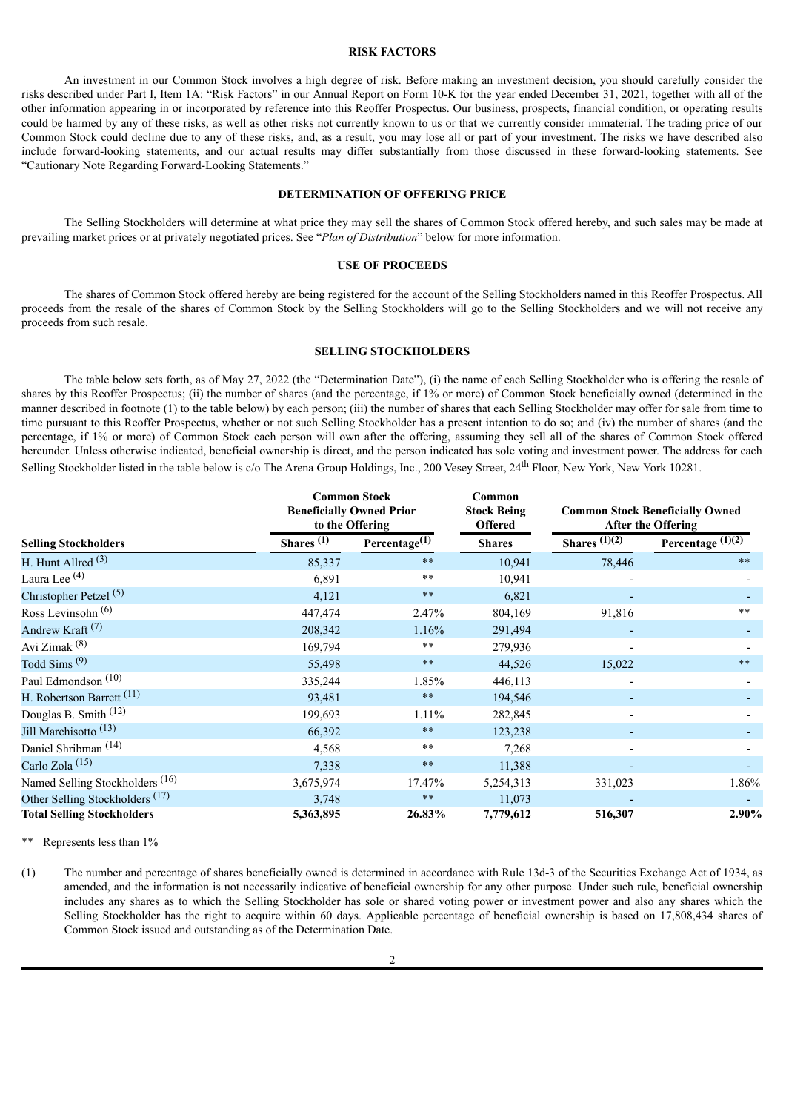#### **RISK FACTORS**

<span id="page-8-0"></span>An investment in our Common Stock involves a high degree of risk. Before making an investment decision, you should carefully consider the risks described under Part I, Item 1A: "Risk Factors" in our Annual Report on Form 10-K for the year ended December 31, 2021, together with all of the other information appearing in or incorporated by reference into this Reoffer Prospectus. Our business, prospects, financial condition, or operating results could be harmed by any of these risks, as well as other risks not currently known to us or that we currently consider immaterial. The trading price of our Common Stock could decline due to any of these risks, and, as a result, you may lose all or part of your investment. The risks we have described also include forward-looking statements, and our actual results may differ substantially from those discussed in these forward-looking statements. See "Cautionary Note Regarding Forward-Looking Statements."

# **DETERMINATION OF OFFERING PRICE**

<span id="page-8-1"></span>The Selling Stockholders will determine at what price they may sell the shares of Common Stock offered hereby, and such sales may be made at prevailing market prices or at privately negotiated prices. See "*Plan of Distribution*" below for more information.

#### **USE OF PROCEEDS**

<span id="page-8-2"></span>The shares of Common Stock offered hereby are being registered for the account of the Selling Stockholders named in this Reoffer Prospectus. All proceeds from the resale of the shares of Common Stock by the Selling Stockholders will go to the Selling Stockholders and we will not receive any proceeds from such resale.

#### **SELLING STOCKHOLDERS**

<span id="page-8-3"></span>The table below sets forth, as of May 27, 2022 (the "Determination Date"), (i) the name of each Selling Stockholder who is offering the resale of shares by this Reoffer Prospectus; (ii) the number of shares (and the percentage, if 1% or more) of Common Stock beneficially owned (determined in the manner described in footnote (1) to the table below) by each person; (iii) the number of shares that each Selling Stockholder may offer for sale from time to time pursuant to this Reoffer Prospectus, whether or not such Selling Stockholder has a present intention to do so; and (iv) the number of shares (and the percentage, if 1% or more) of Common Stock each person will own after the offering, assuming they sell all of the shares of Common Stock offered hereunder. Unless otherwise indicated, beneficial ownership is direct, and the person indicated has sole voting and investment power. The address for each Selling Stockholder listed in the table below is c/o The Arena Group Holdings, Inc., 200 Vesey Street, 24<sup>th</sup> Floor, New York, New York 10281.

|                                            | <b>Common Stock</b><br><b>Beneficially Owned Prior</b><br>to the Offering |                     | Common<br><b>Stock Being</b><br><b>Offered</b> | <b>Common Stock Beneficially Owned</b><br><b>After the Offering</b> |                     |
|--------------------------------------------|---------------------------------------------------------------------------|---------------------|------------------------------------------------|---------------------------------------------------------------------|---------------------|
| <b>Selling Stockholders</b>                | Shares $(1)$                                                              | Percentage $^{(1)}$ | <b>Shares</b>                                  | Shares $(1)(\overline{2)}$                                          | Percentage $(1)(2)$ |
| H. Hunt Allred $(3)$                       | 85,337                                                                    | $**$                | 10,941                                         | 78,446                                                              | $**$                |
| Laura Lee <sup>(4)</sup>                   | 6,891                                                                     | $***$               | 10,941                                         |                                                                     |                     |
| Christopher Petzel $(5)$                   | 4,121                                                                     | $***$               | 6,821                                          |                                                                     |                     |
| Ross Levinsohn <sup>(6)</sup>              | 447,474                                                                   | 2.47%               | 804,169                                        | 91,816                                                              | $**$                |
| Andrew Kraft <sup>(7)</sup>                | 208,342                                                                   | 1.16%               | 291,494                                        |                                                                     |                     |
| Avi Zimak <sup>(8)</sup>                   | 169,794                                                                   | $**$                | 279,936                                        |                                                                     |                     |
| Todd Sims $(9)$                            | 55,498                                                                    | $\ast\ast$          | 44,526                                         | 15,022                                                              | $**$                |
| Paul Edmondson <sup>(10)</sup>             | 335,244                                                                   | 1.85%               | 446,113                                        |                                                                     |                     |
| H. Robertson Barrett <sup>(11)</sup>       | 93,481                                                                    | $\ast\ast$          | 194,546                                        |                                                                     |                     |
| Douglas B. Smith (12)                      | 199,693                                                                   | 1.11%               | 282,845                                        |                                                                     |                     |
| Jill Marchisotto <sup>(13)</sup>           | 66,392                                                                    | $**$                | 123,238                                        |                                                                     |                     |
| Daniel Shribman <sup>(14)</sup>            | 4,568                                                                     | $***$               | 7,268                                          |                                                                     |                     |
| Carlo Zola <sup>(15)</sup>                 | 7,338                                                                     | $***$               | 11,388                                         |                                                                     |                     |
| Named Selling Stockholders <sup>(16)</sup> | 3,675,974                                                                 | 17.47%              | 5,254,313                                      | 331,023                                                             | 1.86%               |
| Other Selling Stockholders <sup>(17)</sup> | 3,748                                                                     | $**$                | 11,073                                         |                                                                     |                     |
| <b>Total Selling Stockholders</b>          | 5,363,895                                                                 | 26.83%              | 7,779,612                                      | 516,307                                                             | 2.90%               |

Represents less than 1%

(1) The number and percentage of shares beneficially owned is determined in accordance with Rule 13d-3 of the Securities Exchange Act of 1934, as amended, and the information is not necessarily indicative of beneficial ownership for any other purpose. Under such rule, beneficial ownership includes any shares as to which the Selling Stockholder has sole or shared voting power or investment power and also any shares which the Selling Stockholder has the right to acquire within 60 days. Applicable percentage of beneficial ownership is based on 17,808,434 shares of Common Stock issued and outstanding as of the Determination Date.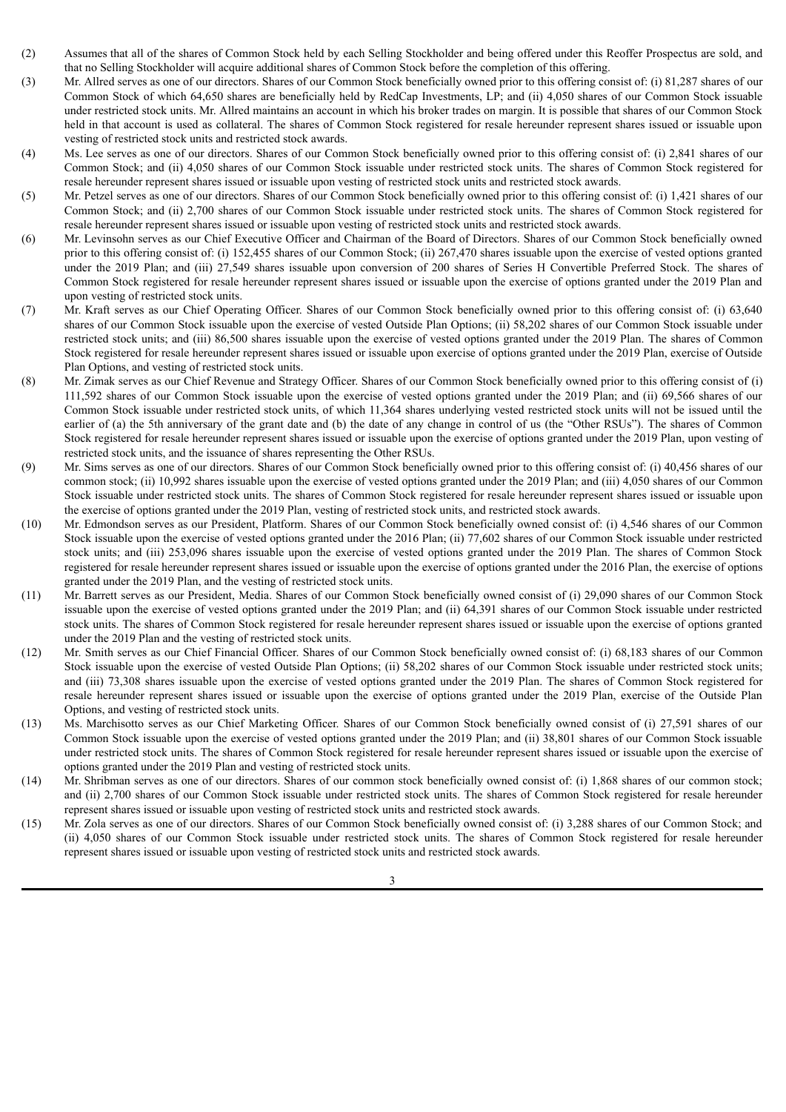- (2) Assumes that all of the shares of Common Stock held by each Selling Stockholder and being offered under this Reoffer Prospectus are sold, and that no Selling Stockholder will acquire additional shares of Common Stock before the completion of this offering.
- (3) Mr. Allred serves as one of our directors. Shares of our Common Stock beneficially owned prior to this offering consist of: (i) 81,287 shares of our Common Stock of which 64,650 shares are beneficially held by RedCap Investments, LP; and (ii) 4,050 shares of our Common Stock issuable under restricted stock units. Mr. Allred maintains an account in which his broker trades on margin. It is possible that shares of our Common Stock held in that account is used as collateral. The shares of Common Stock registered for resale hereunder represent shares issued or issuable upon vesting of restricted stock units and restricted stock awards.
- (4) Ms. Lee serves as one of our directors. Shares of our Common Stock beneficially owned prior to this offering consist of: (i) 2,841 shares of our Common Stock; and (ii) 4,050 shares of our Common Stock issuable under restricted stock units. The shares of Common Stock registered for resale hereunder represent shares issued or issuable upon vesting of restricted stock units and restricted stock awards.
- (5) Mr. Petzel serves as one of our directors. Shares of our Common Stock beneficially owned prior to this offering consist of: (i) 1,421 shares of our Common Stock; and (ii) 2,700 shares of our Common Stock issuable under restricted stock units. The shares of Common Stock registered for resale hereunder represent shares issued or issuable upon vesting of restricted stock units and restricted stock awards.
- (6) Mr. Levinsohn serves as our Chief Executive Officer and Chairman of the Board of Directors. Shares of our Common Stock beneficially owned prior to this offering consist of: (i) 152,455 shares of our Common Stock; (ii) 267,470 shares issuable upon the exercise of vested options granted under the 2019 Plan; and (iii) 27,549 shares issuable upon conversion of 200 shares of Series H Convertible Preferred Stock. The shares of Common Stock registered for resale hereunder represent shares issued or issuable upon the exercise of options granted under the 2019 Plan and upon vesting of restricted stock units.
- (7) Mr. Kraft serves as our Chief Operating Officer. Shares of our Common Stock beneficially owned prior to this offering consist of: (i) 63,640 shares of our Common Stock issuable upon the exercise of vested Outside Plan Options; (ii) 58,202 shares of our Common Stock issuable under restricted stock units; and (iii) 86,500 shares issuable upon the exercise of vested options granted under the 2019 Plan. The shares of Common Stock registered for resale hereunder represent shares issued or issuable upon exercise of options granted under the 2019 Plan, exercise of Outside Plan Options, and vesting of restricted stock units.
- (8) Mr. Zimak serves as our Chief Revenue and Strategy Officer. Shares of our Common Stock beneficially owned prior to this offering consist of (i) 111,592 shares of our Common Stock issuable upon the exercise of vested options granted under the 2019 Plan; and (ii) 69,566 shares of our Common Stock issuable under restricted stock units, of which 11,364 shares underlying vested restricted stock units will not be issued until the earlier of (a) the 5th anniversary of the grant date and (b) the date of any change in control of us (the "Other RSUs"). The shares of Common Stock registered for resale hereunder represent shares issued or issuable upon the exercise of options granted under the 2019 Plan, upon vesting of restricted stock units, and the issuance of shares representing the Other RSUs.
- (9) Mr. Sims serves as one of our directors. Shares of our Common Stock beneficially owned prior to this offering consist of: (i) 40,456 shares of our common stock; (ii) 10,992 shares issuable upon the exercise of vested options granted under the 2019 Plan; and (iii) 4,050 shares of our Common Stock issuable under restricted stock units. The shares of Common Stock registered for resale hereunder represent shares issued or issuable upon the exercise of options granted under the 2019 Plan, vesting of restricted stock units, and restricted stock awards.
- (10) Mr. Edmondson serves as our President, Platform. Shares of our Common Stock beneficially owned consist of: (i) 4,546 shares of our Common Stock issuable upon the exercise of vested options granted under the 2016 Plan; (ii) 77,602 shares of our Common Stock issuable under restricted stock units; and (iii) 253,096 shares issuable upon the exercise of vested options granted under the 2019 Plan. The shares of Common Stock registered for resale hereunder represent shares issued or issuable upon the exercise of options granted under the 2016 Plan, the exercise of options granted under the 2019 Plan, and the vesting of restricted stock units.
- (11) Mr. Barrett serves as our President, Media. Shares of our Common Stock beneficially owned consist of (i) 29,090 shares of our Common Stock issuable upon the exercise of vested options granted under the 2019 Plan; and (ii) 64,391 shares of our Common Stock issuable under restricted stock units. The shares of Common Stock registered for resale hereunder represent shares issued or issuable upon the exercise of options granted under the 2019 Plan and the vesting of restricted stock units.
- (12) Mr. Smith serves as our Chief Financial Officer. Shares of our Common Stock beneficially owned consist of: (i) 68,183 shares of our Common Stock issuable upon the exercise of vested Outside Plan Options; (ii) 58,202 shares of our Common Stock issuable under restricted stock units; and (iii) 73,308 shares issuable upon the exercise of vested options granted under the 2019 Plan. The shares of Common Stock registered for resale hereunder represent shares issued or issuable upon the exercise of options granted under the 2019 Plan, exercise of the Outside Plan Options, and vesting of restricted stock units.
- (13) Ms. Marchisotto serves as our Chief Marketing Officer. Shares of our Common Stock beneficially owned consist of (i) 27,591 shares of our Common Stock issuable upon the exercise of vested options granted under the 2019 Plan; and (ii) 38,801 shares of our Common Stock issuable under restricted stock units. The shares of Common Stock registered for resale hereunder represent shares issued or issuable upon the exercise of options granted under the 2019 Plan and vesting of restricted stock units.
- (14) Mr. Shribman serves as one of our directors. Shares of our common stock beneficially owned consist of: (i) 1,868 shares of our common stock; and (ii) 2,700 shares of our Common Stock issuable under restricted stock units. The shares of Common Stock registered for resale hereunder represent shares issued or issuable upon vesting of restricted stock units and restricted stock awards.
- (15) Mr. Zola serves as one of our directors. Shares of our Common Stock beneficially owned consist of: (i) 3,288 shares of our Common Stock; and (ii) 4,050 shares of our Common Stock issuable under restricted stock units. The shares of Common Stock registered for resale hereunder represent shares issued or issuable upon vesting of restricted stock units and restricted stock awards.

3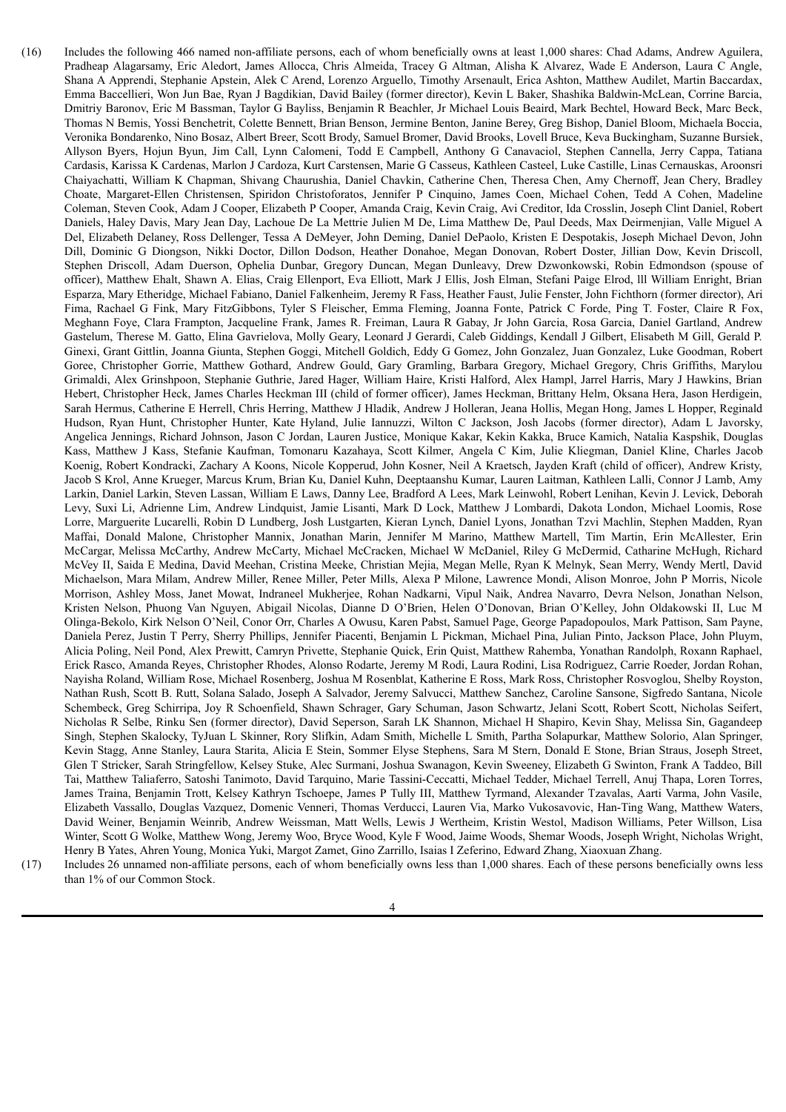- (16) Includes the following 466 named non-affiliate persons, each of whom beneficially owns at least 1,000 shares: Chad Adams, Andrew Aguilera, Pradheap Alagarsamy, Eric Aledort, James Allocca, Chris Almeida, Tracey G Altman, Alisha K Alvarez, Wade E Anderson, Laura C Angle, Shana A Apprendi, Stephanie Apstein, Alek C Arend, Lorenzo Arguello, Timothy Arsenault, Erica Ashton, Matthew Audilet, Martin Baccardax, Emma Baccellieri, Won Jun Bae, Ryan J Bagdikian, David Bailey (former director), Kevin L Baker, Shashika Baldwin-McLean, Corrine Barcia, Dmitriy Baronov, Eric M Bassman, Taylor G Bayliss, Benjamin R Beachler, Jr Michael Louis Beaird, Mark Bechtel, Howard Beck, Marc Beck, Thomas N Bemis, Yossi Benchetrit, Colette Bennett, Brian Benson, Jermine Benton, Janine Berey, Greg Bishop, Daniel Bloom, Michaela Boccia, Veronika Bondarenko, Nino Bosaz, Albert Breer, Scott Brody, Samuel Bromer, David Brooks, Lovell Bruce, Keva Buckingham, Suzanne Bursiek, Allyson Byers, Hojun Byun, Jim Call, Lynn Calomeni, Todd E Campbell, Anthony G Canavaciol, Stephen Cannella, Jerry Cappa, Tatiana Cardasis, Karissa K Cardenas, Marlon J Cardoza, Kurt Carstensen, Marie G Casseus, Kathleen Casteel, Luke Castille, Linas Cernauskas, Aroonsri Chaiyachatti, William K Chapman, Shivang Chaurushia, Daniel Chavkin, Catherine Chen, Theresa Chen, Amy Chernoff, Jean Chery, Bradley Choate, Margaret-Ellen Christensen, Spiridon Christoforatos, Jennifer P Cinquino, James Coen, Michael Cohen, Tedd A Cohen, Madeline Coleman, Steven Cook, Adam J Cooper, Elizabeth P Cooper, Amanda Craig, Kevin Craig, Avi Creditor, Ida Crosslin, Joseph Clint Daniel, Robert Daniels, Haley Davis, Mary Jean Day, Lachoue De La Mettrie Julien M De, Lima Matthew De, Paul Deeds, Max Deirmenjian, Valle Miguel A Del, Elizabeth Delaney, Ross Dellenger, Tessa A DeMeyer, John Deming, Daniel DePaolo, Kristen E Despotakis, Joseph Michael Devon, John Dill, Dominic G Diongson, Nikki Doctor, Dillon Dodson, Heather Donahoe, Megan Donovan, Robert Doster, Jillian Dow, Kevin Driscoll, Stephen Driscoll, Adam Duerson, Ophelia Dunbar, Gregory Duncan, Megan Dunleavy, Drew Dzwonkowski, Robin Edmondson (spouse of officer), Matthew Ehalt, Shawn A. Elias, Craig Ellenport, Eva Elliott, Mark J Ellis, Josh Elman, Stefani Paige Elrod, lll William Enright, Brian Esparza, Mary Etheridge, Michael Fabiano, Daniel Falkenheim, Jeremy R Fass, Heather Faust, Julie Fenster, John Fichthorn (former director), Ari Fima, Rachael G Fink, Mary FitzGibbons, Tyler S Fleischer, Emma Fleming, Joanna Fonte, Patrick C Forde, Ping T. Foster, Claire R Fox, Meghann Foye, Clara Frampton, Jacqueline Frank, James R. Freiman, Laura R Gabay, Jr John Garcia, Rosa Garcia, Daniel Gartland, Andrew Gastelum, Therese M. Gatto, Elina Gavrielova, Molly Geary, Leonard J Gerardi, Caleb Giddings, Kendall J Gilbert, Elisabeth M Gill, Gerald P. Ginexi, Grant Gittlin, Joanna Giunta, Stephen Goggi, Mitchell Goldich, Eddy G Gomez, John Gonzalez, Juan Gonzalez, Luke Goodman, Robert Goree, Christopher Gorrie, Matthew Gothard, Andrew Gould, Gary Gramling, Barbara Gregory, Michael Gregory, Chris Griffiths, Marylou Grimaldi, Alex Grinshpoon, Stephanie Guthrie, Jared Hager, William Haire, Kristi Halford, Alex Hampl, Jarrel Harris, Mary J Hawkins, Brian Hebert, Christopher Heck, James Charles Heckman III (child of former officer), James Heckman, Brittany Helm, Oksana Hera, Jason Herdigein, Sarah Hermus, Catherine E Herrell, Chris Herring, Matthew J Hladik, Andrew J Holleran, Jeana Hollis, Megan Hong, James L Hopper, Reginald Hudson, Ryan Hunt, Christopher Hunter, Kate Hyland, Julie Iannuzzi, Wilton C Jackson, Josh Jacobs (former director), Adam L Javorsky, Angelica Jennings, Richard Johnson, Jason C Jordan, Lauren Justice, Monique Kakar, Kekin Kakka, Bruce Kamich, Natalia Kaspshik, Douglas Kass, Matthew J Kass, Stefanie Kaufman, Tomonaru Kazahaya, Scott Kilmer, Angela C Kim, Julie Kliegman, Daniel Kline, Charles Jacob Koenig, Robert Kondracki, Zachary A Koons, Nicole Kopperud, John Kosner, Neil A Kraetsch, Jayden Kraft (child of officer), Andrew Kristy, Jacob S Krol, Anne Krueger, Marcus Krum, Brian Ku, Daniel Kuhn, Deeptaanshu Kumar, Lauren Laitman, Kathleen Lalli, Connor J Lamb, Amy Larkin, Daniel Larkin, Steven Lassan, William E Laws, Danny Lee, Bradford A Lees, Mark Leinwohl, Robert Lenihan, Kevin J. Levick, Deborah Levy, Suxi Li, Adrienne Lim, Andrew Lindquist, Jamie Lisanti, Mark D Lock, Matthew J Lombardi, Dakota London, Michael Loomis, Rose Lorre, Marguerite Lucarelli, Robin D Lundberg, Josh Lustgarten, Kieran Lynch, Daniel Lyons, Jonathan Tzvi Machlin, Stephen Madden, Ryan Maffai, Donald Malone, Christopher Mannix, Jonathan Marin, Jennifer M Marino, Matthew Martell, Tim Martin, Erin McAllester, Erin McCargar, Melissa McCarthy, Andrew McCarty, Michael McCracken, Michael W McDaniel, Riley G McDermid, Catharine McHugh, Richard McVey II, Saida E Medina, David Meehan, Cristina Meeke, Christian Mejia, Megan Melle, Ryan K Melnyk, Sean Merry, Wendy Mertl, David Michaelson, Mara Milam, Andrew Miller, Renee Miller, Peter Mills, Alexa P Milone, Lawrence Mondi, Alison Monroe, John P Morris, Nicole Morrison, Ashley Moss, Janet Mowat, Indraneel Mukherjee, Rohan Nadkarni, Vipul Naik, Andrea Navarro, Devra Nelson, Jonathan Nelson, Kristen Nelson, Phuong Van Nguyen, Abigail Nicolas, Dianne D O'Brien, Helen O'Donovan, Brian O'Kelley, John Oldakowski II, Luc M Olinga-Bekolo, Kirk Nelson O'Neil, Conor Orr, Charles A Owusu, Karen Pabst, Samuel Page, George Papadopoulos, Mark Pattison, Sam Payne, Daniela Perez, Justin T Perry, Sherry Phillips, Jennifer Piacenti, Benjamin L Pickman, Michael Pina, Julian Pinto, Jackson Place, John Pluym, Alicia Poling, Neil Pond, Alex Prewitt, Camryn Privette, Stephanie Quick, Erin Quist, Matthew Rahemba, Yonathan Randolph, Roxann Raphael, Erick Rasco, Amanda Reyes, Christopher Rhodes, Alonso Rodarte, Jeremy M Rodi, Laura Rodini, Lisa Rodriguez, Carrie Roeder, Jordan Rohan, Nayisha Roland, William Rose, Michael Rosenberg, Joshua M Rosenblat, Katherine E Ross, Mark Ross, Christopher Rosvoglou, Shelby Royston, Nathan Rush, Scott B. Rutt, Solana Salado, Joseph A Salvador, Jeremy Salvucci, Matthew Sanchez, Caroline Sansone, Sigfredo Santana, Nicole Schembeck, Greg Schirripa, Joy R Schoenfield, Shawn Schrager, Gary Schuman, Jason Schwartz, Jelani Scott, Robert Scott, Nicholas Seifert, Nicholas R Selbe, Rinku Sen (former director), David Seperson, Sarah LK Shannon, Michael H Shapiro, Kevin Shay, Melissa Sin, Gagandeep Singh, Stephen Skalocky, TyJuan L Skinner, Rory Slifkin, Adam Smith, Michelle L Smith, Partha Solapurkar, Matthew Solorio, Alan Springer, Kevin Stagg, Anne Stanley, Laura Starita, Alicia E Stein, Sommer Elyse Stephens, Sara M Stern, Donald E Stone, Brian Straus, Joseph Street, Glen T Stricker, Sarah Stringfellow, Kelsey Stuke, Alec Surmani, Joshua Swanagon, Kevin Sweeney, Elizabeth G Swinton, Frank A Taddeo, Bill Tai, Matthew Taliaferro, Satoshi Tanimoto, David Tarquino, Marie Tassini-Ceccatti, Michael Tedder, Michael Terrell, Anuj Thapa, Loren Torres, James Traina, Benjamin Trott, Kelsey Kathryn Tschoepe, James P Tully III, Matthew Tyrmand, Alexander Tzavalas, Aarti Varma, John Vasile, Elizabeth Vassallo, Douglas Vazquez, Domenic Venneri, Thomas Verducci, Lauren Via, Marko Vukosavovic, Han-Ting Wang, Matthew Waters, David Weiner, Benjamin Weinrib, Andrew Weissman, Matt Wells, Lewis J Wertheim, Kristin Westol, Madison Williams, Peter Willson, Lisa Winter, Scott G Wolke, Matthew Wong, Jeremy Woo, Bryce Wood, Kyle F Wood, Jaime Woods, Shemar Woods, Joseph Wright, Nicholas Wright, Henry B Yates, Ahren Young, Monica Yuki, Margot Zamet, Gino Zarrillo, Isaias I Zeferino, Edward Zhang, Xiaoxuan Zhang.
- (17) Includes 26 unnamed non-affiliate persons, each of whom beneficially owns less than 1,000 shares. Each of these persons beneficially owns less

than 1% of our Common Stock.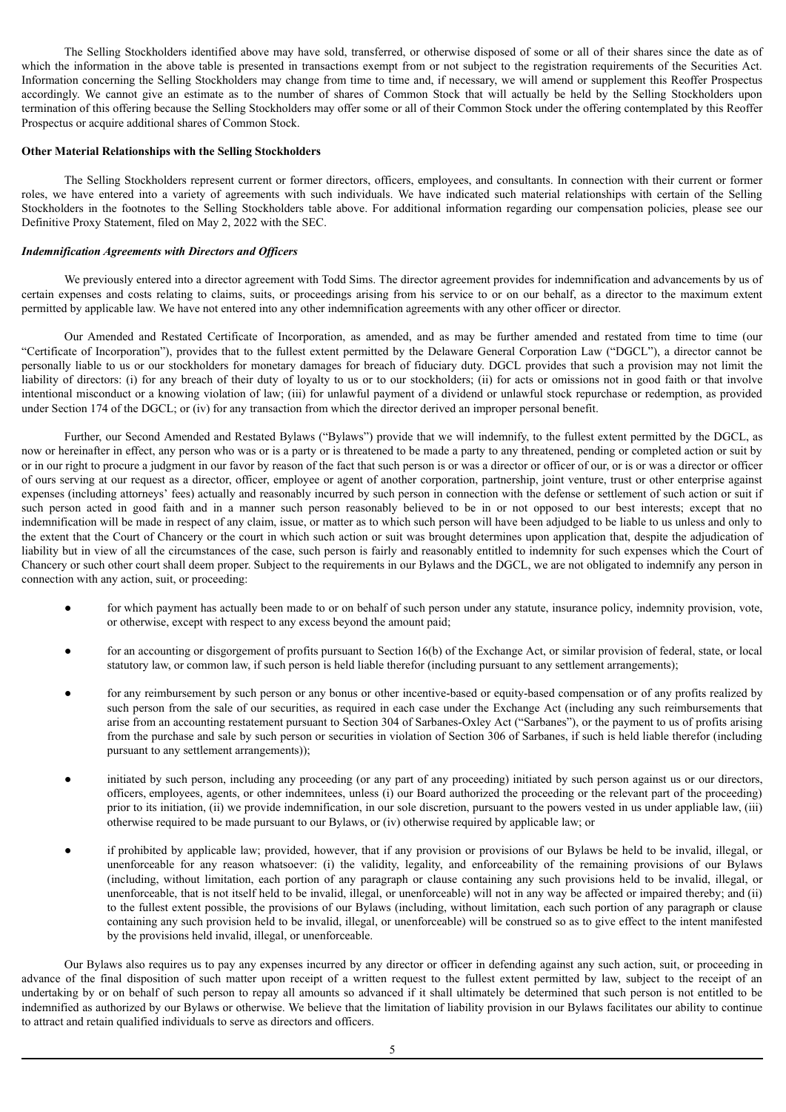The Selling Stockholders identified above may have sold, transferred, or otherwise disposed of some or all of their shares since the date as of which the information in the above table is presented in transactions exempt from or not subject to the registration requirements of the Securities Act. Information concerning the Selling Stockholders may change from time to time and, if necessary, we will amend or supplement this Reoffer Prospectus accordingly. We cannot give an estimate as to the number of shares of Common Stock that will actually be held by the Selling Stockholders upon termination of this offering because the Selling Stockholders may offer some or all of their Common Stock under the offering contemplated by this Reoffer Prospectus or acquire additional shares of Common Stock.

#### **Other Material Relationships with the Selling Stockholders**

The Selling Stockholders represent current or former directors, officers, employees, and consultants. In connection with their current or former roles, we have entered into a variety of agreements with such individuals. We have indicated such material relationships with certain of the Selling Stockholders in the footnotes to the Selling Stockholders table above. For additional information regarding our compensation policies, please see our Definitive Proxy Statement, filed on May 2, 2022 with the SEC.

#### *Indemnification Agreements with Directors and Of icers*

We previously entered into a director agreement with Todd Sims. The director agreement provides for indemnification and advancements by us of certain expenses and costs relating to claims, suits, or proceedings arising from his service to or on our behalf, as a director to the maximum extent permitted by applicable law. We have not entered into any other indemnification agreements with any other officer or director.

Our Amended and Restated Certificate of Incorporation, as amended, and as may be further amended and restated from time to time (our "Certificate of Incorporation"), provides that to the fullest extent permitted by the Delaware General Corporation Law ("DGCL"), a director cannot be personally liable to us or our stockholders for monetary damages for breach of fiduciary duty. DGCL provides that such a provision may not limit the liability of directors: (i) for any breach of their duty of loyalty to us or to our stockholders; (ii) for acts or omissions not in good faith or that involve intentional misconduct or a knowing violation of law; (iii) for unlawful payment of a dividend or unlawful stock repurchase or redemption, as provided under Section 174 of the DGCL; or (iv) for any transaction from which the director derived an improper personal benefit.

Further, our Second Amended and Restated Bylaws ("Bylaws") provide that we will indemnify, to the fullest extent permitted by the DGCL, as now or hereinafter in effect, any person who was or is a party or is threatened to be made a party to any threatened, pending or completed action or suit by or in our right to procure a judgment in our favor by reason of the fact that such person is or was a director or officer of our, or is or was a director or officer of ours serving at our request as a director, officer, employee or agent of another corporation, partnership, joint venture, trust or other enterprise against expenses (including attorneys' fees) actually and reasonably incurred by such person in connection with the defense or settlement of such action or suit if such person acted in good faith and in a manner such person reasonably believed to be in or not opposed to our best interests; except that no indemnification will be made in respect of any claim, issue, or matter as to which such person will have been adjudged to be liable to us unless and only to the extent that the Court of Chancery or the court in which such action or suit was brought determines upon application that, despite the adjudication of liability but in view of all the circumstances of the case, such person is fairly and reasonably entitled to indemnity for such expenses which the Court of Chancery or such other court shall deem proper. Subject to the requirements in our Bylaws and the DGCL, we are not obligated to indemnify any person in connection with any action, suit, or proceeding:

- for which payment has actually been made to or on behalf of such person under any statute, insurance policy, indemnity provision, vote, or otherwise, except with respect to any excess beyond the amount paid;
- for an accounting or disgorgement of profits pursuant to Section 16(b) of the Exchange Act, or similar provision of federal, state, or local statutory law, or common law, if such person is held liable therefor (including pursuant to any settlement arrangements);
- for any reimbursement by such person or any bonus or other incentive-based or equity-based compensation or of any profits realized by such person from the sale of our securities, as required in each case under the Exchange Act (including any such reimbursements that arise from an accounting restatement pursuant to Section 304 of Sarbanes-Oxley Act ("Sarbanes"), or the payment to us of profits arising from the purchase and sale by such person or securities in violation of Section 306 of Sarbanes, if such is held liable therefor (including pursuant to any settlement arrangements));
- initiated by such person, including any proceeding (or any part of any proceeding) initiated by such person against us or our directors, officers, employees, agents, or other indemnitees, unless (i) our Board authorized the proceeding or the relevant part of the proceeding) prior to its initiation, (ii) we provide indemnification, in our sole discretion, pursuant to the powers vested in us under appliable law, (iii) otherwise required to be made pursuant to our Bylaws, or (iv) otherwise required by applicable law; or
- if prohibited by applicable law; provided, however, that if any provision or provisions of our Bylaws be held to be invalid, illegal, or unenforceable for any reason whatsoever: (i) the validity, legality, and enforceability of the remaining provisions of our Bylaws (including, without limitation, each portion of any paragraph or clause containing any such provisions held to be invalid, illegal, or unenforceable, that is not itself held to be invalid, illegal, or unenforceable) will not in any way be affected or impaired thereby; and (ii) to the fullest extent possible, the provisions of our Bylaws (including, without limitation, each such portion of any paragraph or clause containing any such provision held to be invalid, illegal, or unenforceable) will be construed so as to give effect to the intent manifested by the provisions held invalid, illegal, or unenforceable.

Our Bylaws also requires us to pay any expenses incurred by any director or officer in defending against any such action, suit, or proceeding in advance of the final disposition of such matter upon receipt of a written request to the fullest extent permitted by law, subject to the receipt of an undertaking by or on behalf of such person to repay all amounts so advanced if it shall ultimately be determined that such person is not entitled to be indemnified as authorized by our Bylaws or otherwise. We believe that the limitation of liability provision in our Bylaws facilitates our ability to continue to attract and retain qualified individuals to serve as directors and officers.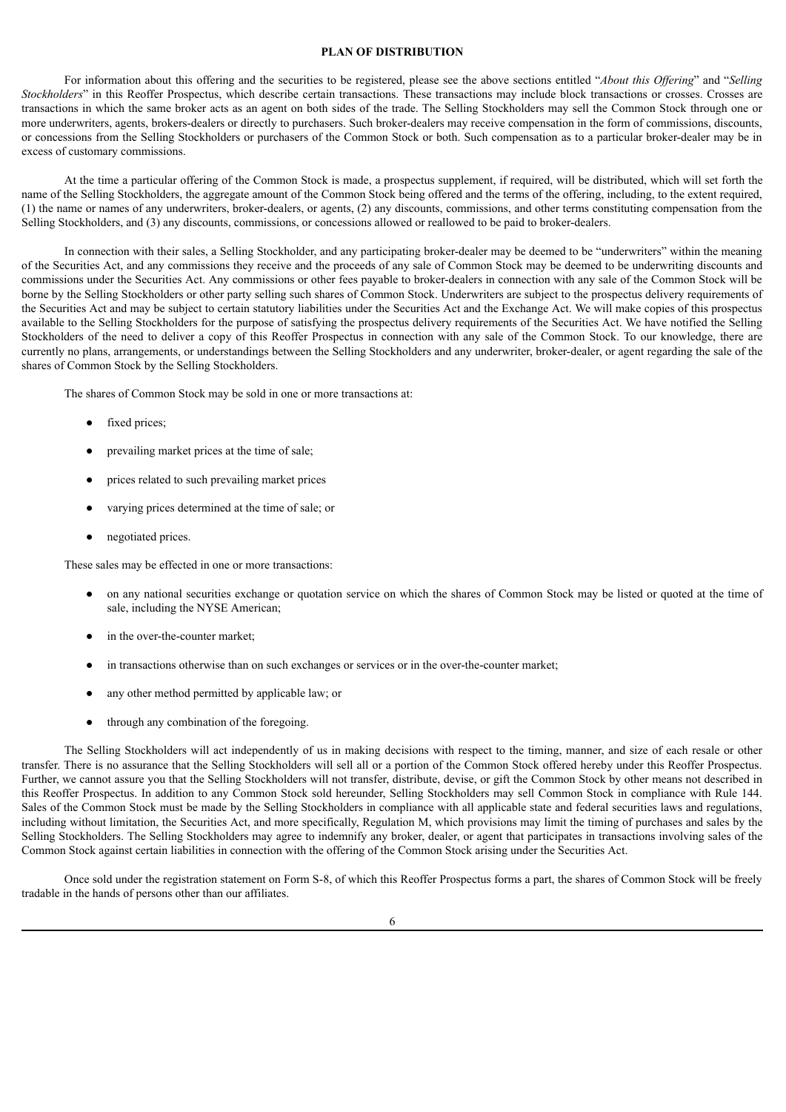#### **PLAN OF DISTRIBUTION**

<span id="page-12-0"></span>For information about this offering and the securities to be registered, please see the above sections entitled "*About this Of ering*" and "*Selling Stockholders*" in this Reoffer Prospectus, which describe certain transactions. These transactions may include block transactions or crosses. Crosses are transactions in which the same broker acts as an agent on both sides of the trade. The Selling Stockholders may sell the Common Stock through one or more underwriters, agents, brokers-dealers or directly to purchasers. Such broker-dealers may receive compensation in the form of commissions, discounts, or concessions from the Selling Stockholders or purchasers of the Common Stock or both. Such compensation as to a particular broker-dealer may be in excess of customary commissions.

At the time a particular offering of the Common Stock is made, a prospectus supplement, if required, will be distributed, which will set forth the name of the Selling Stockholders, the aggregate amount of the Common Stock being offered and the terms of the offering, including, to the extent required, (1) the name or names of any underwriters, broker-dealers, or agents, (2) any discounts, commissions, and other terms constituting compensation from the Selling Stockholders, and (3) any discounts, commissions, or concessions allowed or reallowed to be paid to broker-dealers.

In connection with their sales, a Selling Stockholder, and any participating broker-dealer may be deemed to be "underwriters" within the meaning of the Securities Act, and any commissions they receive and the proceeds of any sale of Common Stock may be deemed to be underwriting discounts and commissions under the Securities Act. Any commissions or other fees payable to broker-dealers in connection with any sale of the Common Stock will be borne by the Selling Stockholders or other party selling such shares of Common Stock. Underwriters are subject to the prospectus delivery requirements of the Securities Act and may be subject to certain statutory liabilities under the Securities Act and the Exchange Act. We will make copies of this prospectus available to the Selling Stockholders for the purpose of satisfying the prospectus delivery requirements of the Securities Act. We have notified the Selling Stockholders of the need to deliver a copy of this Reoffer Prospectus in connection with any sale of the Common Stock. To our knowledge, there are currently no plans, arrangements, or understandings between the Selling Stockholders and any underwriter, broker-dealer, or agent regarding the sale of the shares of Common Stock by the Selling Stockholders.

The shares of Common Stock may be sold in one or more transactions at:

- fixed prices;
- prevailing market prices at the time of sale;
- prices related to such prevailing market prices
- varying prices determined at the time of sale; or
- negotiated prices.

These sales may be effected in one or more transactions:

- on any national securities exchange or quotation service on which the shares of Common Stock may be listed or quoted at the time of sale, including the NYSE American;
- in the over-the-counter market;
- in transactions otherwise than on such exchanges or services or in the over-the-counter market;
- any other method permitted by applicable law; or
- through any combination of the foregoing.

The Selling Stockholders will act independently of us in making decisions with respect to the timing, manner, and size of each resale or other transfer. There is no assurance that the Selling Stockholders will sell all or a portion of the Common Stock offered hereby under this Reoffer Prospectus. Further, we cannot assure you that the Selling Stockholders will not transfer, distribute, devise, or gift the Common Stock by other means not described in this Reoffer Prospectus. In addition to any Common Stock sold hereunder, Selling Stockholders may sell Common Stock in compliance with Rule 144. Sales of the Common Stock must be made by the Selling Stockholders in compliance with all applicable state and federal securities laws and regulations, including without limitation, the Securities Act, and more specifically, Regulation M, which provisions may limit the timing of purchases and sales by the Selling Stockholders. The Selling Stockholders may agree to indemnify any broker, dealer, or agent that participates in transactions involving sales of the Common Stock against certain liabilities in connection with the offering of the Common Stock arising under the Securities Act.

Once sold under the registration statement on Form S-8, of which this Reoffer Prospectus forms a part, the shares of Common Stock will be freely tradable in the hands of persons other than our affiliates.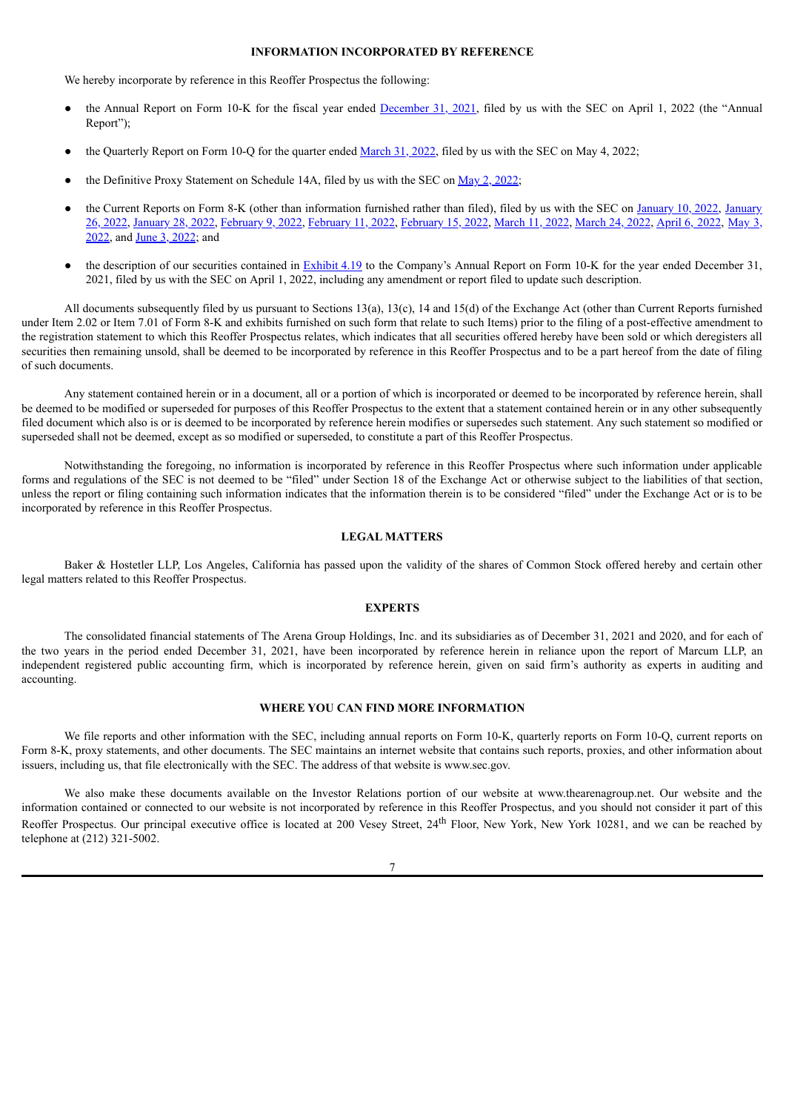#### **INFORMATION INCORPORATED BY REFERENCE**

<span id="page-13-0"></span>We hereby incorporate by reference in this Reoffer Prospectus the following:

- the Annual Report on Form 10-K for the fiscal year ended [December](https://www.sec.gov/ix?doc=/Archives/edgar/data/894871/000149315222008641/form10-k.htm) 31, 2021, filed by us with the SEC on April 1, 2022 (the "Annual Report");
- the Quarterly Report on Form 10-Q for the quarter ended [March](https://www.sec.gov/ix?doc=/Archives/edgar/data/894871/000149315222012088/form10-q.htm) 31, 2022, filed by us with the SEC on May 4, 2022;
- the Definitive Proxy Statement on Schedule 14A, filed by us with the SEC on  $\frac{\text{May 2, 2022}}{\text{My 2}}$ ;
- the Current Reports on Form 8-K (other than [information](https://www.sec.gov/ix?doc=/Archives/edgar/data/894871/000149315222002306/form8-k.htm) furnished rather than filed), filed by us with the SEC on [January](https://www.sec.gov/ix?doc=/Archives/edgar/data/894871/000149315222000850/form8-k.htm) 10, 2022, January 26, 2022, [January](https://www.sec.gov/ix?doc=/Archives/edgar/data/894871/000149315222002573/form8-k.htm) 28, 2022, [February](https://www.sec.gov/ix?doc=/Archives/edgar/data/894871/000149315222003602/form8-k.htm) 9, 2022, [February](https://www.sec.gov/ix?doc=/Archives/edgar/data/894871/000149315222003889/form8-k.htm) 11, 2022, [February](https://www.sec.gov/ix?doc=/Archives/edgar/data/894871/000149315222004672/form8-k.htm) 15, 2022, [March](https://www.sec.gov/ix?doc=/Archives/edgar/data/894871/000149315222006630/form8-k.htm) 11, 2022, [March](https://www.sec.gov/ix?doc=/Archives/edgar/data/894871/000149315222007648/form8k.htm) 24, 2022, [April](https://www.sec.gov/ix?doc=/Archives/edgar/data/894871/000149315222009190/form8-k.htm) 6, 2022, May 3, 2022, and June 3, [2022;](https://www.sec.gov/ix?doc=/Archives/edgar/data/894871/000149315222015825/form8-k.htm) and
- $\bullet$  the description of our securities contained in [Exhibit](https://www.sec.gov/Archives/edgar/data/894871/000149315222008641/ex4-19.htm) 4.19 to the Company's Annual Report on Form 10-K for the year ended December 31, 2021, filed by us with the SEC on April 1, 2022, including any amendment or report filed to update such description.

All documents subsequently filed by us pursuant to Sections 13(a), 13(c), 14 and 15(d) of the Exchange Act (other than Current Reports furnished under Item 2.02 or Item 7.01 of Form 8-K and exhibits furnished on such form that relate to such Items) prior to the filing of a post-effective amendment to the registration statement to which this Reoffer Prospectus relates, which indicates that all securities offered hereby have been sold or which deregisters all securities then remaining unsold, shall be deemed to be incorporated by reference in this Reoffer Prospectus and to be a part hereof from the date of filing of such documents.

Any statement contained herein or in a document, all or a portion of which is incorporated or deemed to be incorporated by reference herein, shall be deemed to be modified or superseded for purposes of this Reoffer Prospectus to the extent that a statement contained herein or in any other subsequently filed document which also is or is deemed to be incorporated by reference herein modifies or supersedes such statement. Any such statement so modified or superseded shall not be deemed, except as so modified or superseded, to constitute a part of this Reoffer Prospectus.

Notwithstanding the foregoing, no information is incorporated by reference in this Reoffer Prospectus where such information under applicable forms and regulations of the SEC is not deemed to be "filed" under Section 18 of the Exchange Act or otherwise subject to the liabilities of that section, unless the report or filing containing such information indicates that the information therein is to be considered "filed" under the Exchange Act or is to be incorporated by reference in this Reoffer Prospectus.

#### **LEGAL MATTERS**

<span id="page-13-1"></span>Baker & Hostetler LLP, Los Angeles, California has passed upon the validity of the shares of Common Stock offered hereby and certain other legal matters related to this Reoffer Prospectus.

#### **EXPERTS**

<span id="page-13-2"></span>The consolidated financial statements of The Arena Group Holdings, Inc. and its subsidiaries as of December 31, 2021 and 2020, and for each of the two years in the period ended December 31, 2021, have been incorporated by reference herein in reliance upon the report of Marcum LLP, an independent registered public accounting firm, which is incorporated by reference herein, given on said firm's authority as experts in auditing and accounting.

#### **WHERE YOU CAN FIND MORE INFORMATION**

<span id="page-13-3"></span>We file reports and other information with the SEC, including annual reports on Form 10-K, quarterly reports on Form 10-Q, current reports on Form 8-K, proxy statements, and other documents. The SEC maintains an internet website that contains such reports, proxies, and other information about issuers, including us, that file electronically with the SEC. The address of that website is www.sec.gov.

We also make these documents available on the Investor Relations portion of our website at www.thearenagroup.net. Our website and the information contained or connected to our website is not incorporated by reference in this Reoffer Prospectus, and you should not consider it part of this Reoffer Prospectus. Our principal executive office is located at 200 Vesey Street, 24<sup>th</sup> Floor, New York, New York 10281, and we can be reached by telephone at (212) 321-5002.

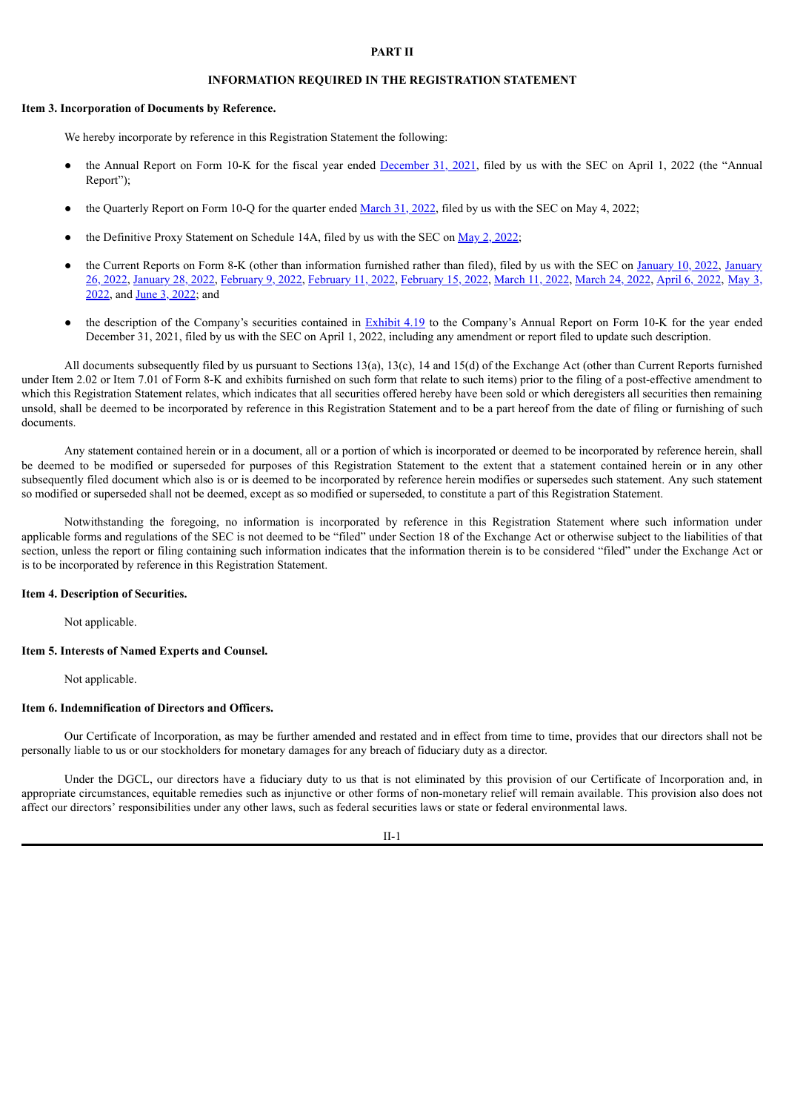#### **PART II**

# **INFORMATION REQUIRED IN THE REGISTRATION STATEMENT**

#### **Item 3. Incorporation of Documents by Reference.**

We hereby incorporate by reference in this Registration Statement the following:

- the Annual Report on Form 10-K for the fiscal year ended [December](https://www.sec.gov/ix?doc=/Archives/edgar/data/894871/000149315222008641/form10-k.htm) 31, 2021, filed by us with the SEC on April 1, 2022 (the "Annual Report");
- the Quarterly Report on Form 10-Q for the quarter ended [March](https://www.sec.gov/ix?doc=/Archives/edgar/data/894871/000149315222012088/form10-q.htm) 31, 2022, filed by us with the SEC on May 4, 2022;
- the Definitive Proxy Statement on Schedule 14A, filed by us with the SEC on May 2, [2022;](https://www.sec.gov/Archives/edgar/data/894871/000149315222011810/formdef14a.htm)
- the Current Reports on Form 8-K (other than [information](https://www.sec.gov/ix?doc=/Archives/edgar/data/894871/000149315222002306/form8-k.htm) furnished rather than filed), filed by us with the SEC on [January](https://www.sec.gov/ix?doc=/Archives/edgar/data/894871/000149315222000850/form8-k.htm) 10, 2022, January 26, 2022, [January](https://www.sec.gov/ix?doc=/Archives/edgar/data/894871/000149315222002573/form8-k.htm) 28, 2022, [February](https://www.sec.gov/ix?doc=/Archives/edgar/data/894871/000149315222003602/form8-k.htm) 9, 2022, [February](https://www.sec.gov/ix?doc=/Archives/edgar/data/894871/000149315222003889/form8-k.htm) 11, 2022, [February](https://www.sec.gov/ix?doc=/Archives/edgar/data/894871/000149315222004672/form8-k.htm) 15, 2022, [March](https://www.sec.gov/ix?doc=/Archives/edgar/data/894871/000149315222006630/form8-k.htm) 11, 2022, [March](https://www.sec.gov/ix?doc=/Archives/edgar/data/894871/000149315222007648/form8k.htm) 24, 2022, [April](https://www.sec.gov/ix?doc=/Archives/edgar/data/894871/000149315222009190/form8-k.htm) 6, 2022, May 3, 2022, and June 3, [2022;](http://www.sec.gov/ix?doc=/Archives/edgar/data/894871/000149315222015825/form8-k.htm) and
- the description of the Company's securities contained in [Exhibit](https://www.sec.gov/Archives/edgar/data/894871/000149315222008641/ex4-19.htm) 4.19 to the Company's Annual Report on Form 10-K for the year ended December 31, 2021, filed by us with the SEC on April 1, 2022, including any amendment or report filed to update such description.

All documents subsequently filed by us pursuant to Sections 13(a), 13(c), 14 and 15(d) of the Exchange Act (other than Current Reports furnished under Item 2.02 or Item 7.01 of Form 8-K and exhibits furnished on such form that relate to such items) prior to the filing of a post-effective amendment to which this Registration Statement relates, which indicates that all securities offered hereby have been sold or which deregisters all securities then remaining unsold, shall be deemed to be incorporated by reference in this Registration Statement and to be a part hereof from the date of filing or furnishing of such documents.

Any statement contained herein or in a document, all or a portion of which is incorporated or deemed to be incorporated by reference herein, shall be deemed to be modified or superseded for purposes of this Registration Statement to the extent that a statement contained herein or in any other subsequently filed document which also is or is deemed to be incorporated by reference herein modifies or supersedes such statement. Any such statement so modified or superseded shall not be deemed, except as so modified or superseded, to constitute a part of this Registration Statement.

Notwithstanding the foregoing, no information is incorporated by reference in this Registration Statement where such information under applicable forms and regulations of the SEC is not deemed to be "filed" under Section 18 of the Exchange Act or otherwise subject to the liabilities of that section, unless the report or filing containing such information indicates that the information therein is to be considered "filed" under the Exchange Act or is to be incorporated by reference in this Registration Statement.

#### **Item 4. Description of Securities.**

Not applicable.

#### **Item 5. Interests of Named Experts and Counsel.**

Not applicable.

#### **Item 6. Indemnification of Directors and Officers.**

Our Certificate of Incorporation, as may be further amended and restated and in effect from time to time, provides that our directors shall not be personally liable to us or our stockholders for monetary damages for any breach of fiduciary duty as a director.

Under the DGCL, our directors have a fiduciary duty to us that is not eliminated by this provision of our Certificate of Incorporation and, in appropriate circumstances, equitable remedies such as injunctive or other forms of non-monetary relief will remain available. This provision also does not affect our directors' responsibilities under any other laws, such as federal securities laws or state or federal environmental laws.

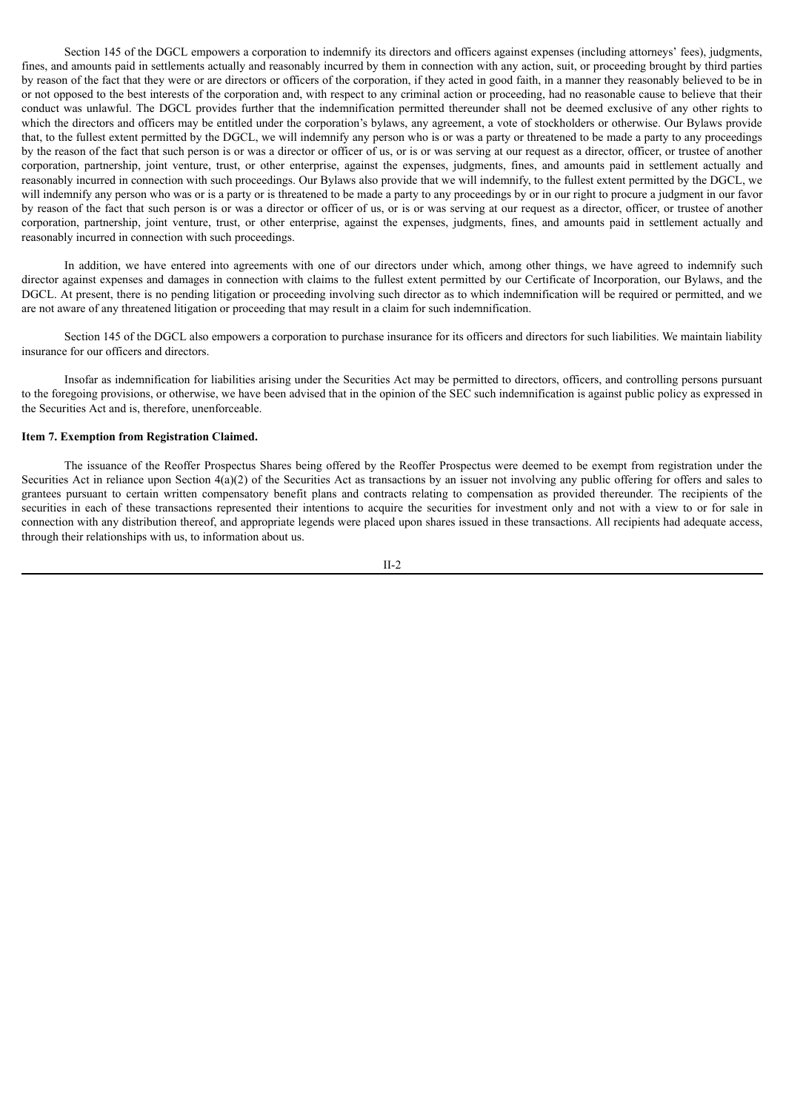Section 145 of the DGCL empowers a corporation to indemnify its directors and officers against expenses (including attorneys' fees), judgments, fines, and amounts paid in settlements actually and reasonably incurred by them in connection with any action, suit, or proceeding brought by third parties by reason of the fact that they were or are directors or officers of the corporation, if they acted in good faith, in a manner they reasonably believed to be in or not opposed to the best interests of the corporation and, with respect to any criminal action or proceeding, had no reasonable cause to believe that their conduct was unlawful. The DGCL provides further that the indemnification permitted thereunder shall not be deemed exclusive of any other rights to which the directors and officers may be entitled under the corporation's bylaws, any agreement, a vote of stockholders or otherwise. Our Bylaws provide that, to the fullest extent permitted by the DGCL, we will indemnify any person who is or was a party or threatened to be made a party to any proceedings by the reason of the fact that such person is or was a director or officer of us, or is or was serving at our request as a director, officer, or trustee of another corporation, partnership, joint venture, trust, or other enterprise, against the expenses, judgments, fines, and amounts paid in settlement actually and reasonably incurred in connection with such proceedings. Our Bylaws also provide that we will indemnify, to the fullest extent permitted by the DGCL, we will indemnify any person who was or is a party or is threatened to be made a party to any proceedings by or in our right to procure a judgment in our favor by reason of the fact that such person is or was a director or officer of us, or is or was serving at our request as a director, officer, or trustee of another corporation, partnership, joint venture, trust, or other enterprise, against the expenses, judgments, fines, and amounts paid in settlement actually and reasonably incurred in connection with such proceedings.

In addition, we have entered into agreements with one of our directors under which, among other things, we have agreed to indemnify such director against expenses and damages in connection with claims to the fullest extent permitted by our Certificate of Incorporation, our Bylaws, and the DGCL. At present, there is no pending litigation or proceeding involving such director as to which indemnification will be required or permitted, and we are not aware of any threatened litigation or proceeding that may result in a claim for such indemnification.

Section 145 of the DGCL also empowers a corporation to purchase insurance for its officers and directors for such liabilities. We maintain liability insurance for our officers and directors.

Insofar as indemnification for liabilities arising under the Securities Act may be permitted to directors, officers, and controlling persons pursuant to the foregoing provisions, or otherwise, we have been advised that in the opinion of the SEC such indemnification is against public policy as expressed in the Securities Act and is, therefore, unenforceable.

#### **Item 7. Exemption from Registration Claimed.**

The issuance of the Reoffer Prospectus Shares being offered by the Reoffer Prospectus were deemed to be exempt from registration under the Securities Act in reliance upon Section  $4(a)(2)$  of the Securities Act as transactions by an issuer not involving any public offering for offers and sales to grantees pursuant to certain written compensatory benefit plans and contracts relating to compensation as provided thereunder. The recipients of the securities in each of these transactions represented their intentions to acquire the securities for investment only and not with a view to or for sale in connection with any distribution thereof, and appropriate legends were placed upon shares issued in these transactions. All recipients had adequate access, through their relationships with us, to information about us.

II-2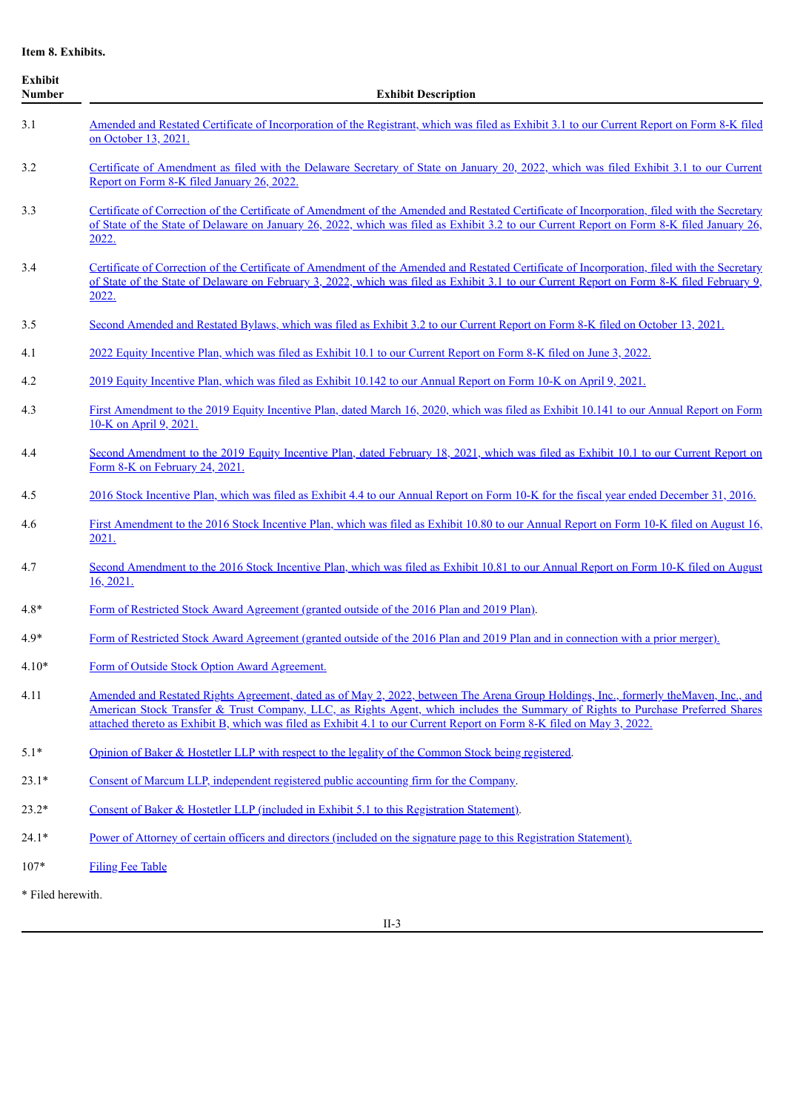**Item 8. Exhibits.**

| <b>Exhibit</b><br><b>Number</b> | <b>Exhibit Description</b>                                                                                                                                                                                                                                                                                                                                                                         |
|---------------------------------|----------------------------------------------------------------------------------------------------------------------------------------------------------------------------------------------------------------------------------------------------------------------------------------------------------------------------------------------------------------------------------------------------|
| 3.1                             | Amended and Restated Certificate of Incorporation of the Registrant, which was filed as Exhibit 3.1 to our Current Report on Form 8-K filed<br>on October 13, 2021.                                                                                                                                                                                                                                |
| 3.2                             | Certificate of Amendment as filed with the Delaware Secretary of State on January 20, 2022, which was filed Exhibit 3.1 to our Current<br>Report on Form 8-K filed January 26, 2022.                                                                                                                                                                                                               |
| 3.3                             | Certificate of Correction of the Certificate of Amendment of the Amended and Restated Certificate of Incorporation, filed with the Secretary<br>of State of the State of Delaware on January 26, 2022, which was filed as Exhibit 3.2 to our Current Report on Form 8-K filed January 26,<br>2022.                                                                                                 |
| 3.4                             | Certificate of Correction of the Certificate of Amendment of the Amended and Restated Certificate of Incorporation, filed with the Secretary<br>of State of the State of Delaware on February 3, 2022, which was filed as Exhibit 3.1 to our Current Report on Form 8-K filed February 9,<br>2022.                                                                                                 |
| 3.5                             | Second Amended and Restated Bylaws, which was filed as Exhibit 3.2 to our Current Report on Form 8-K filed on October 13, 2021.                                                                                                                                                                                                                                                                    |
| 4.1                             | 2022 Equity Incentive Plan, which was filed as Exhibit 10.1 to our Current Report on Form 8-K filed on June 3, 2022.                                                                                                                                                                                                                                                                               |
| 4.2                             | 2019 Equity Incentive Plan, which was filed as Exhibit 10.142 to our Annual Report on Form 10-K on April 9, 2021.                                                                                                                                                                                                                                                                                  |
| 4.3                             | First Amendment to the 2019 Equity Incentive Plan, dated March 16, 2020, which was filed as Exhibit 10.141 to our Annual Report on Form<br>10-K on April 9, 2021.                                                                                                                                                                                                                                  |
| 4.4                             | Second Amendment to the 2019 Equity Incentive Plan, dated February 18, 2021, which was filed as Exhibit 10.1 to our Current Report on<br>Form 8-K on February 24, 2021.                                                                                                                                                                                                                            |
| 4.5                             | 2016 Stock Incentive Plan, which was filed as Exhibit 4.4 to our Annual Report on Form 10-K for the fiscal year ended December 31, 2016.                                                                                                                                                                                                                                                           |
| 4.6                             | First Amendment to the 2016 Stock Incentive Plan, which was filed as Exhibit 10.80 to our Annual Report on Form 10-K filed on August 16,<br>2021.                                                                                                                                                                                                                                                  |
| 4.7                             | Second Amendment to the 2016 Stock Incentive Plan, which was filed as Exhibit 10.81 to our Annual Report on Form 10-K filed on August<br>16, 2021.                                                                                                                                                                                                                                                 |
| $4.8*$                          | Form of Restricted Stock Award Agreement (granted outside of the 2016 Plan and 2019 Plan).                                                                                                                                                                                                                                                                                                         |
| $4.9*$                          | Form of Restricted Stock Award Agreement (granted outside of the 2016 Plan and 2019 Plan and in connection with a prior merger).                                                                                                                                                                                                                                                                   |
| $4.10*$                         | Form of Outside Stock Option Award Agreement.                                                                                                                                                                                                                                                                                                                                                      |
| 4.11                            | Amended and Restated Rights Agreement, dated as of May 2, 2022, between The Arena Group Holdings, Inc., formerly the Maven, Inc., and<br>American Stock Transfer & Trust Company, LLC, as Rights Agent, which includes the Summary of Rights to Purchase Preferred Shares<br>attached thereto as Exhibit B, which was filed as Exhibit 4.1 to our Current Report on Form 8-K filed on May 3, 2022. |
| $5.1*$                          | Opinion of Baker & Hostetler LLP with respect to the legality of the Common Stock being registered.                                                                                                                                                                                                                                                                                                |
| $23.1*$                         | Consent of Marcum LLP, independent registered public accounting firm for the Company.                                                                                                                                                                                                                                                                                                              |
| $23.2*$                         | Consent of Baker & Hostetler LLP (included in Exhibit 5.1 to this Registration Statement).                                                                                                                                                                                                                                                                                                         |
| $24.1*$                         | Power of Attorney of certain officers and directors (included on the signature page to this Registration Statement).                                                                                                                                                                                                                                                                               |
| $107*$                          | <b>Filing Fee Table</b>                                                                                                                                                                                                                                                                                                                                                                            |
| * Filed herewith.               |                                                                                                                                                                                                                                                                                                                                                                                                    |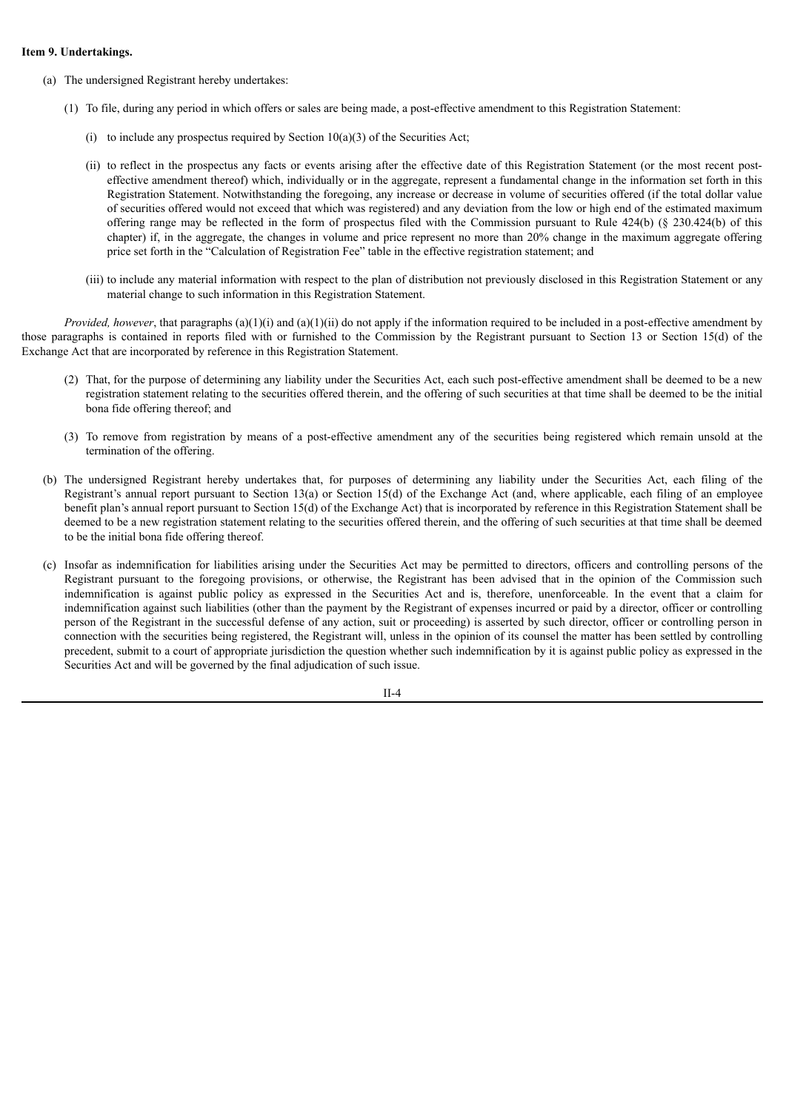#### **Item 9. Undertakings.**

- (a) The undersigned Registrant hereby undertakes:
	- (1) To file, during any period in which offers or sales are being made, a post-effective amendment to this Registration Statement:
		- (i) to include any prospectus required by Section  $10(a)(3)$  of the Securities Act;
		- (ii) to reflect in the prospectus any facts or events arising after the effective date of this Registration Statement (or the most recent posteffective amendment thereof) which, individually or in the aggregate, represent a fundamental change in the information set forth in this Registration Statement. Notwithstanding the foregoing, any increase or decrease in volume of securities offered (if the total dollar value of securities offered would not exceed that which was registered) and any deviation from the low or high end of the estimated maximum offering range may be reflected in the form of prospectus filed with the Commission pursuant to Rule 424(b) (§ 230.424(b) of this chapter) if, in the aggregate, the changes in volume and price represent no more than 20% change in the maximum aggregate offering price set forth in the "Calculation of Registration Fee" table in the effective registration statement; and
		- (iii) to include any material information with respect to the plan of distribution not previously disclosed in this Registration Statement or any material change to such information in this Registration Statement.

*Provided, however*, that paragraphs (a)(1)(i) and (a)(1)(ii) do not apply if the information required to be included in a post-effective amendment by those paragraphs is contained in reports filed with or furnished to the Commission by the Registrant pursuant to Section 13 or Section 15(d) of the Exchange Act that are incorporated by reference in this Registration Statement.

- (2) That, for the purpose of determining any liability under the Securities Act, each such post-effective amendment shall be deemed to be a new registration statement relating to the securities offered therein, and the offering of such securities at that time shall be deemed to be the initial bona fide offering thereof; and
- (3) To remove from registration by means of a post-effective amendment any of the securities being registered which remain unsold at the termination of the offering.
- (b) The undersigned Registrant hereby undertakes that, for purposes of determining any liability under the Securities Act, each filing of the Registrant's annual report pursuant to Section 13(a) or Section 15(d) of the Exchange Act (and, where applicable, each filing of an employee benefit plan's annual report pursuant to Section 15(d) of the Exchange Act) that is incorporated by reference in this Registration Statement shall be deemed to be a new registration statement relating to the securities offered therein, and the offering of such securities at that time shall be deemed to be the initial bona fide offering thereof.
- (c) Insofar as indemnification for liabilities arising under the Securities Act may be permitted to directors, officers and controlling persons of the Registrant pursuant to the foregoing provisions, or otherwise, the Registrant has been advised that in the opinion of the Commission such indemnification is against public policy as expressed in the Securities Act and is, therefore, unenforceable. In the event that a claim for indemnification against such liabilities (other than the payment by the Registrant of expenses incurred or paid by a director, officer or controlling person of the Registrant in the successful defense of any action, suit or proceeding) is asserted by such director, officer or controlling person in connection with the securities being registered, the Registrant will, unless in the opinion of its counsel the matter has been settled by controlling precedent, submit to a court of appropriate jurisdiction the question whether such indemnification by it is against public policy as expressed in the Securities Act and will be governed by the final adjudication of such issue.

 $II - 4$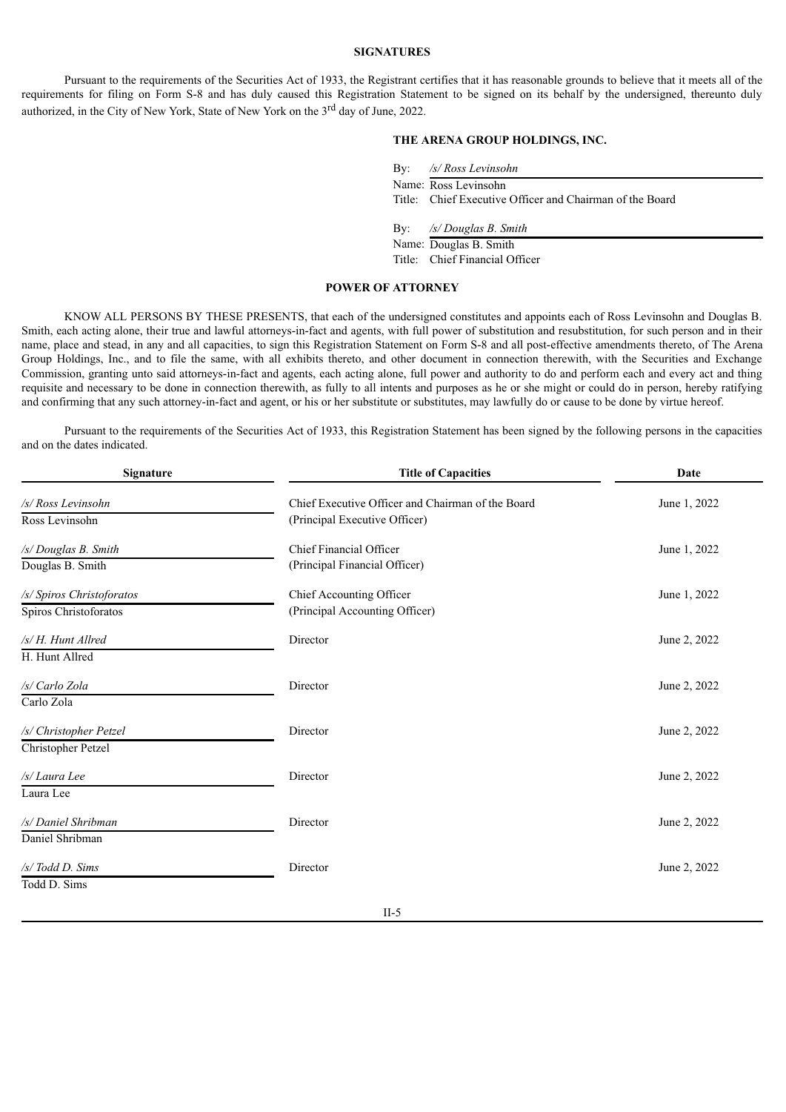#### **SIGNATURES**

Pursuant to the requirements of the Securities Act of 1933, the Registrant certifies that it has reasonable grounds to believe that it meets all of the requirements for filing on Form S-8 and has duly caused this Registration Statement to be signed on its behalf by the undersigned, thereunto duly authorized, in the City of New York, State of New York on the 3<sup>rd</sup> day of June, 2022.

# **THE ARENA GROUP HOLDINGS, INC.**

By: */s/ Ross Levinsohn*

Title: Chief Executive Officer and Chairman of the Board

By: */s/ Douglas B. Smith*

Name: Douglas B. Smith Title: Chief Financial Officer

# **POWER OF ATTORNEY**

<span id="page-18-0"></span>KNOW ALL PERSONS BY THESE PRESENTS, that each of the undersigned constitutes and appoints each of Ross Levinsohn and Douglas B. Smith, each acting alone, their true and lawful attorneys-in-fact and agents, with full power of substitution and resubstitution, for such person and in their name, place and stead, in any and all capacities, to sign this Registration Statement on Form S-8 and all post-effective amendments thereto, of The Arena Group Holdings, Inc., and to file the same, with all exhibits thereto, and other document in connection therewith, with the Securities and Exchange Commission, granting unto said attorneys-in-fact and agents, each acting alone, full power and authority to do and perform each and every act and thing requisite and necessary to be done in connection therewith, as fully to all intents and purposes as he or she might or could do in person, hereby ratifying and confirming that any such attorney-in-fact and agent, or his or her substitute or substitutes, may lawfully do or cause to be done by virtue hereof.

Pursuant to the requirements of the Securities Act of 1933, this Registration Statement has been signed by the following persons in the capacities and on the dates indicated.

| Signature                 | <b>Title of Capacities</b>                        | Date         |
|---------------------------|---------------------------------------------------|--------------|
| /s/ Ross Levinsohn        | Chief Executive Officer and Chairman of the Board | June 1, 2022 |
| Ross Levinsohn            | (Principal Executive Officer)                     |              |
| /s/ Douglas B. Smith      | Chief Financial Officer                           | June 1, 2022 |
| Douglas B. Smith          | (Principal Financial Officer)                     |              |
| /s/ Spiros Christoforatos | Chief Accounting Officer                          | June 1, 2022 |
| Spiros Christoforatos     | (Principal Accounting Officer)                    |              |
| /s/H. Hunt Allred         | Director                                          | June 2, 2022 |
| H. Hunt Allred            |                                                   |              |
| /s/ Carlo Zola            | Director                                          | June 2, 2022 |
| Carlo Zola                |                                                   |              |
| /s/ Christopher Petzel    | Director                                          | June 2, 2022 |
| Christopher Petzel        |                                                   |              |
| /s/ Laura Lee             | Director                                          | June 2, 2022 |
| Laura Lee                 |                                                   |              |
| /s/ Daniel Shribman       | Director                                          | June 2, 2022 |
| Daniel Shribman           |                                                   |              |
| /s/ Todd D. Sims          | Director                                          | June 2, 2022 |
| Todd D. Sims              |                                                   |              |
|                           | TT F                                              |              |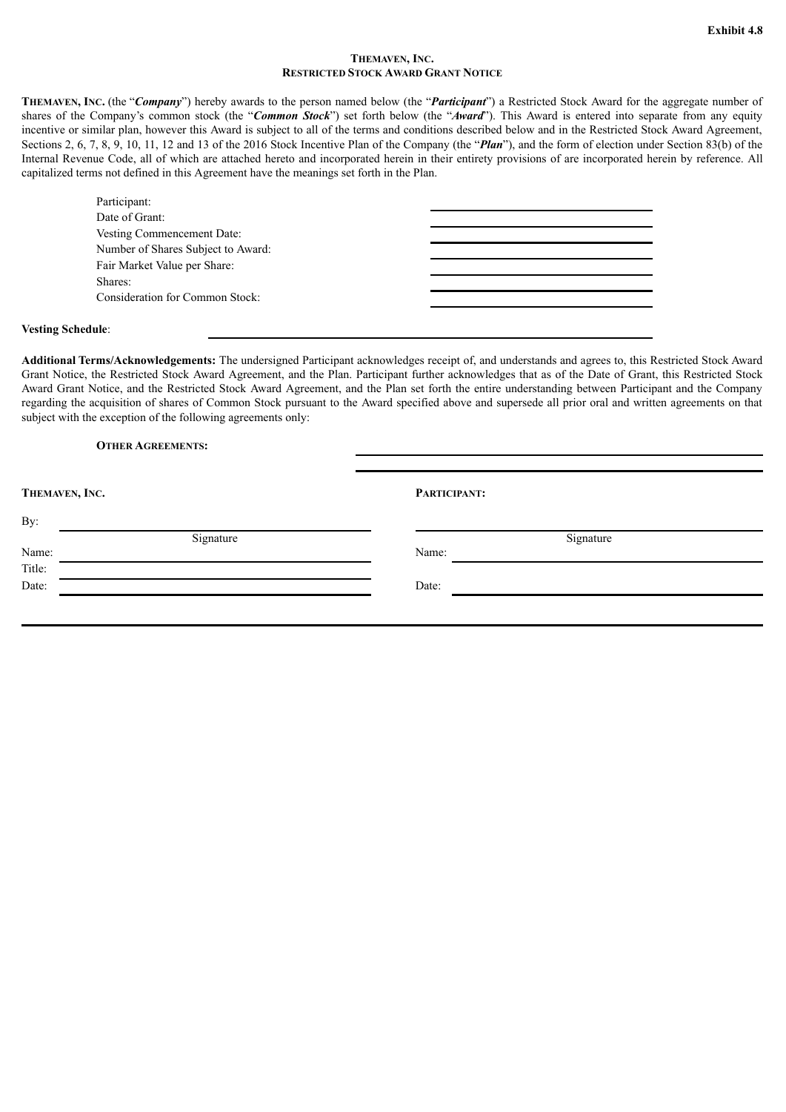#### **THEMAVEN, INC. RESTRICTED STOCK AWARD GRANT NOTICE**

<span id="page-19-0"></span>**THEMAVEN, INC.** (the "*Company*") hereby awards to the person named below (the "*Participant*") a Restricted Stock Award for the aggregate number of shares of the Company's common stock (the "*Common Stock*") set forth below (the "*Award*"). This Award is entered into separate from any equity incentive or similar plan, however this Award is subject to all of the terms and conditions described below and in the Restricted Stock Award Agreement, Sections 2, 6, 7, 8, 9, 10, 11, 12 and 13 of the 2016 Stock Incentive Plan of the Company (the "*Plan*"), and the form of election under Section 83(b) of the Internal Revenue Code, all of which are attached hereto and incorporated herein in their entirety provisions of are incorporated herein by reference. All capitalized terms not defined in this Agreement have the meanings set forth in the Plan.

| Participant:                       |  |
|------------------------------------|--|
| Date of Grant:                     |  |
| Vesting Commencement Date:         |  |
| Number of Shares Subject to Award: |  |
| Fair Market Value per Share:       |  |
| Shares:                            |  |
| Consideration for Common Stock:    |  |
|                                    |  |

#### **Vesting Schedule**:

**Additional Terms/Acknowledgements:** The undersigned Participant acknowledges receipt of, and understands and agrees to, this Restricted Stock Award Grant Notice, the Restricted Stock Award Agreement, and the Plan. Participant further acknowledges that as of the Date of Grant, this Restricted Stock Award Grant Notice, and the Restricted Stock Award Agreement, and the Plan set forth the entire understanding between Participant and the Company regarding the acquisition of shares of Common Stock pursuant to the Award specified above and supersede all prior oral and written agreements on that subject with the exception of the following agreements only:

# **OTHER AGREEMENTS:**

| THEMAVEN, INC. |           | PARTICIPANT: |
|----------------|-----------|--------------|
| By:            |           |              |
|                | Signature | Signature    |
| Name:          |           | Name:        |
| Title:         |           |              |
| Date:          |           | Date:        |
|                |           |              |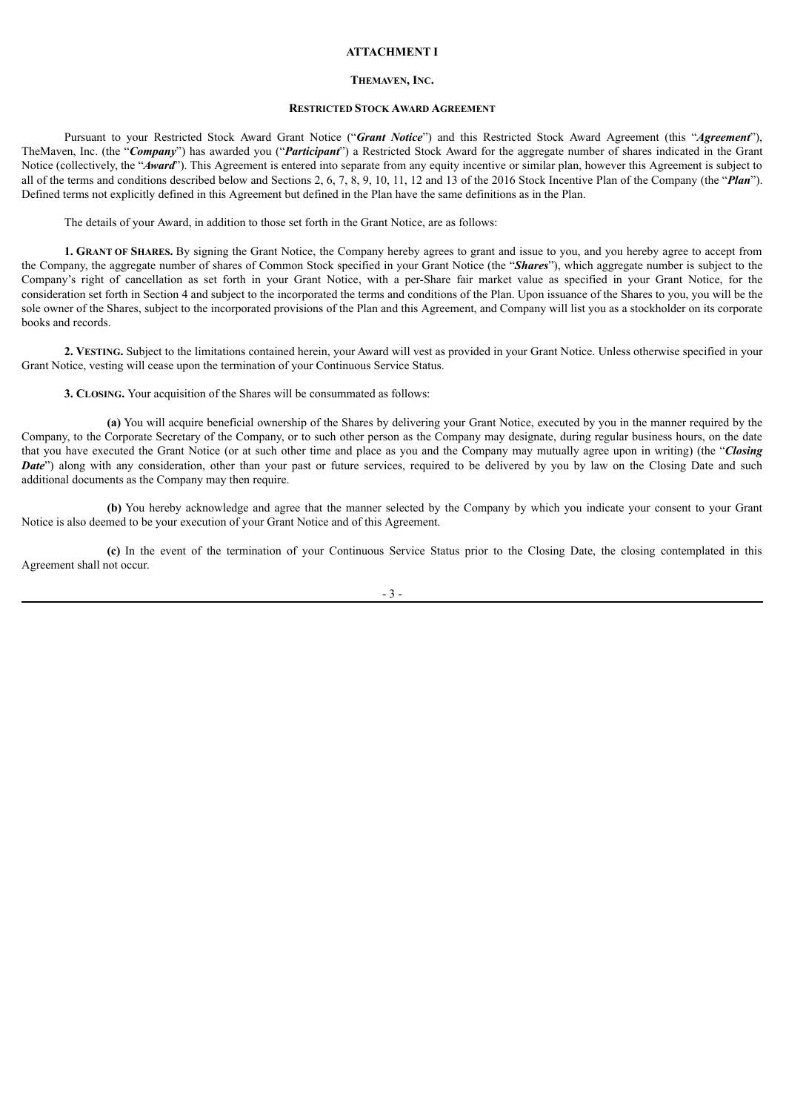#### **ATTACHMENT I**

#### **THEMAVEN, INC.**

#### **RESTRICTED STOCK AWARD AGREEMENT**

Pursuant to your Restricted Stock Award Grant Notice ("*Grant Notice*") and this Restricted Stock Award Agreement (this "*Agreement*"), TheMaven, Inc. (the "*Company*") has awarded you ("*Participant*") a Restricted Stock Award for the aggregate number of shares indicated in the Grant Notice (collectively, the "*Award*"). This Agreement is entered into separate from any equity incentive or similar plan, however this Agreement is subject to all of the terms and conditions described below and Sections 2, 6, 7, 8, 9, 10, 11, 12 and 13 of the 2016 Stock Incentive Plan of the Company (the "*Plan*"). Defined terms not explicitly defined in this Agreement but defined in the Plan have the same definitions as in the Plan.

The details of your Award, in addition to those set forth in the Grant Notice, are as follows:

**1. GRANT OF SHARES.** By signing the Grant Notice, the Company hereby agrees to grant and issue to you, and you hereby agree to accept from the Company, the aggregate number of shares of Common Stock specified in your Grant Notice (the "*Shares*"), which aggregate number is subject to the Company's right of cancellation as set forth in your Grant Notice, with a per-Share fair market value as specified in your Grant Notice, for the consideration set forth in Section 4 and subject to the incorporated the terms and conditions of the Plan. Upon issuance of the Shares to you, you will be the sole owner of the Shares, subject to the incorporated provisions of the Plan and this Agreement, and Company will list you as a stockholder on its corporate books and records.

**2. VESTING.** Subject to the limitations contained herein, your Award will vest as provided in your Grant Notice. Unless otherwise specified in your Grant Notice, vesting will cease upon the termination of your Continuous Service Status.

**3. CLOSING.** Your acquisition of the Shares will be consummated as follows:

**(a)** You will acquire beneficial ownership of the Shares by delivering your Grant Notice, executed by you in the manner required by the Company, to the Corporate Secretary of the Company, or to such other person as the Company may designate, during regular business hours, on the date that you have executed the Grant Notice (or at such other time and place as you and the Company may mutually agree upon in writing) (the "*Closing Date*") along with any consideration, other than your past or future services, required to be delivered by you by law on the Closing Date and such additional documents as the Company may then require.

**(b)** You hereby acknowledge and agree that the manner selected by the Company by which you indicate your consent to your Grant Notice is also deemed to be your execution of your Grant Notice and of this Agreement.

**(c)** In the event of the termination of your Continuous Service Status prior to the Closing Date, the closing contemplated in this Agreement shall not occur.

- 3 -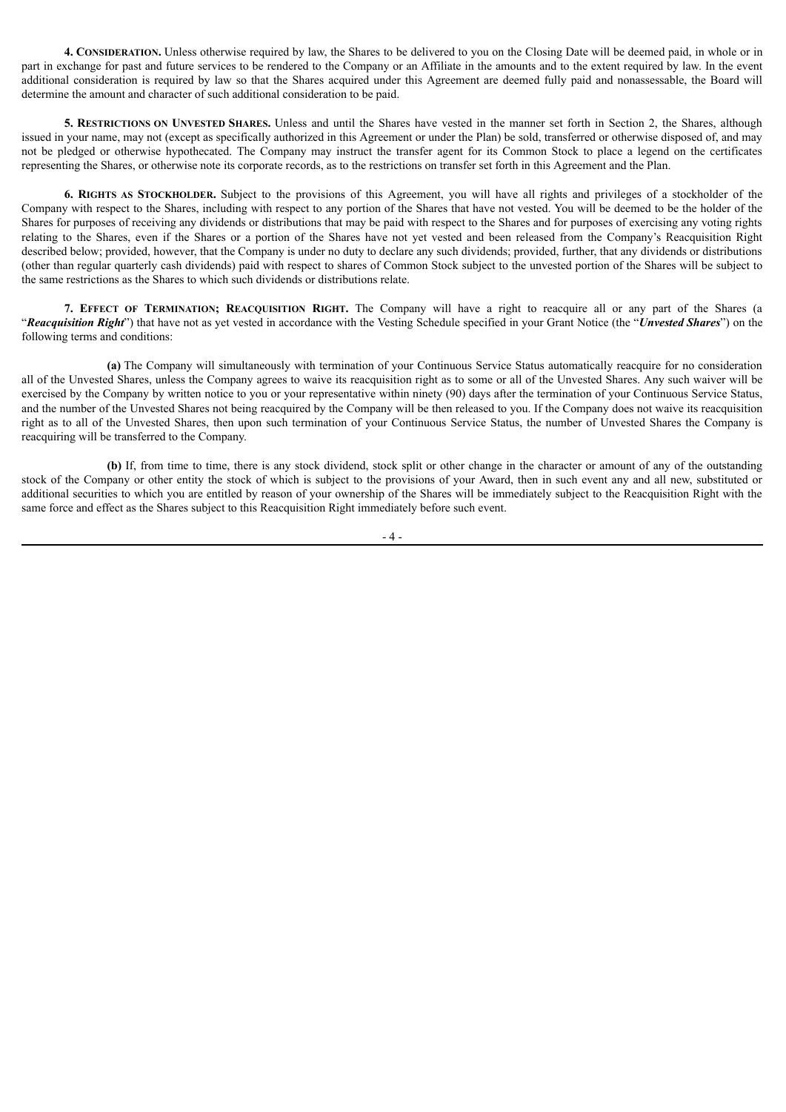**4. CONSIDERATION.** Unless otherwise required by law, the Shares to be delivered to you on the Closing Date will be deemed paid, in whole or in part in exchange for past and future services to be rendered to the Company or an Affiliate in the amounts and to the extent required by law. In the event additional consideration is required by law so that the Shares acquired under this Agreement are deemed fully paid and nonassessable, the Board will determine the amount and character of such additional consideration to be paid.

**5. RESTRICTIONS ON UNVESTED SHARES.** Unless and until the Shares have vested in the manner set forth in Section 2, the Shares, although issued in your name, may not (except as specifically authorized in this Agreement or under the Plan) be sold, transferred or otherwise disposed of, and may not be pledged or otherwise hypothecated. The Company may instruct the transfer agent for its Common Stock to place a legend on the certificates representing the Shares, or otherwise note its corporate records, as to the restrictions on transfer set forth in this Agreement and the Plan.

**6. RIGHTS AS STOCKHOLDER.** Subject to the provisions of this Agreement, you will have all rights and privileges of a stockholder of the Company with respect to the Shares, including with respect to any portion of the Shares that have not vested. You will be deemed to be the holder of the Shares for purposes of receiving any dividends or distributions that may be paid with respect to the Shares and for purposes of exercising any voting rights relating to the Shares, even if the Shares or a portion of the Shares have not yet vested and been released from the Company's Reacquisition Right described below; provided, however, that the Company is under no duty to declare any such dividends; provided, further, that any dividends or distributions (other than regular quarterly cash dividends) paid with respect to shares of Common Stock subject to the unvested portion of the Shares will be subject to the same restrictions as the Shares to which such dividends or distributions relate.

**7. EFFECT OF TERMINATION; REACQUISITION RIGHT.** The Company will have a right to reacquire all or any part of the Shares (a "*Reacquisition Right*") that have not as yet vested in accordance with the Vesting Schedule specified in your Grant Notice (the "*Unvested Shares*") on the following terms and conditions:

**(a)** The Company will simultaneously with termination of your Continuous Service Status automatically reacquire for no consideration all of the Unvested Shares, unless the Company agrees to waive its reacquisition right as to some or all of the Unvested Shares. Any such waiver will be exercised by the Company by written notice to you or your representative within ninety (90) days after the termination of your Continuous Service Status, and the number of the Unvested Shares not being reacquired by the Company will be then released to you. If the Company does not waive its reacquisition right as to all of the Unvested Shares, then upon such termination of your Continuous Service Status, the number of Unvested Shares the Company is reacquiring will be transferred to the Company.

**(b)** If, from time to time, there is any stock dividend, stock split or other change in the character or amount of any of the outstanding stock of the Company or other entity the stock of which is subject to the provisions of your Award, then in such event any and all new, substituted or additional securities to which you are entitled by reason of your ownership of the Shares will be immediately subject to the Reacquisition Right with the same force and effect as the Shares subject to this Reacquisition Right immediately before such event.

- 4 -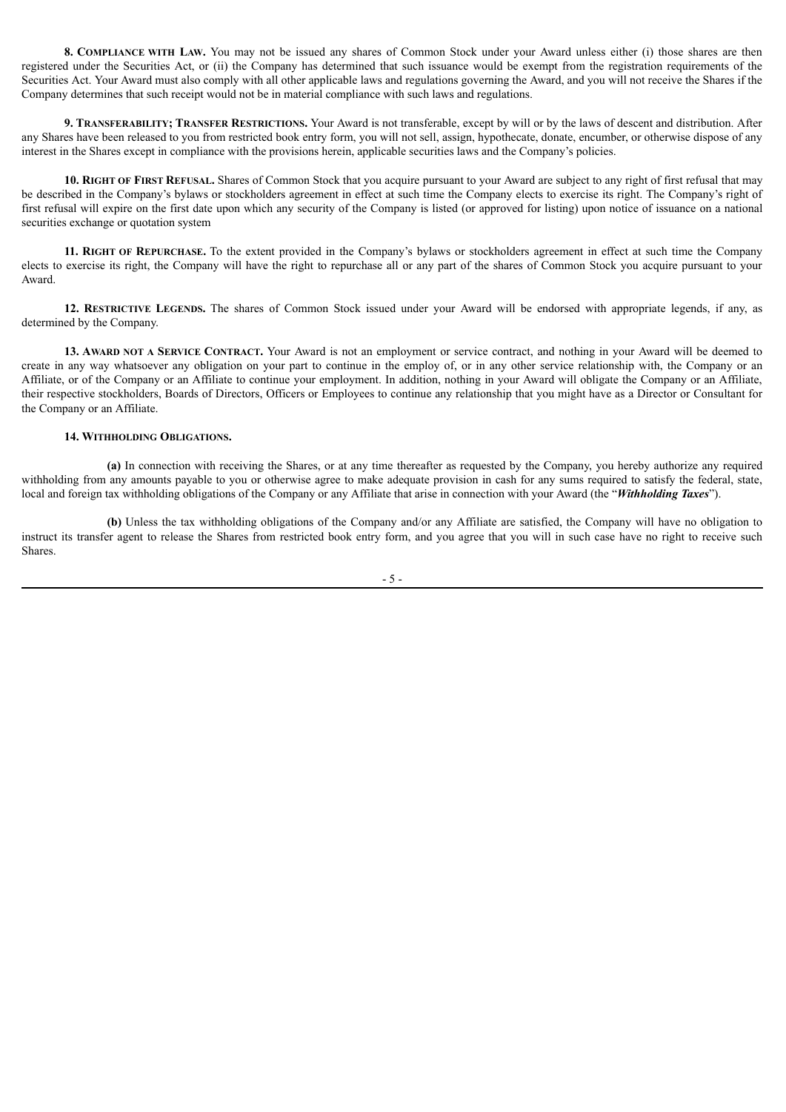**8. COMPLIANCE WITH LAW.** You may not be issued any shares of Common Stock under your Award unless either (i) those shares are then registered under the Securities Act, or (ii) the Company has determined that such issuance would be exempt from the registration requirements of the Securities Act. Your Award must also comply with all other applicable laws and regulations governing the Award, and you will not receive the Shares if the Company determines that such receipt would not be in material compliance with such laws and regulations.

**9. TRANSFERABILITY; TRANSFER RESTRICTIONS.** Your Award is not transferable, except by will or by the laws of descent and distribution. After any Shares have been released to you from restricted book entry form, you will not sell, assign, hypothecate, donate, encumber, or otherwise dispose of any interest in the Shares except in compliance with the provisions herein, applicable securities laws and the Company's policies.

**10. RIGHT OF FIRST REFUSAL.** Shares of Common Stock that you acquire pursuant to your Award are subject to any right of first refusal that may be described in the Company's bylaws or stockholders agreement in effect at such time the Company elects to exercise its right. The Company's right of first refusal will expire on the first date upon which any security of the Company is listed (or approved for listing) upon notice of issuance on a national securities exchange or quotation system

**11. RIGHT OF REPURCHASE.** To the extent provided in the Company's bylaws or stockholders agreement in effect at such time the Company elects to exercise its right, the Company will have the right to repurchase all or any part of the shares of Common Stock you acquire pursuant to your Award.

**12. RESTRICTIVE LEGENDS.** The shares of Common Stock issued under your Award will be endorsed with appropriate legends, if any, as determined by the Company.

**13. AWARD NOT A SERVICE CONTRACT.** Your Award is not an employment or service contract, and nothing in your Award will be deemed to create in any way whatsoever any obligation on your part to continue in the employ of, or in any other service relationship with, the Company or an Affiliate, or of the Company or an Affiliate to continue your employment. In addition, nothing in your Award will obligate the Company or an Affiliate, their respective stockholders, Boards of Directors, Officers or Employees to continue any relationship that you might have as a Director or Consultant for the Company or an Affiliate.

#### **14. WITHHOLDING OBLIGATIONS.**

**(a)** In connection with receiving the Shares, or at any time thereafter as requested by the Company, you hereby authorize any required withholding from any amounts payable to you or otherwise agree to make adequate provision in cash for any sums required to satisfy the federal, state, local and foreign tax withholding obligations of the Company or any Affiliate that arise in connection with your Award (the "*Withholding Taxes*").

**(b)** Unless the tax withholding obligations of the Company and/or any Affiliate are satisfied, the Company will have no obligation to instruct its transfer agent to release the Shares from restricted book entry form, and you agree that you will in such case have no right to receive such Shares.

- 5 -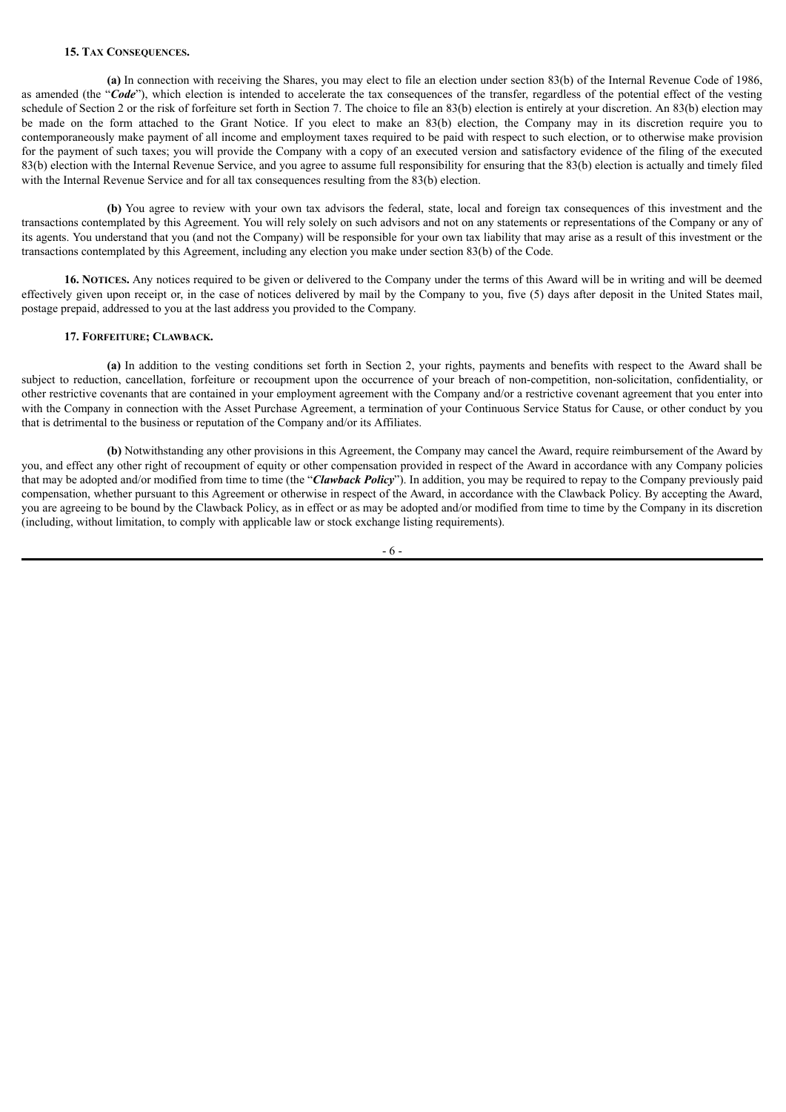#### **15. TAX CONSEQUENCES.**

**(a)** In connection with receiving the Shares, you may elect to file an election under section 83(b) of the Internal Revenue Code of 1986, as amended (the "*Code*"), which election is intended to accelerate the tax consequences of the transfer, regardless of the potential effect of the vesting schedule of Section 2 or the risk of forfeiture set forth in Section 7. The choice to file an 83(b) election is entirely at your discretion. An 83(b) election may be made on the form attached to the Grant Notice. If you elect to make an 83(b) election, the Company may in its discretion require you to contemporaneously make payment of all income and employment taxes required to be paid with respect to such election, or to otherwise make provision for the payment of such taxes; you will provide the Company with a copy of an executed version and satisfactory evidence of the filing of the executed 83(b) election with the Internal Revenue Service, and you agree to assume full responsibility for ensuring that the 83(b) election is actually and timely filed with the Internal Revenue Service and for all tax consequences resulting from the 83(b) election.

**(b)** You agree to review with your own tax advisors the federal, state, local and foreign tax consequences of this investment and the transactions contemplated by this Agreement. You will rely solely on such advisors and not on any statements or representations of the Company or any of its agents. You understand that you (and not the Company) will be responsible for your own tax liability that may arise as a result of this investment or the transactions contemplated by this Agreement, including any election you make under section 83(b) of the Code.

**16. NOTICES.** Any notices required to be given or delivered to the Company under the terms of this Award will be in writing and will be deemed effectively given upon receipt or, in the case of notices delivered by mail by the Company to you, five (5) days after deposit in the United States mail, postage prepaid, addressed to you at the last address you provided to the Company.

#### **17. FORFEITURE; CLAWBACK.**

**(a)** In addition to the vesting conditions set forth in Section 2, your rights, payments and benefits with respect to the Award shall be subject to reduction, cancellation, forfeiture or recoupment upon the occurrence of your breach of non-competition, non-solicitation, confidentiality, or other restrictive covenants that are contained in your employment agreement with the Company and/or a restrictive covenant agreement that you enter into with the Company in connection with the Asset Purchase Agreement, a termination of your Continuous Service Status for Cause, or other conduct by you that is detrimental to the business or reputation of the Company and/or its Affiliates.

**(b)** Notwithstanding any other provisions in this Agreement, the Company may cancel the Award, require reimbursement of the Award by you, and effect any other right of recoupment of equity or other compensation provided in respect of the Award in accordance with any Company policies that may be adopted and/or modified from time to time (the "*Clawback Policy*"). In addition, you may be required to repay to the Company previously paid compensation, whether pursuant to this Agreement or otherwise in respect of the Award, in accordance with the Clawback Policy. By accepting the Award, you are agreeing to be bound by the Clawback Policy, as in effect or as may be adopted and/or modified from time to time by the Company in its discretion (including, without limitation, to comply with applicable law or stock exchange listing requirements).

- 6 -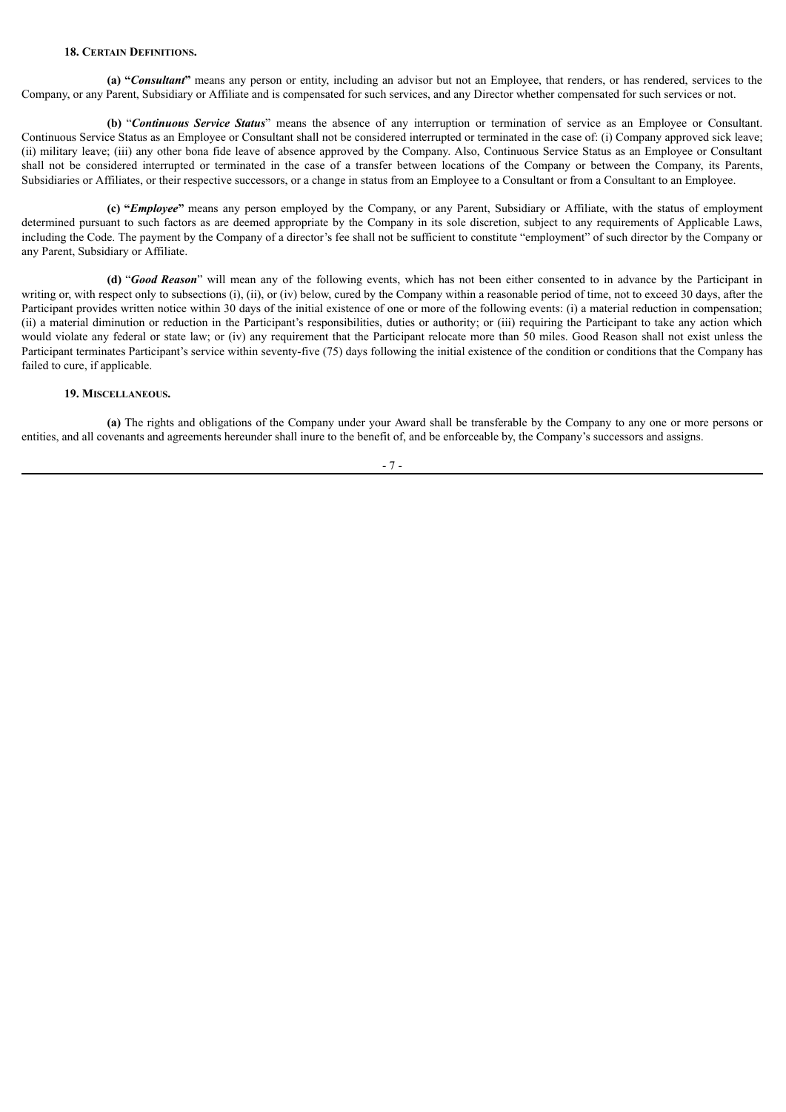#### **18. CERTAIN DEFINITIONS.**

**(a) "***Consultant***"** means any person or entity, including an advisor but not an Employee, that renders, or has rendered, services to the Company, or any Parent, Subsidiary or Affiliate and is compensated for such services, and any Director whether compensated for such services or not.

**(b)** "*Continuous Service Status*" means the absence of any interruption or termination of service as an Employee or Consultant. Continuous Service Status as an Employee or Consultant shall not be considered interrupted or terminated in the case of: (i) Company approved sick leave; (ii) military leave; (iii) any other bona fide leave of absence approved by the Company. Also, Continuous Service Status as an Employee or Consultant shall not be considered interrupted or terminated in the case of a transfer between locations of the Company or between the Company, its Parents, Subsidiaries or Affiliates, or their respective successors, or a change in status from an Employee to a Consultant or from a Consultant to an Employee.

**(c) "***Employee***"** means any person employed by the Company, or any Parent, Subsidiary or Affiliate, with the status of employment determined pursuant to such factors as are deemed appropriate by the Company in its sole discretion, subject to any requirements of Applicable Laws, including the Code. The payment by the Company of a director's fee shall not be sufficient to constitute "employment" of such director by the Company or any Parent, Subsidiary or Affiliate.

**(d)** "*Good Reason*" will mean any of the following events, which has not been either consented to in advance by the Participant in writing or, with respect only to subsections (i), (ii), or (iv) below, cured by the Company within a reasonable period of time, not to exceed 30 days, after the Participant provides written notice within 30 days of the initial existence of one or more of the following events: (i) a material reduction in compensation; (ii) a material diminution or reduction in the Participant's responsibilities, duties or authority; or (iii) requiring the Participant to take any action which would violate any federal or state law; or (iv) any requirement that the Participant relocate more than 50 miles. Good Reason shall not exist unless the Participant terminates Participant's service within seventy-five (75) days following the initial existence of the condition or conditions that the Company has failed to cure, if applicable.

### **19. MISCELLANEOUS.**

**(a)** The rights and obligations of the Company under your Award shall be transferable by the Company to any one or more persons or entities, and all covenants and agreements hereunder shall inure to the benefit of, and be enforceable by, the Company's successors and assigns.

- 7 -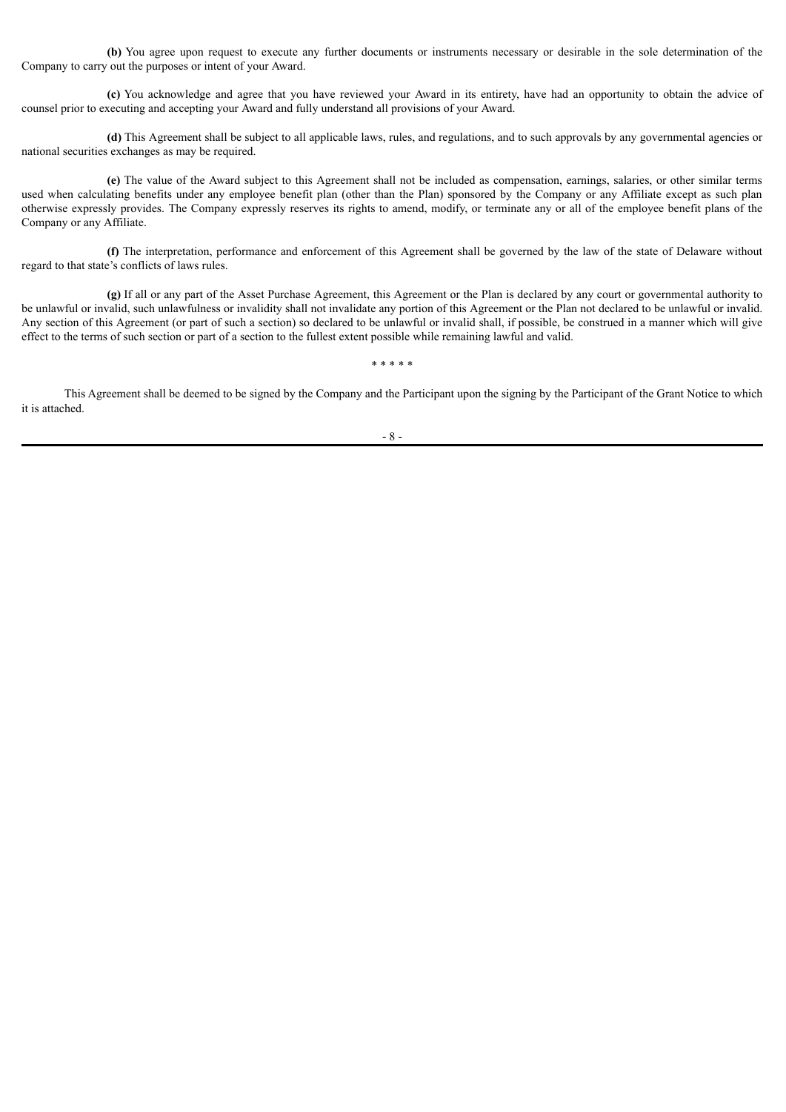**(b)** You agree upon request to execute any further documents or instruments necessary or desirable in the sole determination of the Company to carry out the purposes or intent of your Award.

**(c)** You acknowledge and agree that you have reviewed your Award in its entirety, have had an opportunity to obtain the advice of counsel prior to executing and accepting your Award and fully understand all provisions of your Award.

**(d)** This Agreement shall be subject to all applicable laws, rules, and regulations, and to such approvals by any governmental agencies or national securities exchanges as may be required.

**(e)** The value of the Award subject to this Agreement shall not be included as compensation, earnings, salaries, or other similar terms used when calculating benefits under any employee benefit plan (other than the Plan) sponsored by the Company or any Affiliate except as such plan otherwise expressly provides. The Company expressly reserves its rights to amend, modify, or terminate any or all of the employee benefit plans of the Company or any Affiliate.

**(f)** The interpretation, performance and enforcement of this Agreement shall be governed by the law of the state of Delaware without regard to that state's conflicts of laws rules.

**(g)** If all or any part of the Asset Purchase Agreement, this Agreement or the Plan is declared by any court or governmental authority to be unlawful or invalid, such unlawfulness or invalidity shall not invalidate any portion of this Agreement or the Plan not declared to be unlawful or invalid. Any section of this Agreement (or part of such a section) so declared to be unlawful or invalid shall, if possible, be construed in a manner which will give effect to the terms of such section or part of a section to the fullest extent possible while remaining lawful and valid.

This Agreement shall be deemed to be signed by the Company and the Participant upon the signing by the Participant of the Grant Notice to which it is attached.

\* \* \* \* \*

#### - 8 -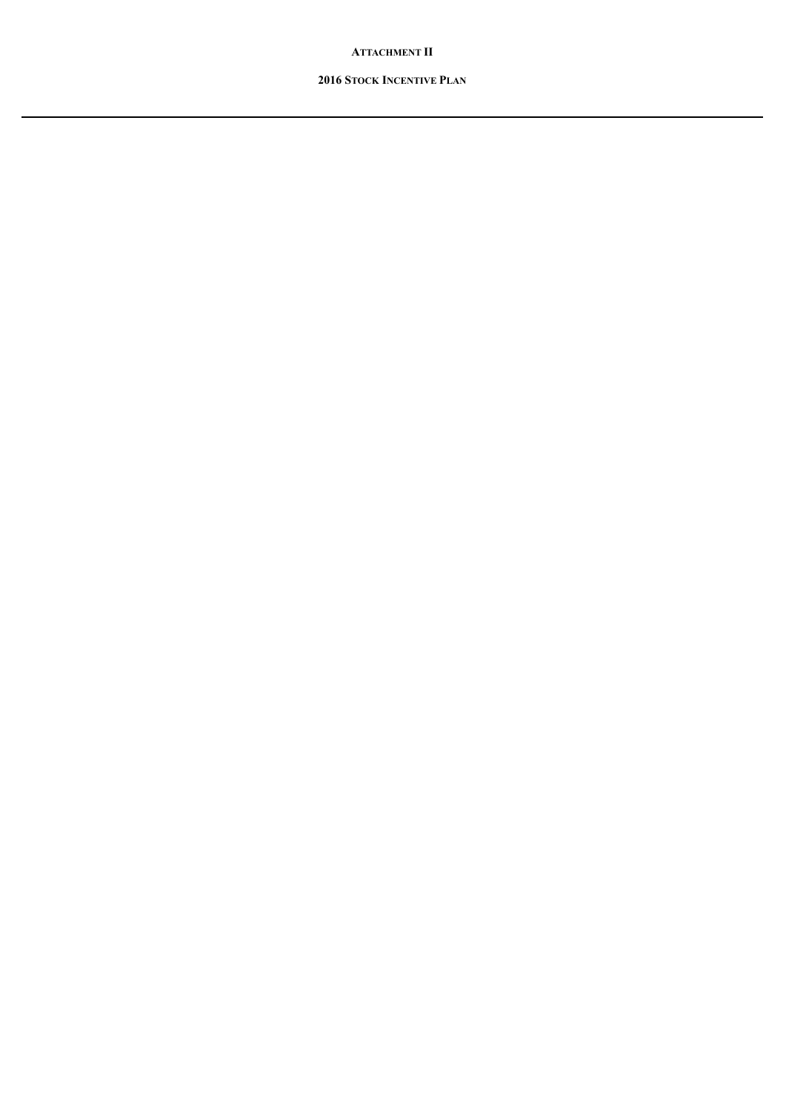# **ATTACHMENT II**

# **2016 STOCK INCENTIVE PLAN**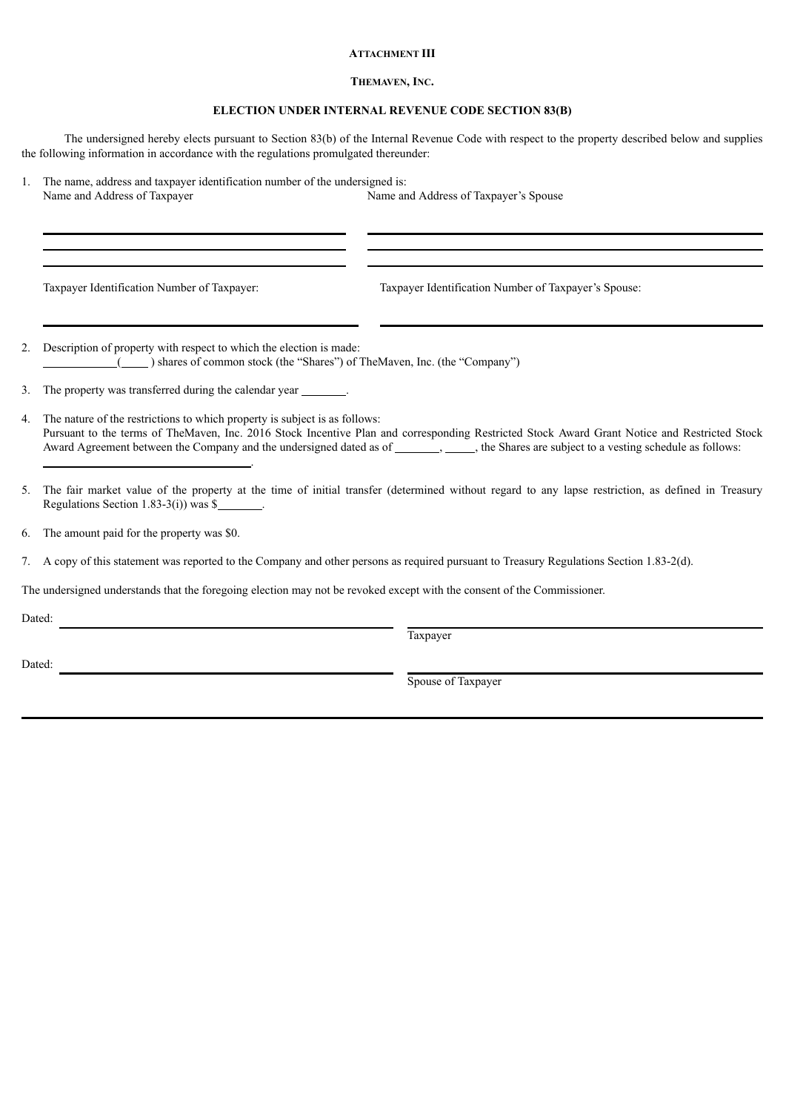# **ATTACHMENT III**

# **THEMAVEN, INC.**

# **ELECTION UNDER INTERNAL REVENUE CODE SECTION 83(B)**

The undersigned hereby elects pursuant to Section 83(b) of the Internal Revenue Code with respect to the property described below and supplies the following information in accordance with the regulations promulgated thereunder:

1. The name, address and taxpayer identification number of the undersigned is: Name and Address of Taxpayer Name and Address of Taxpayer's Spouse

Taxpayer Identification Number of Taxpayer: Taxpayer Identification Number of Taxpayer's Spouse:

- 2. Description of property with respect to which the election is made: ( ) shares of common stock (the "Shares") of TheMaven, Inc. (the "Company")
- 3. The property was transferred during the calendar year .
- 4. The nature of the restrictions to which property is subject is as follows: Pursuant to the terms of TheMaven, Inc. 2016 Stock Incentive Plan and corresponding Restricted Stock Award Grant Notice and Restricted Stock Award Agreement between the Company and the undersigned dated as of \_\_\_\_\_\_\_\_, the Shares are subject to a vesting schedule as follows: .
- 5. The fair market value of the property at the time of initial transfer (determined without regard to any lapse restriction, as defined in Treasury Regulations Section 1.83-3(i)) was  $\$
- 6. The amount paid for the property was \$0.
- 7. A copy of this statement was reported to the Company and other persons as required pursuant to Treasury Regulations Section 1.83-2(d).

The undersigned understands that the foregoing election may not be revoked except with the consent of the Commissioner.

Dated:

Taxpayer

Dated:

Spouse of Taxpayer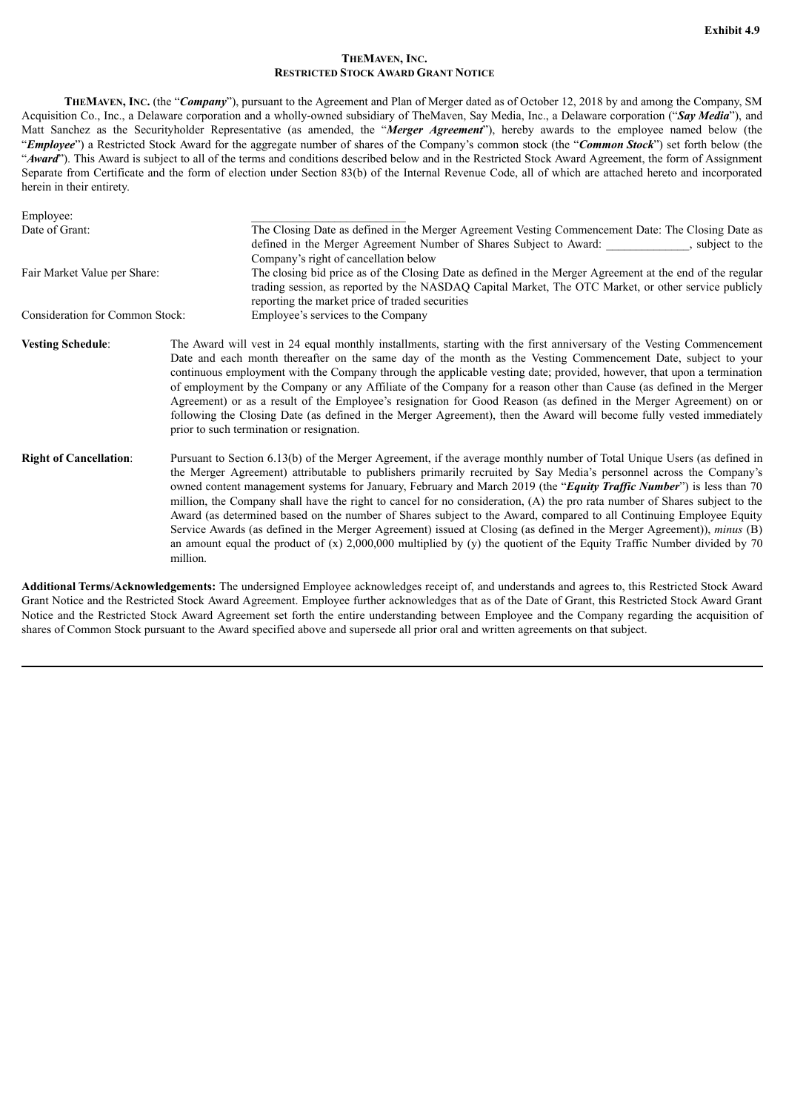## **THEMAVEN, INC. RESTRICTED STOCK AWARD GRANT NOTICE**

<span id="page-29-0"></span>**THEMAVEN, INC.** (the "*Company*"), pursuant to the Agreement and Plan of Merger dated as of October 12, 2018 by and among the Company, SM Acquisition Co., Inc., a Delaware corporation and a wholly-owned subsidiary of TheMaven, Say Media, Inc., a Delaware corporation ("*Say Media*"), and Matt Sanchez as the Securityholder Representative (as amended, the "*Merger Agreement*"), hereby awards to the employee named below (the "*Employee*") a Restricted Stock Award for the aggregate number of shares of the Company's common stock (the "*Common Stock*") set forth below (the "Award"). This Award is subject to all of the terms and conditions described below and in the Restricted Stock Award Agreement, the form of Assignment Separate from Certificate and the form of election under Section 83(b) of the Internal Revenue Code, all of which are attached hereto and incorporated herein in their entirety.

| Employee:                       |                                                                                                                                                                                                                                                                                                                                                                                                                                                                                                                                                                                                                                                                                                                                                                                                                                                                                               |
|---------------------------------|-----------------------------------------------------------------------------------------------------------------------------------------------------------------------------------------------------------------------------------------------------------------------------------------------------------------------------------------------------------------------------------------------------------------------------------------------------------------------------------------------------------------------------------------------------------------------------------------------------------------------------------------------------------------------------------------------------------------------------------------------------------------------------------------------------------------------------------------------------------------------------------------------|
| Date of Grant:                  | The Closing Date as defined in the Merger Agreement Vesting Commencement Date: The Closing Date as<br>defined in the Merger Agreement Number of Shares Subject to Award: ____________, subject to the                                                                                                                                                                                                                                                                                                                                                                                                                                                                                                                                                                                                                                                                                         |
|                                 | Company's right of cancellation below                                                                                                                                                                                                                                                                                                                                                                                                                                                                                                                                                                                                                                                                                                                                                                                                                                                         |
| Fair Market Value per Share:    | The closing bid price as of the Closing Date as defined in the Merger Agreement at the end of the regular<br>trading session, as reported by the NASDAQ Capital Market, The OTC Market, or other service publicly<br>reporting the market price of traded securities                                                                                                                                                                                                                                                                                                                                                                                                                                                                                                                                                                                                                          |
| Consideration for Common Stock: | Employee's services to the Company                                                                                                                                                                                                                                                                                                                                                                                                                                                                                                                                                                                                                                                                                                                                                                                                                                                            |
| <b>Vesting Schedule:</b>        | The Award will vest in 24 equal monthly installments, starting with the first anniversary of the Vesting Commencement<br>Date and each month thereafter on the same day of the month as the Vesting Commencement Date, subject to your<br>continuous employment with the Company through the applicable vesting date; provided, however, that upon a termination<br>of employment by the Company or any Affiliate of the Company for a reason other than Cause (as defined in the Merger<br>Agreement) or as a result of the Employee's resignation for Good Reason (as defined in the Merger Agreement) on or<br>following the Closing Date (as defined in the Merger Agreement), then the Award will become fully vested immediately<br>prior to such termination or resignation.                                                                                                           |
| <b>Right of Cancellation:</b>   | Pursuant to Section 6.13(b) of the Merger Agreement, if the average monthly number of Total Unique Users (as defined in<br>the Merger Agreement) attributable to publishers primarily recruited by Say Media's personnel across the Company's<br>owned content management systems for January, February and March 2019 (the "Equity Traffic Number") is less than 70<br>million, the Company shall have the right to cancel for no consideration, (A) the pro rata number of Shares subject to the<br>Award (as determined based on the number of Shares subject to the Award, compared to all Continuing Employee Equity<br>Service Awards (as defined in the Merger Agreement) issued at Closing (as defined in the Merger Agreement)), minus (B)<br>an amount equal the product of $(x)$ 2,000,000 multiplied by $(y)$ the quotient of the Equity Traffic Number divided by 70<br>million. |

**Additional Terms/Acknowledgements:** The undersigned Employee acknowledges receipt of, and understands and agrees to, this Restricted Stock Award Grant Notice and the Restricted Stock Award Agreement. Employee further acknowledges that as of the Date of Grant, this Restricted Stock Award Grant Notice and the Restricted Stock Award Agreement set forth the entire understanding between Employee and the Company regarding the acquisition of shares of Common Stock pursuant to the Award specified above and supersede all prior oral and written agreements on that subject.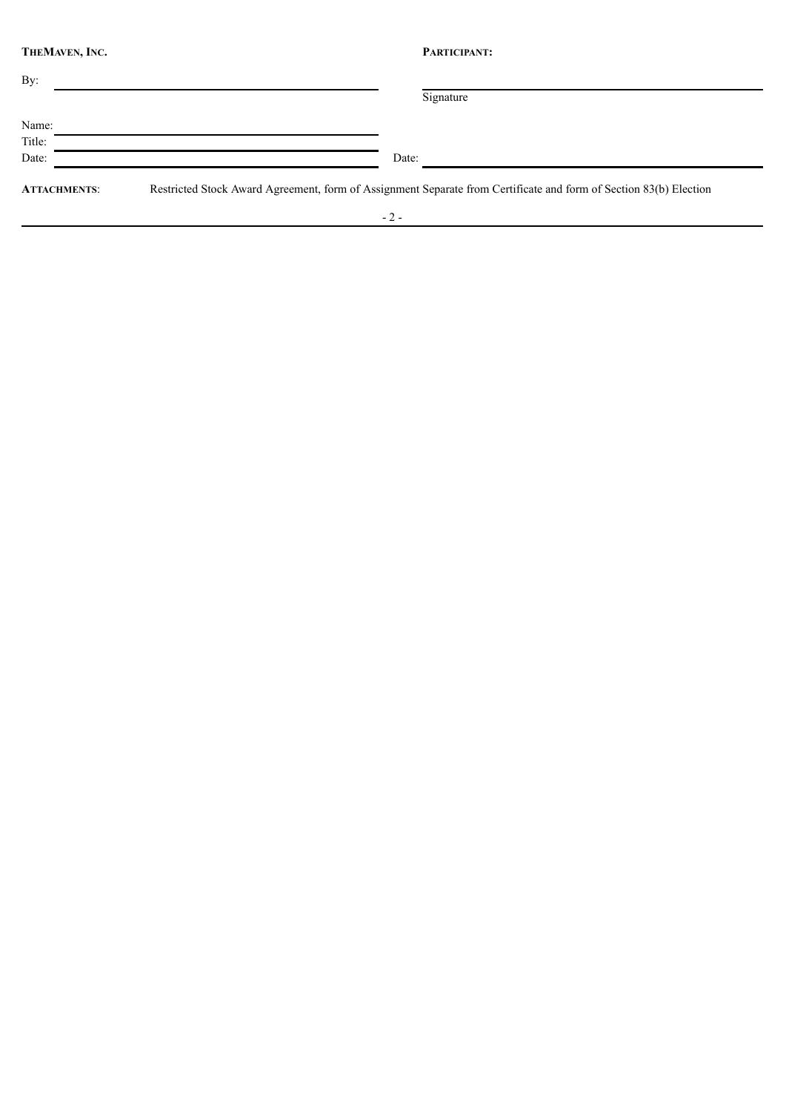| THEMAVEN, INC.      | PARTICIPANT:                                                                                                      |
|---------------------|-------------------------------------------------------------------------------------------------------------------|
| By:                 |                                                                                                                   |
|                     | Signature                                                                                                         |
| Name:               |                                                                                                                   |
| Title:              |                                                                                                                   |
| Date:               | Date:                                                                                                             |
| <b>ATTACHMENTS:</b> | Restricted Stock Award Agreement, form of Assignment Separate from Certificate and form of Section 83(b) Election |
|                     | $-2-$                                                                                                             |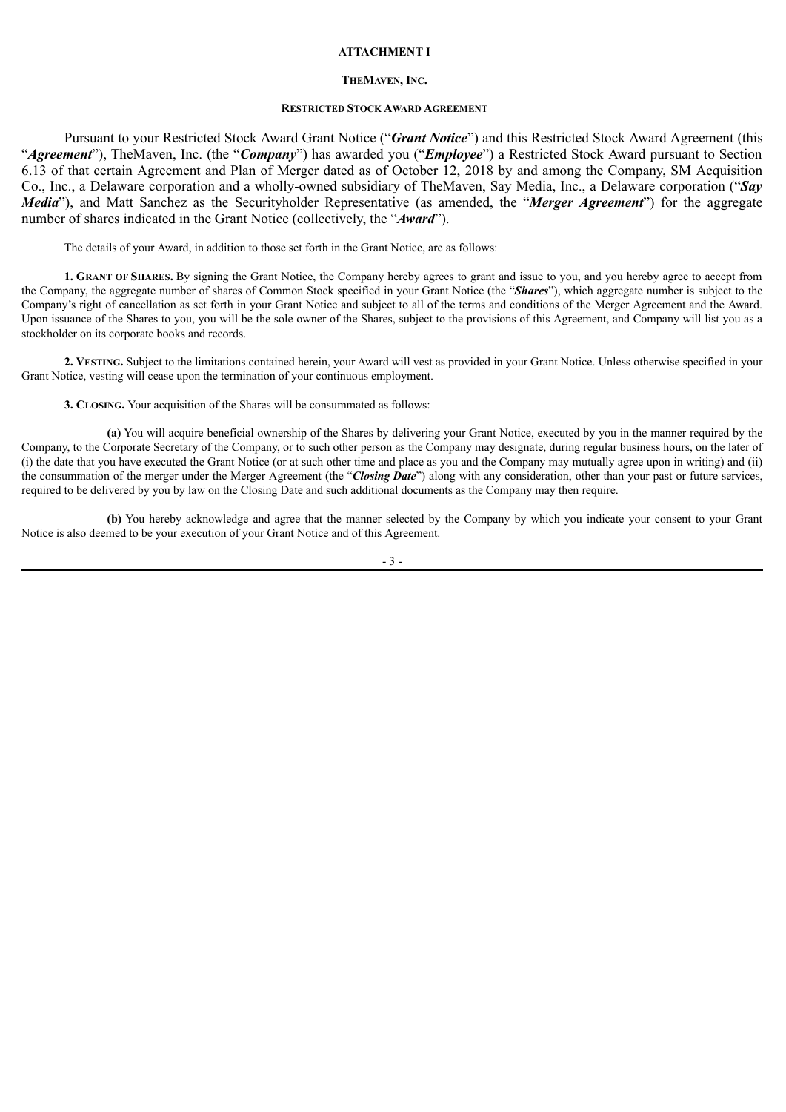#### **ATTACHMENT I**

#### **THEMAVEN, INC.**

#### **RESTRICTED STOCK AWARD AGREEMENT**

Pursuant to your Restricted Stock Award Grant Notice ("*Grant Notice*") and this Restricted Stock Award Agreement (this "*Agreement*"), TheMaven, Inc. (the "*Company*") has awarded you ("*Employee*") a Restricted Stock Award pursuant to Section 6.13 of that certain Agreement and Plan of Merger dated as of October 12, 2018 by and among the Company, SM Acquisition Co., Inc., a Delaware corporation and a wholly-owned subsidiary of TheMaven, Say Media, Inc., a Delaware corporation ("*Say Media*"), and Matt Sanchez as the Securityholder Representative (as amended, the "*Merger Agreement*") for the aggregate number of shares indicated in the Grant Notice (collectively, the "*Award*").

The details of your Award, in addition to those set forth in the Grant Notice, are as follows:

**1. GRANT OF SHARES.** By signing the Grant Notice, the Company hereby agrees to grant and issue to you, and you hereby agree to accept from the Company, the aggregate number of shares of Common Stock specified in your Grant Notice (the "*Shares*"), which aggregate number is subject to the Company's right of cancellation as set forth in your Grant Notice and subject to all of the terms and conditions of the Merger Agreement and the Award. Upon issuance of the Shares to you, you will be the sole owner of the Shares, subject to the provisions of this Agreement, and Company will list you as a stockholder on its corporate books and records.

**2. VESTING.** Subject to the limitations contained herein, your Award will vest as provided in your Grant Notice. Unless otherwise specified in your Grant Notice, vesting will cease upon the termination of your continuous employment.

**3. CLOSING.** Your acquisition of the Shares will be consummated as follows:

**(a)** You will acquire beneficial ownership of the Shares by delivering your Grant Notice, executed by you in the manner required by the Company, to the Corporate Secretary of the Company, or to such other person as the Company may designate, during regular business hours, on the later of (i) the date that you have executed the Grant Notice (or at such other time and place as you and the Company may mutually agree upon in writing) and (ii) the consummation of the merger under the Merger Agreement (the "*Closing Date*") along with any consideration, other than your past or future services, required to be delivered by you by law on the Closing Date and such additional documents as the Company may then require.

**(b)** You hereby acknowledge and agree that the manner selected by the Company by which you indicate your consent to your Grant Notice is also deemed to be your execution of your Grant Notice and of this Agreement.

 $-3$  -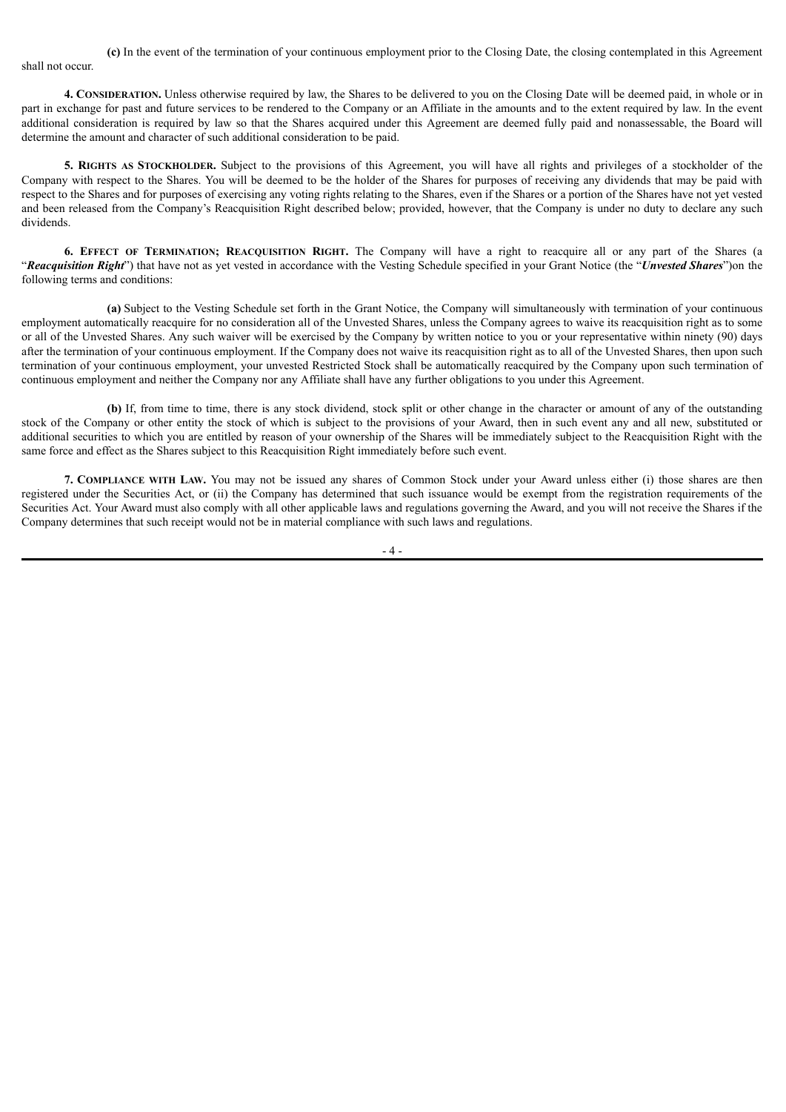**(c)** In the event of the termination of your continuous employment prior to the Closing Date, the closing contemplated in this Agreement shall not occur.

**4. CONSIDERATION.** Unless otherwise required by law, the Shares to be delivered to you on the Closing Date will be deemed paid, in whole or in part in exchange for past and future services to be rendered to the Company or an Affiliate in the amounts and to the extent required by law. In the event additional consideration is required by law so that the Shares acquired under this Agreement are deemed fully paid and nonassessable, the Board will determine the amount and character of such additional consideration to be paid.

**5. RIGHTS AS STOCKHOLDER.** Subject to the provisions of this Agreement, you will have all rights and privileges of a stockholder of the Company with respect to the Shares. You will be deemed to be the holder of the Shares for purposes of receiving any dividends that may be paid with respect to the Shares and for purposes of exercising any voting rights relating to the Shares, even if the Shares or a portion of the Shares have not yet vested and been released from the Company's Reacquisition Right described below; provided, however, that the Company is under no duty to declare any such dividends.

**6. EFFECT OF TERMINATION; REACQUISITION RIGHT.** The Company will have a right to reacquire all or any part of the Shares (a "*Reacquisition Right*") that have not as yet vested in accordance with the Vesting Schedule specified in your Grant Notice (the "*Unvested Shares*")on the following terms and conditions:

**(a)** Subject to the Vesting Schedule set forth in the Grant Notice, the Company will simultaneously with termination of your continuous employment automatically reacquire for no consideration all of the Unvested Shares, unless the Company agrees to waive its reacquisition right as to some or all of the Unvested Shares. Any such waiver will be exercised by the Company by written notice to you or your representative within ninety (90) days after the termination of your continuous employment. If the Company does not waive its reacquisition right as to all of the Unvested Shares, then upon such termination of your continuous employment, your unvested Restricted Stock shall be automatically reacquired by the Company upon such termination of continuous employment and neither the Company nor any Affiliate shall have any further obligations to you under this Agreement.

**(b)** If, from time to time, there is any stock dividend, stock split or other change in the character or amount of any of the outstanding stock of the Company or other entity the stock of which is subject to the provisions of your Award, then in such event any and all new, substituted or additional securities to which you are entitled by reason of your ownership of the Shares will be immediately subject to the Reacquisition Right with the same force and effect as the Shares subject to this Reacquisition Right immediately before such event.

**7. COMPLIANCE WITH LAW.** You may not be issued any shares of Common Stock under your Award unless either (i) those shares are then registered under the Securities Act, or (ii) the Company has determined that such issuance would be exempt from the registration requirements of the Securities Act. Your Award must also comply with all other applicable laws and regulations governing the Award, and you will not receive the Shares if the Company determines that such receipt would not be in material compliance with such laws and regulations.

 $\Lambda$  -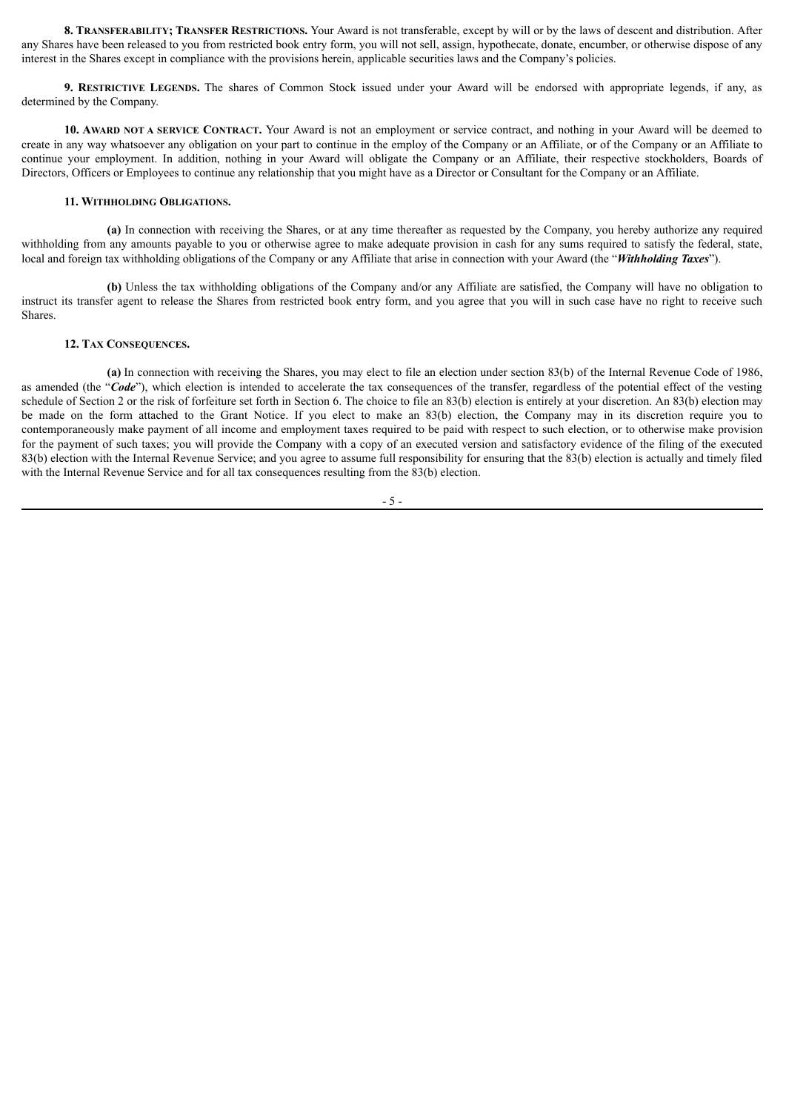**8. TRANSFERABILITY; TRANSFER RESTRICTIONS.** Your Award is not transferable, except by will or by the laws of descent and distribution. After any Shares have been released to you from restricted book entry form, you will not sell, assign, hypothecate, donate, encumber, or otherwise dispose of any interest in the Shares except in compliance with the provisions herein, applicable securities laws and the Company's policies.

**9. RESTRICTIVE LEGENDS.** The shares of Common Stock issued under your Award will be endorsed with appropriate legends, if any, as determined by the Company.

**10. AWARD NOT A SERVICE CONTRACT.** Your Award is not an employment or service contract, and nothing in your Award will be deemed to create in any way whatsoever any obligation on your part to continue in the employ of the Company or an Affiliate, or of the Company or an Affiliate to continue your employment. In addition, nothing in your Award will obligate the Company or an Affiliate, their respective stockholders, Boards of Directors, Officers or Employees to continue any relationship that you might have as a Director or Consultant for the Company or an Affiliate.

#### **11. WITHHOLDING OBLIGATIONS.**

**(a)** In connection with receiving the Shares, or at any time thereafter as requested by the Company, you hereby authorize any required withholding from any amounts payable to you or otherwise agree to make adequate provision in cash for any sums required to satisfy the federal, state, local and foreign tax withholding obligations of the Company or any Affiliate that arise in connection with your Award (the "*Withholding Taxes*").

**(b)** Unless the tax withholding obligations of the Company and/or any Affiliate are satisfied, the Company will have no obligation to instruct its transfer agent to release the Shares from restricted book entry form, and you agree that you will in such case have no right to receive such Shares.

#### **12. TAX CONSEQUENCES.**

**(a)** In connection with receiving the Shares, you may elect to file an election under section 83(b) of the Internal Revenue Code of 1986, as amended (the "*Code*"), which election is intended to accelerate the tax consequences of the transfer, regardless of the potential effect of the vesting schedule of Section 2 or the risk of forfeiture set forth in Section 6. The choice to file an 83(b) election is entirely at your discretion. An 83(b) election may be made on the form attached to the Grant Notice. If you elect to make an 83(b) election, the Company may in its discretion require you to contemporaneously make payment of all income and employment taxes required to be paid with respect to such election, or to otherwise make provision for the payment of such taxes; you will provide the Company with a copy of an executed version and satisfactory evidence of the filing of the executed 83(b) election with the Internal Revenue Service; and you agree to assume full responsibility for ensuring that the 83(b) election is actually and timely filed with the Internal Revenue Service and for all tax consequences resulting from the 83(b) election.

- 5 -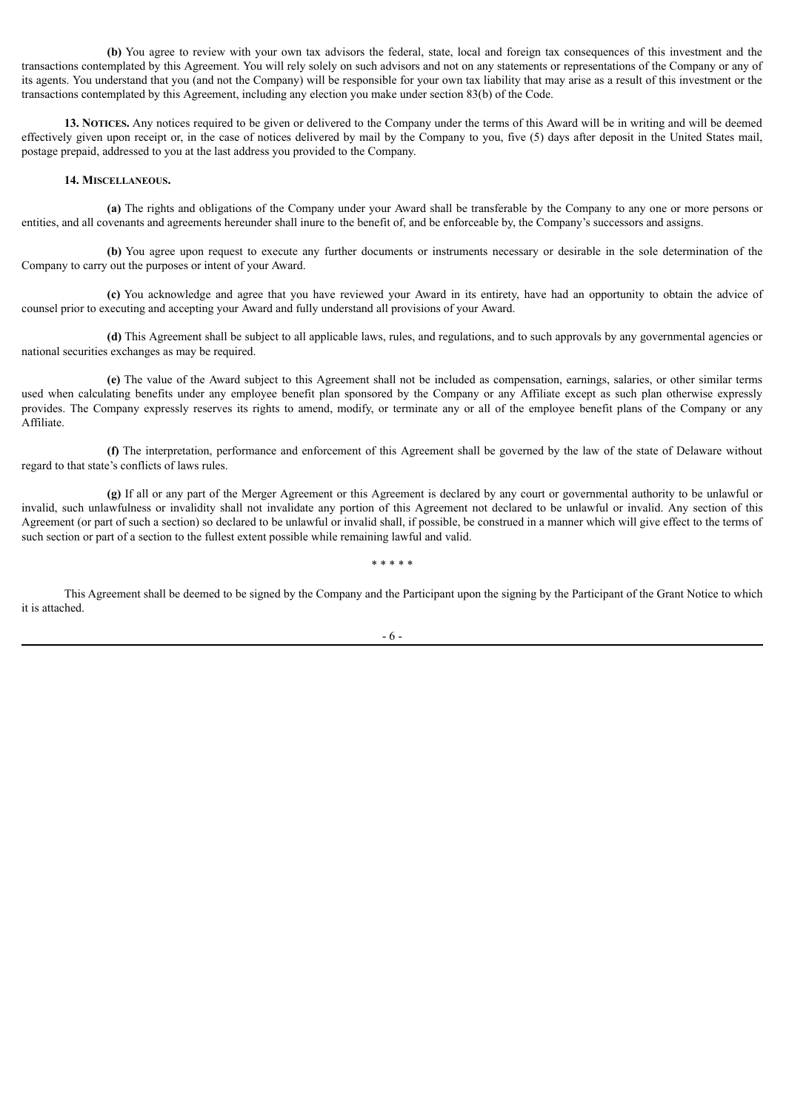**(b)** You agree to review with your own tax advisors the federal, state, local and foreign tax consequences of this investment and the transactions contemplated by this Agreement. You will rely solely on such advisors and not on any statements or representations of the Company or any of its agents. You understand that you (and not the Company) will be responsible for your own tax liability that may arise as a result of this investment or the transactions contemplated by this Agreement, including any election you make under section 83(b) of the Code.

**13. NOTICES.** Any notices required to be given or delivered to the Company under the terms of this Award will be in writing and will be deemed effectively given upon receipt or, in the case of notices delivered by mail by the Company to you, five (5) days after deposit in the United States mail, postage prepaid, addressed to you at the last address you provided to the Company.

#### **14. MISCELLANEOUS.**

**(a)** The rights and obligations of the Company under your Award shall be transferable by the Company to any one or more persons or entities, and all covenants and agreements hereunder shall inure to the benefit of, and be enforceable by, the Company's successors and assigns.

**(b)** You agree upon request to execute any further documents or instruments necessary or desirable in the sole determination of the Company to carry out the purposes or intent of your Award.

**(c)** You acknowledge and agree that you have reviewed your Award in its entirety, have had an opportunity to obtain the advice of counsel prior to executing and accepting your Award and fully understand all provisions of your Award.

**(d)** This Agreement shall be subject to all applicable laws, rules, and regulations, and to such approvals by any governmental agencies or national securities exchanges as may be required.

**(e)** The value of the Award subject to this Agreement shall not be included as compensation, earnings, salaries, or other similar terms used when calculating benefits under any employee benefit plan sponsored by the Company or any Affiliate except as such plan otherwise expressly provides. The Company expressly reserves its rights to amend, modify, or terminate any or all of the employee benefit plans of the Company or any Affiliate.

**(f)** The interpretation, performance and enforcement of this Agreement shall be governed by the law of the state of Delaware without regard to that state's conflicts of laws rules.

**(g)** If all or any part of the Merger Agreement or this Agreement is declared by any court or governmental authority to be unlawful or invalid, such unlawfulness or invalidity shall not invalidate any portion of this Agreement not declared to be unlawful or invalid. Any section of this Agreement (or part of such a section) so declared to be unlawful or invalid shall, if possible, be construed in a manner which will give effect to the terms of such section or part of a section to the fullest extent possible while remaining lawful and valid.

\* \* \* \* \*

This Agreement shall be deemed to be signed by the Company and the Participant upon the signing by the Participant of the Grant Notice to which it is attached.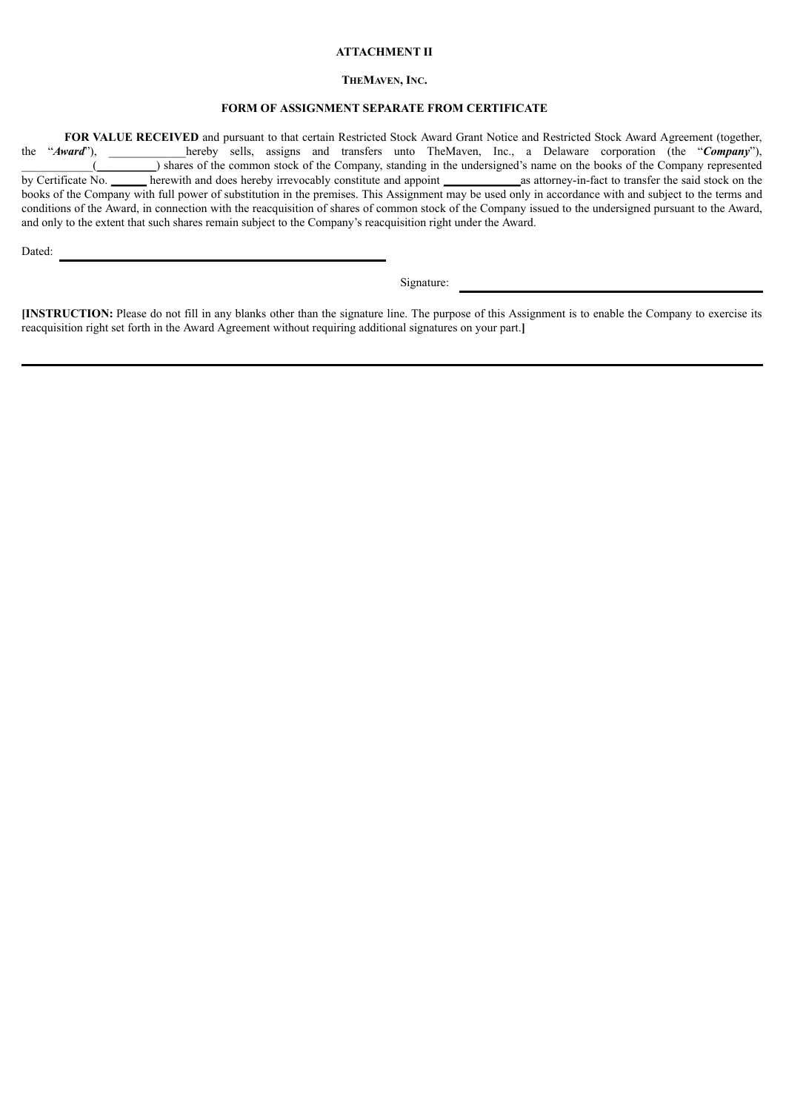#### **ATTACHMENT II**

#### **THEMAVEN, INC.**

# **FORM OF ASSIGNMENT SEPARATE FROM CERTIFICATE**

**FOR VALUE RECEIVED** and pursuant to that certain Restricted Stock Award Grant Notice and Restricted Stock Award Agreement (together, "**Award**"), hereby sells, assigns and transfers unto TheMaven, Inc., a Delaware corporat the "*Award*"), hereby sells, assigns and transfers unto TheMaven, Inc., a Delaware corporation (the "*Company*"), \_\_\_\_\_\_\_\_\_\_\_\_(\_\_\_\_\_\_\_\_\_\_) shares of the common stock of the Company, standing in the undersigned's name on the books of the Company represented by Certificate No. \_\_\_\_\_\_ herewith and does hereby irrevocably constitute and appoint \_\_\_\_\_\_\_\_\_\_\_\_\_as attorney-in-fact to transfer the said stock on the books of the Company with full power of substitution in the premises. This Assignment may be used only in accordance with and subject to the terms and conditions of the Award, in connection with the reacquisition of shares of common stock of the Company issued to the undersigned pursuant to the Award, and only to the extent that such shares remain subject to the Company's reacquisition right under the Award.

Dated:

Signature:

**[INSTRUCTION:** Please do not fill in any blanks other than the signature line. The purpose of this Assignment is to enable the Company to exercise its reacquisition right set forth in the Award Agreement without requiring additional signatures on your part.**]**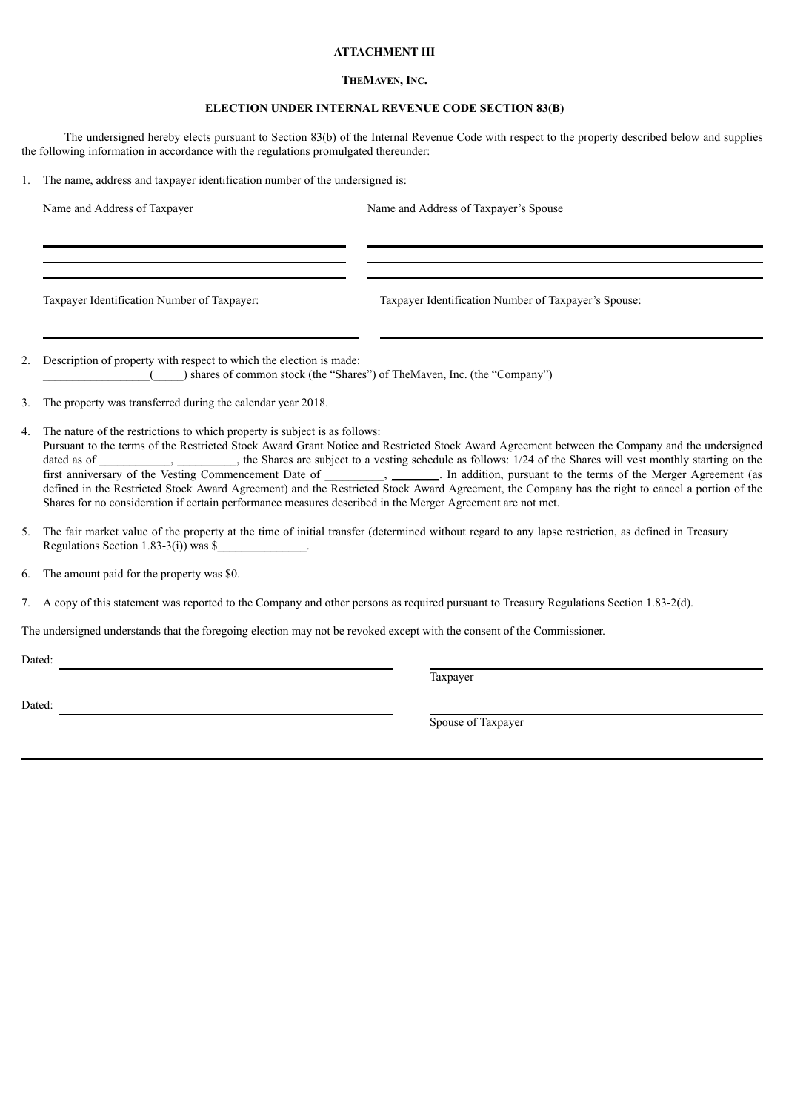# **ATTACHMENT III**

## **THEMAVEN, INC.**

# **ELECTION UNDER INTERNAL REVENUE CODE SECTION 83(B)**

The undersigned hereby elects pursuant to Section 83(b) of the Internal Revenue Code with respect to the property described below and supplies the following information in accordance with the regulations promulgated thereunder:

1. The name, address and taxpayer identification number of the undersigned is:

Name and Address of Taxpayer Name and Address of Taxpayer's Spouse

Taxpayer Identification Number of Taxpayer: Taxpayer Identification Number of Taxpayer's Spouse:

2. Description of property with respect to which the election is made: \_\_\_\_\_\_\_\_\_\_\_\_\_\_\_\_\_\_(\_\_\_\_\_) shares of common stock (the "Shares") of TheMaven, Inc. (the "Company")

3. The property was transferred during the calendar year 2018.

- 4. The nature of the restrictions to which property is subject is as follows: Pursuant to the terms of the Restricted Stock Award Grant Notice and Restricted Stock Award Agreement between the Company and the undersigned dated as of  $\Box$ , the Shares are subject to a vesting schedule as follows: 1/24 of the Shares will vest monthly starting on the first anniversary of the Vesting Commencement Date of  $\qquad \qquad$ , \_\_\_\_\_\_, In addition, pursuant to the terms of the Merger Agreement (as defined in the Restricted Stock Award Agreement) and the Restricted Stock Award Agreement, the Company has the right to cancel a portion of the Shares for no consideration if certain performance measures described in the Merger Agreement are not met.
- 5. The fair market value of the property at the time of initial transfer (determined without regard to any lapse restriction, as defined in Treasury Regulations Section  $1.83-3(i)$  was \$

6. The amount paid for the property was \$0.

7. A copy of this statement was reported to the Company and other persons as required pursuant to Treasury Regulations Section 1.83-2(d).

The undersigned understands that the foregoing election may not be revoked except with the consent of the Commissioner.

Dated:

**Taxpayer** 

Dated:

Spouse of Taxpayer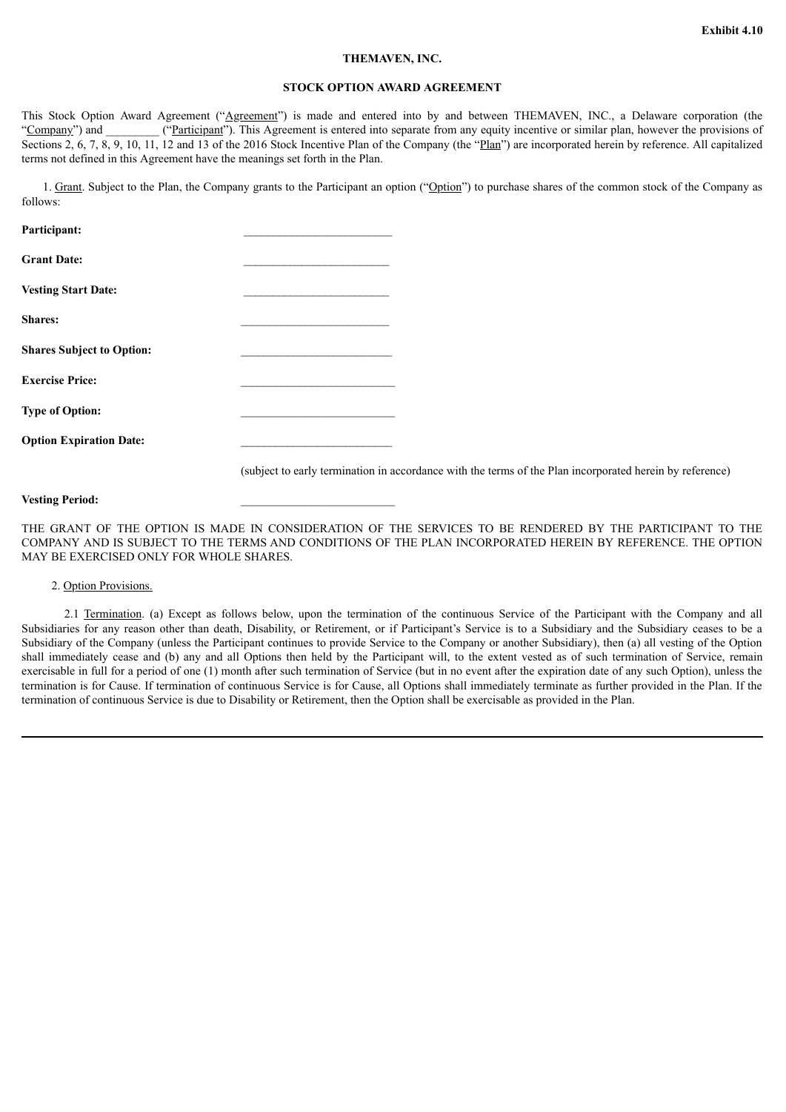#### **THEMAVEN, INC.**

# **STOCK OPTION AWARD AGREEMENT**

<span id="page-37-0"></span>This Stock Option Award Agreement ("Agreement") is made and entered into by and between THEMAVEN, INC., a Delaware corporation (the "Company") and ("Participant"). This Agreement is entered into separate from any equity incentive or similar plan, however the provisions of Sections 2, 6, 7, 8, 9, 10, 11, 12 and 13 of the 2016 Stock Incentive Plan of the Company (the "Plan") are incorporated herein by reference. All capitalized terms not defined in this Agreement have the meanings set forth in the Plan.

1. Grant. Subject to the Plan, the Company grants to the Participant an option ("Option") to purchase shares of the common stock of the Company as follows:

| Participant:                     |  |
|----------------------------------|--|
| <b>Grant Date:</b>               |  |
| <b>Vesting Start Date:</b>       |  |
| Shares:                          |  |
| <b>Shares Subject to Option:</b> |  |
| <b>Exercise Price:</b>           |  |
| <b>Type of Option:</b>           |  |
| <b>Option Expiration Date:</b>   |  |

(subject to early termination in accordance with the terms of the Plan incorporated herein by reference)

#### **Vesting Period:**

THE GRANT OF THE OPTION IS MADE IN CONSIDERATION OF THE SERVICES TO BE RENDERED BY THE PARTICIPANT TO THE COMPANY AND IS SUBJECT TO THE TERMS AND CONDITIONS OF THE PLAN INCORPORATED HEREIN BY REFERENCE. THE OPTION MAY BE EXERCISED ONLY FOR WHOLE SHARES.

#### 2. Option Provisions.

2.1 Termination. (a) Except as follows below, upon the termination of the continuous Service of the Participant with the Company and all Subsidiaries for any reason other than death, Disability, or Retirement, or if Participant's Service is to a Subsidiary and the Subsidiary ceases to be a Subsidiary of the Company (unless the Participant continues to provide Service to the Company or another Subsidiary), then (a) all vesting of the Option shall immediately cease and (b) any and all Options then held by the Participant will, to the extent vested as of such termination of Service, remain exercisable in full for a period of one (1) month after such termination of Service (but in no event after the expiration date of any such Option), unless the termination is for Cause. If termination of continuous Service is for Cause, all Options shall immediately terminate as further provided in the Plan. If the termination of continuous Service is due to Disability or Retirement, then the Option shall be exercisable as provided in the Plan.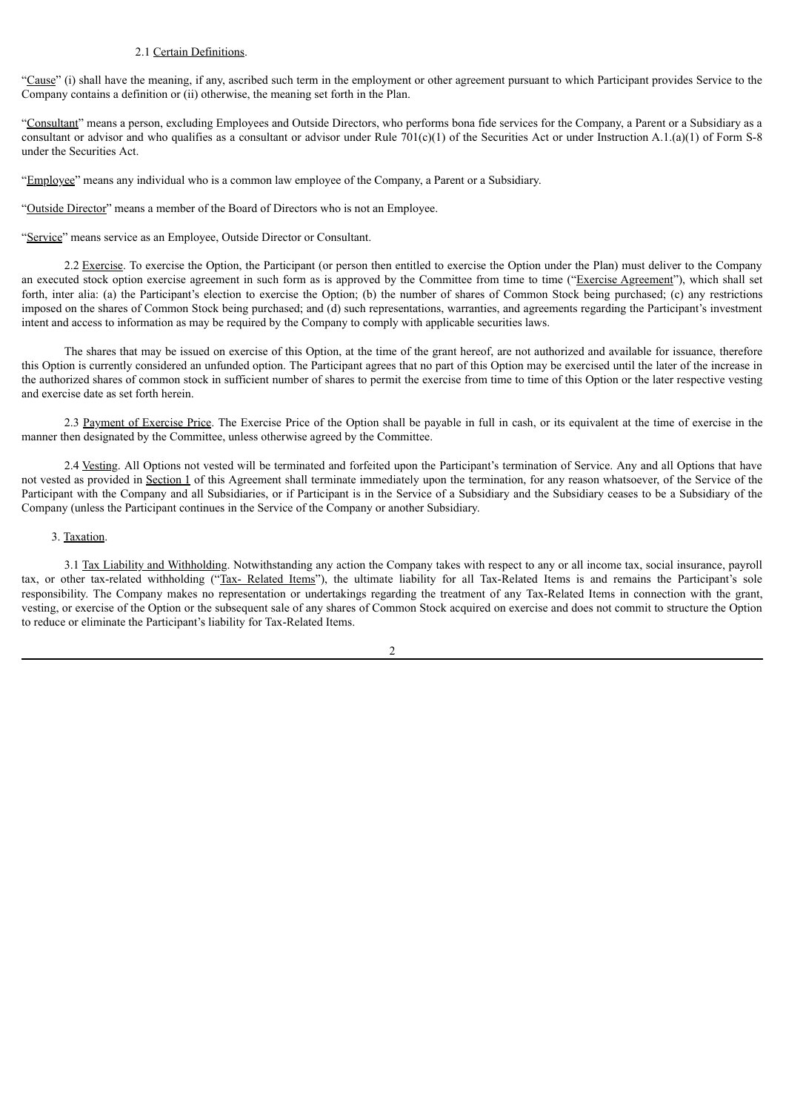#### 2.1 Certain Definitions.

"Cause" (i) shall have the meaning, if any, ascribed such term in the employment or other agreement pursuant to which Participant provides Service to the Company contains a definition or (ii) otherwise, the meaning set forth in the Plan.

"Consultant" means a person, excluding Employees and Outside Directors, who performs bona fide services for the Company, a Parent or a Subsidiary as a consultant or advisor and who qualifies as a consultant or advisor under Rule  $701(c)(1)$  of the Securities Act or under Instruction A.1.(a)(1) of Form S-8 under the Securities Act.

"Employee" means any individual who is a common law employee of the Company, a Parent or a Subsidiary.

"Outside Director" means a member of the Board of Directors who is not an Employee.

"Service" means service as an Employee, Outside Director or Consultant.

2.2 Exercise. To exercise the Option, the Participant (or person then entitled to exercise the Option under the Plan) must deliver to the Company an executed stock option exercise agreement in such form as is approved by the Committee from time to time ("Exercise Agreement"), which shall set forth, inter alia: (a) the Participant's election to exercise the Option; (b) the number of shares of Common Stock being purchased; (c) any restrictions imposed on the shares of Common Stock being purchased; and (d) such representations, warranties, and agreements regarding the Participant's investment intent and access to information as may be required by the Company to comply with applicable securities laws.

The shares that may be issued on exercise of this Option, at the time of the grant hereof, are not authorized and available for issuance, therefore this Option is currently considered an unfunded option. The Participant agrees that no part of this Option may be exercised until the later of the increase in the authorized shares of common stock in sufficient number of shares to permit the exercise from time to time of this Option or the later respective vesting and exercise date as set forth herein.

2.3 Payment of Exercise Price. The Exercise Price of the Option shall be payable in full in cash, or its equivalent at the time of exercise in the manner then designated by the Committee, unless otherwise agreed by the Committee.

2.4 Vesting. All Options not vested will be terminated and forfeited upon the Participant's termination of Service. Any and all Options that have not vested as provided in Section 1 of this Agreement shall terminate immediately upon the termination, for any reason whatsoever, of the Service of the Participant with the Company and all Subsidiaries, or if Participant is in the Service of a Subsidiary and the Subsidiary ceases to be a Subsidiary of the Company (unless the Participant continues in the Service of the Company or another Subsidiary.

#### 3. Taxation.

3.1 Tax Liability and Withholding. Notwithstanding any action the Company takes with respect to any or all income tax, social insurance, payroll tax, or other tax-related withholding ("Tax- Related Items"), the ultimate liability for all Tax-Related Items is and remains the Participant's sole responsibility. The Company makes no representation or undertakings regarding the treatment of any Tax-Related Items in connection with the grant, vesting, or exercise of the Option or the subsequent sale of any shares of Common Stock acquired on exercise and does not commit to structure the Option to reduce or eliminate the Participant's liability for Tax-Related Items.

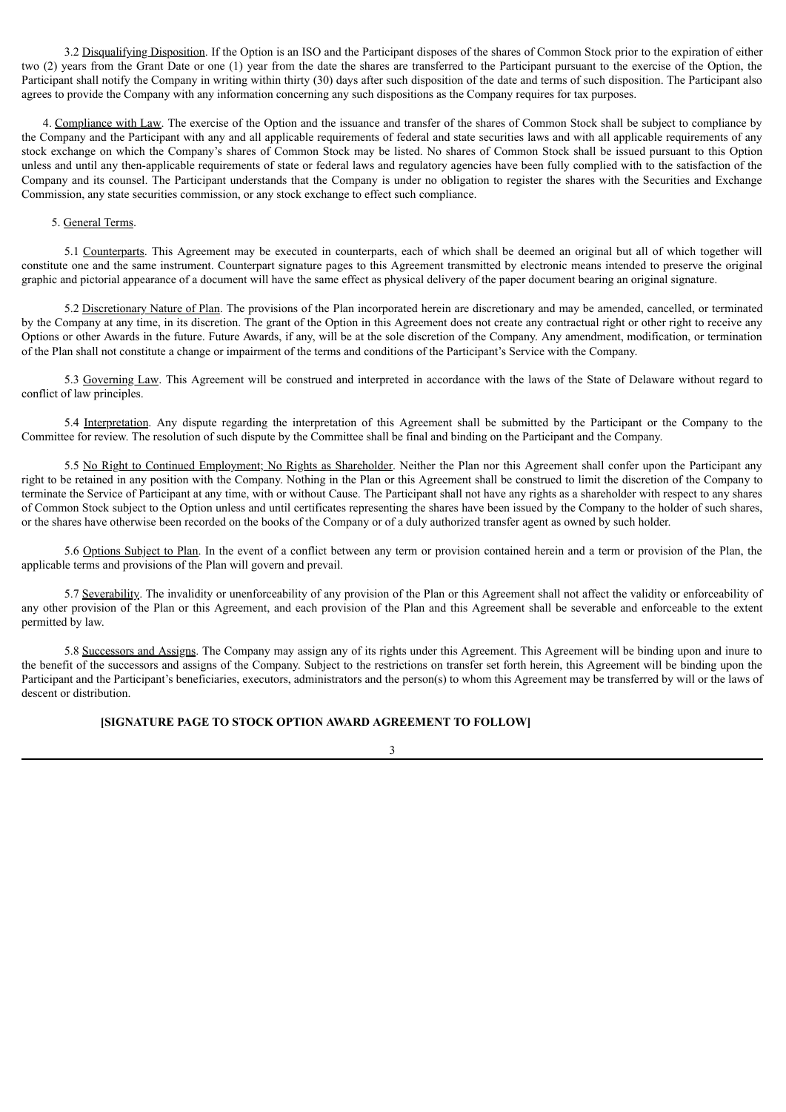3.2 Disqualifying Disposition. If the Option is an ISO and the Participant disposes of the shares of Common Stock prior to the expiration of either two (2) years from the Grant Date or one (1) year from the date the shares are transferred to the Participant pursuant to the exercise of the Option, the Participant shall notify the Company in writing within thirty (30) days after such disposition of the date and terms of such disposition. The Participant also agrees to provide the Company with any information concerning any such dispositions as the Company requires for tax purposes.

4. Compliance with Law. The exercise of the Option and the issuance and transfer of the shares of Common Stock shall be subject to compliance by the Company and the Participant with any and all applicable requirements of federal and state securities laws and with all applicable requirements of any stock exchange on which the Company's shares of Common Stock may be listed. No shares of Common Stock shall be issued pursuant to this Option unless and until any then-applicable requirements of state or federal laws and regulatory agencies have been fully complied with to the satisfaction of the Company and its counsel. The Participant understands that the Company is under no obligation to register the shares with the Securities and Exchange Commission, any state securities commission, or any stock exchange to effect such compliance.

### 5. General Terms.

5.1 Counterparts. This Agreement may be executed in counterparts, each of which shall be deemed an original but all of which together will constitute one and the same instrument. Counterpart signature pages to this Agreement transmitted by electronic means intended to preserve the original graphic and pictorial appearance of a document will have the same effect as physical delivery of the paper document bearing an original signature.

5.2 Discretionary Nature of Plan. The provisions of the Plan incorporated herein are discretionary and may be amended, cancelled, or terminated by the Company at any time, in its discretion. The grant of the Option in this Agreement does not create any contractual right or other right to receive any Options or other Awards in the future. Future Awards, if any, will be at the sole discretion of the Company. Any amendment, modification, or termination of the Plan shall not constitute a change or impairment of the terms and conditions of the Participant's Service with the Company.

5.3 Governing Law. This Agreement will be construed and interpreted in accordance with the laws of the State of Delaware without regard to conflict of law principles.

5.4 Interpretation. Any dispute regarding the interpretation of this Agreement shall be submitted by the Participant or the Company to the Committee for review. The resolution of such dispute by the Committee shall be final and binding on the Participant and the Company.

5.5 No Right to Continued Employment; No Rights as Shareholder. Neither the Plan nor this Agreement shall confer upon the Participant any right to be retained in any position with the Company. Nothing in the Plan or this Agreement shall be construed to limit the discretion of the Company to terminate the Service of Participant at any time, with or without Cause. The Participant shall not have any rights as a shareholder with respect to any shares of Common Stock subject to the Option unless and until certificates representing the shares have been issued by the Company to the holder of such shares, or the shares have otherwise been recorded on the books of the Company or of a duly authorized transfer agent as owned by such holder.

5.6 Options Subject to Plan. In the event of a conflict between any term or provision contained herein and a term or provision of the Plan, the applicable terms and provisions of the Plan will govern and prevail.

5.7 Severability. The invalidity or unenforceability of any provision of the Plan or this Agreement shall not affect the validity or enforceability of any other provision of the Plan or this Agreement, and each provision of the Plan and this Agreement shall be severable and enforceable to the extent permitted by law.

5.8 Successors and Assigns. The Company may assign any of its rights under this Agreement. This Agreement will be binding upon and inure to the benefit of the successors and assigns of the Company. Subject to the restrictions on transfer set forth herein, this Agreement will be binding upon the Participant and the Participant's beneficiaries, executors, administrators and the person(s) to whom this Agreement may be transferred by will or the laws of descent or distribution.

3

#### **[SIGNATURE PAGE TO STOCK OPTION AWARD AGREEMENT TO FOLLOW]**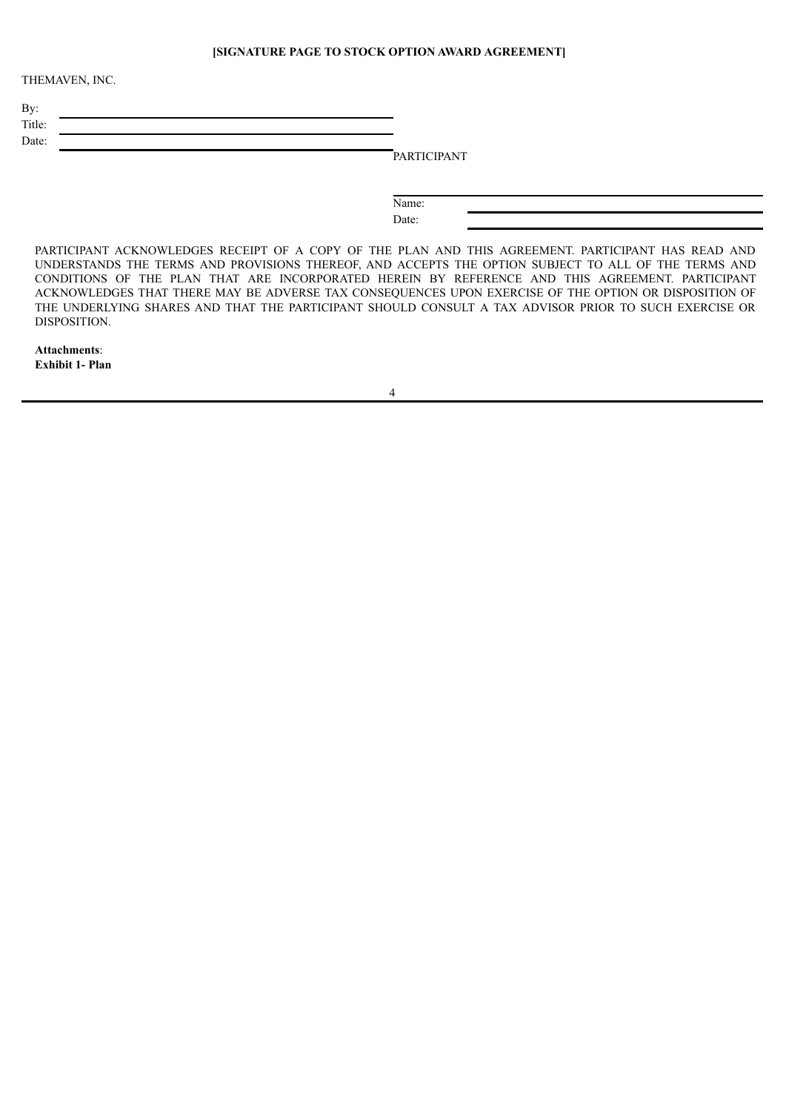# **[SIGNATURE PAGE TO STOCK OPTION AWARD AGREEMENT]**

THEMAVEN, INC.

| By:    |  |
|--------|--|
| Title: |  |
| Date:  |  |

**PARTICIPANT** 

Name: Date:

PARTICIPANT ACKNOWLEDGES RECEIPT OF A COPY OF THE PLAN AND THIS AGREEMENT. PARTICIPANT HAS READ AND UNDERSTANDS THE TERMS AND PROVISIONS THEREOF, AND ACCEPTS THE OPTION SUBJECT TO ALL OF THE TERMS AND CONDITIONS OF THE PLAN THAT ARE INCORPORATED HEREIN BY REFERENCE AND THIS AGREEMENT. PARTICIPANT ACKNOWLEDGES THAT THERE MAY BE ADVERSE TAX CONSEQUENCES UPON EXERCISE OF THE OPTION OR DISPOSITION OF THE UNDERLYING SHARES AND THAT THE PARTICIPANT SHOULD CONSULT A TAX ADVISOR PRIOR TO SUCH EXERCISE OR DISPOSITION.

**Attachments**: **Exhibit 1- Plan**

4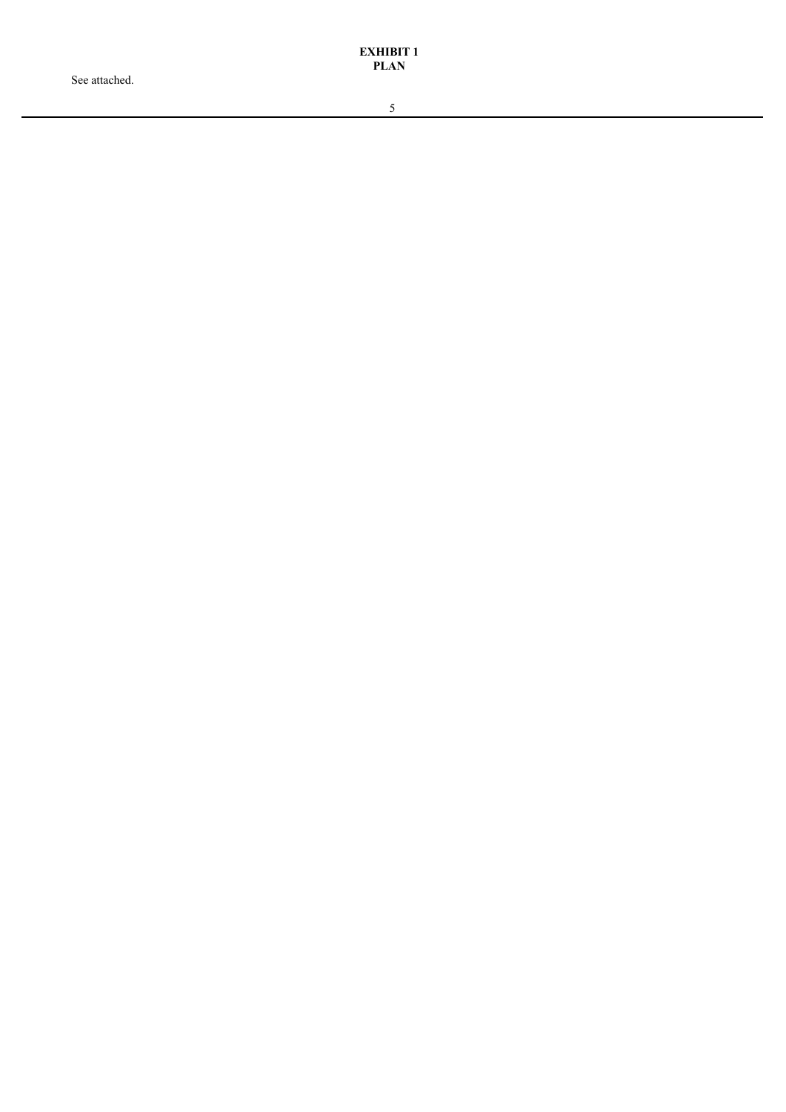See attached.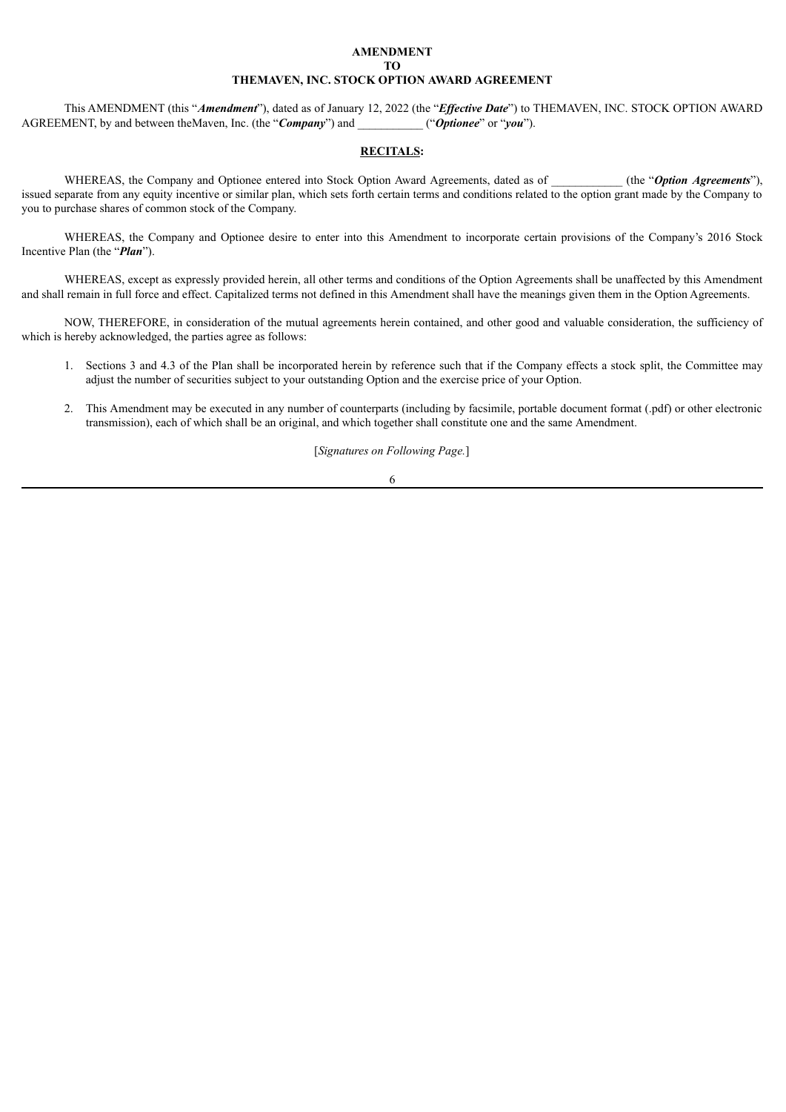## **AMENDMENT TO THEMAVEN, INC. STOCK OPTION AWARD AGREEMENT**

This AMENDMENT (this "*Amendment*"), dated as of January 12, 2022 (the "*Ef ective Date*") to THEMAVEN, INC. STOCK OPTION AWARD AGREEMENT, by and between theMaven, Inc. (the "*Company*") and ("*Optionee*" or "*you*").

#### **RECITALS:**

WHEREAS, the Company and Optionee entered into Stock Option Award Agreements, dated as of \_\_\_\_\_\_\_\_\_ (the "Option Agreements"), issued separate from any equity incentive or similar plan, which sets forth certain terms and conditions related to the option grant made by the Company to you to purchase shares of common stock of the Company.

WHEREAS, the Company and Optionee desire to enter into this Amendment to incorporate certain provisions of the Company's 2016 Stock Incentive Plan (the "*Plan*").

WHEREAS, except as expressly provided herein, all other terms and conditions of the Option Agreements shall be unaffected by this Amendment and shall remain in full force and effect. Capitalized terms not defined in this Amendment shall have the meanings given them in the Option Agreements.

NOW, THEREFORE, in consideration of the mutual agreements herein contained, and other good and valuable consideration, the sufficiency of which is hereby acknowledged, the parties agree as follows:

- 1. Sections 3 and 4.3 of the Plan shall be incorporated herein by reference such that if the Company effects a stock split, the Committee may adjust the number of securities subject to your outstanding Option and the exercise price of your Option.
- 2. This Amendment may be executed in any number of counterparts (including by facsimile, portable document format (.pdf) or other electronic transmission), each of which shall be an original, and which together shall constitute one and the same Amendment.

[*Signatures on Following Page.*]

#### 6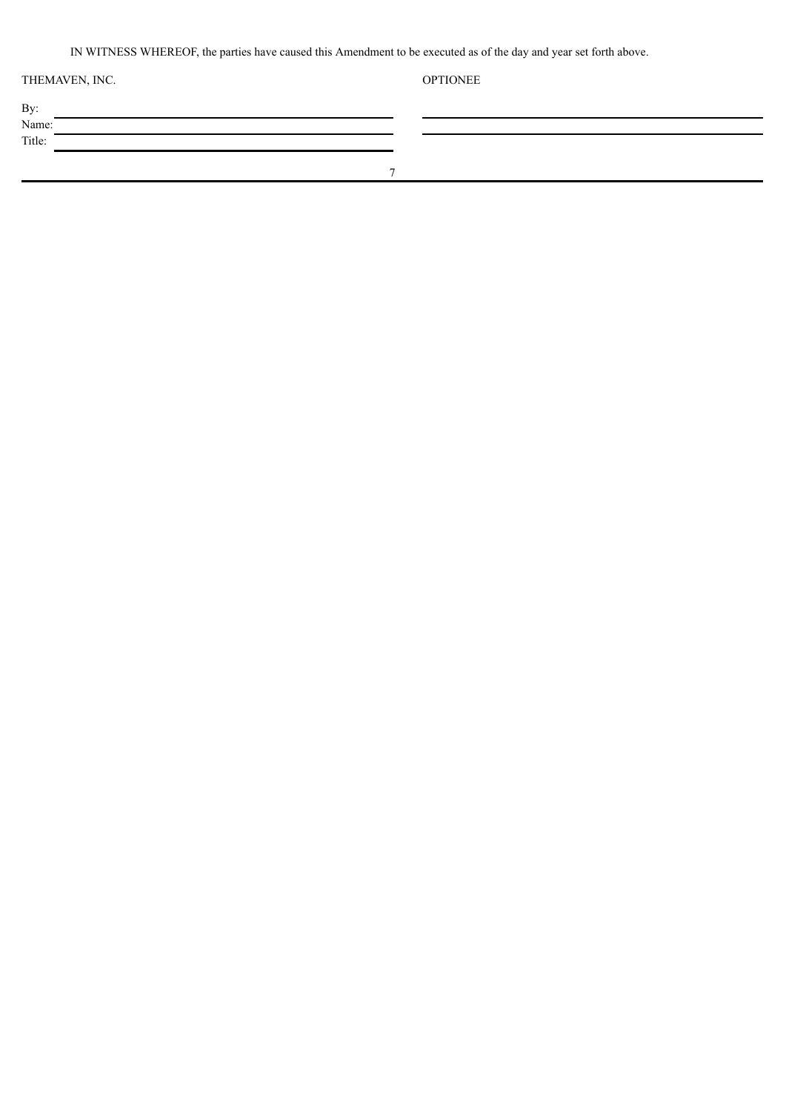IN WITNESS WHEREOF, the parties have caused this Amendment to be executed as of the day and year set forth above.

| THEMAVEN, INC. |   | <b>OPTIONEE</b> |
|----------------|---|-----------------|
| By:            |   |                 |
| Name:          |   |                 |
| Title:         |   |                 |
|                |   |                 |
|                | - |                 |
|                |   |                 |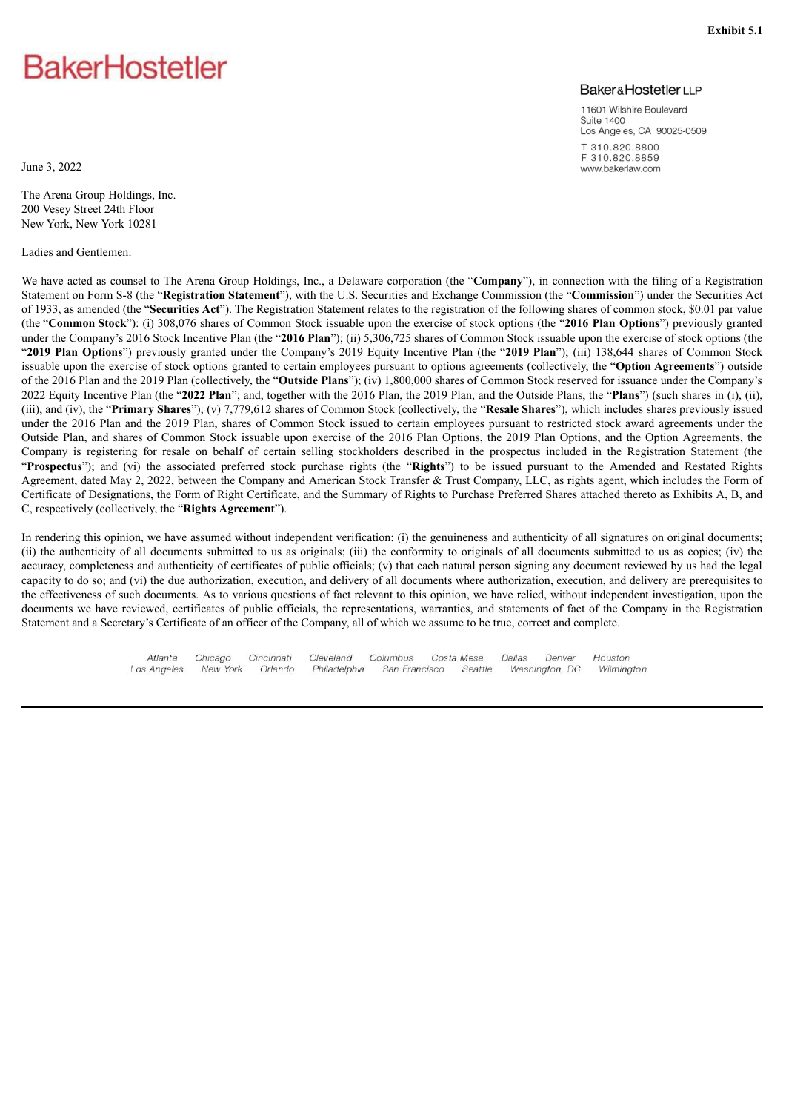# <span id="page-44-0"></span>**BakerHostetler**

# **Baker&HostetlerLLP**

11601 Wilshire Boulevard Suite 1400 Los Angeles, CA 90025-0509 T 310.820.8800 F310.820.8859 www.bakerlaw.com

June 3, 2022

The Arena Group Holdings, Inc. 200 Vesey Street 24th Floor New York, New York 10281

Ladies and Gentlemen:

We have acted as counsel to The Arena Group Holdings, Inc., a Delaware corporation (the "**Company**"), in connection with the filing of a Registration Statement on Form S-8 (the "**Registration Statement**"), with the U.S. Securities and Exchange Commission (the "**Commission**") under the Securities Act of 1933, as amended (the "**Securities Act**"). The Registration Statement relates to the registration of the following shares of common stock, \$0.01 par value (the "**Common Stock**"): (i) 308,076 shares of Common Stock issuable upon the exercise of stock options (the "**2016 Plan Options**") previously granted under the Company's 2016 Stock Incentive Plan (the "**2016 Plan**"); (ii) 5,306,725 shares of Common Stock issuable upon the exercise of stock options (the "**2019 Plan Options**") previously granted under the Company's 2019 Equity Incentive Plan (the "**2019 Plan**"); (iii) 138,644 shares of Common Stock issuable upon the exercise of stock options granted to certain employees pursuant to options agreements (collectively, the "**Option Agreements**") outside of the 2016 Plan and the 2019 Plan (collectively, the "**Outside Plans**"); (iv) 1,800,000 shares of Common Stock reserved for issuance under the Company's 2022 Equity Incentive Plan (the "**2022 Plan**"; and, together with the 2016 Plan, the 2019 Plan, and the Outside Plans, the "**Plans**") (such shares in (i), (ii), (iii), and (iv), the "**Primary Shares**"); (v) 7,779,612 shares of Common Stock (collectively, the "**Resale Shares**"), which includes shares previously issued under the 2016 Plan and the 2019 Plan, shares of Common Stock issued to certain employees pursuant to restricted stock award agreements under the Outside Plan, and shares of Common Stock issuable upon exercise of the 2016 Plan Options, the 2019 Plan Options, and the Option Agreements, the Company is registering for resale on behalf of certain selling stockholders described in the prospectus included in the Registration Statement (the "**Prospectus**"); and (vi) the associated preferred stock purchase rights (the "**Rights**") to be issued pursuant to the Amended and Restated Rights Agreement, dated May 2, 2022, between the Company and American Stock Transfer & Trust Company, LLC, as rights agent, which includes the Form of Certificate of Designations, the Form of Right Certificate, and the Summary of Rights to Purchase Preferred Shares attached thereto as Exhibits A, B, and C, respectively (collectively, the "**Rights Agreement**").

In rendering this opinion, we have assumed without independent verification: (i) the genuineness and authenticity of all signatures on original documents; (ii) the authenticity of all documents submitted to us as originals; (iii) the conformity to originals of all documents submitted to us as copies; (iv) the accuracy, completeness and authenticity of certificates of public officials; (v) that each natural person signing any document reviewed by us had the legal capacity to do so; and (vi) the due authorization, execution, and delivery of all documents where authorization, execution, and delivery are prerequisites to the effectiveness of such documents. As to various questions of fact relevant to this opinion, we have relied, without independent investigation, upon the documents we have reviewed, certificates of public officials, the representations, warranties, and statements of fact of the Company in the Registration Statement and a Secretary's Certificate of an officer of the Company, all of which we assume to be true, correct and complete.

> Atlanta Cincinnati Cleveland Columbus Chicago Costa Mesa Dallas Denver Houston New York Washington, DC Los Angeles Orlando Philadelphia San Francisco Seattle Wilmington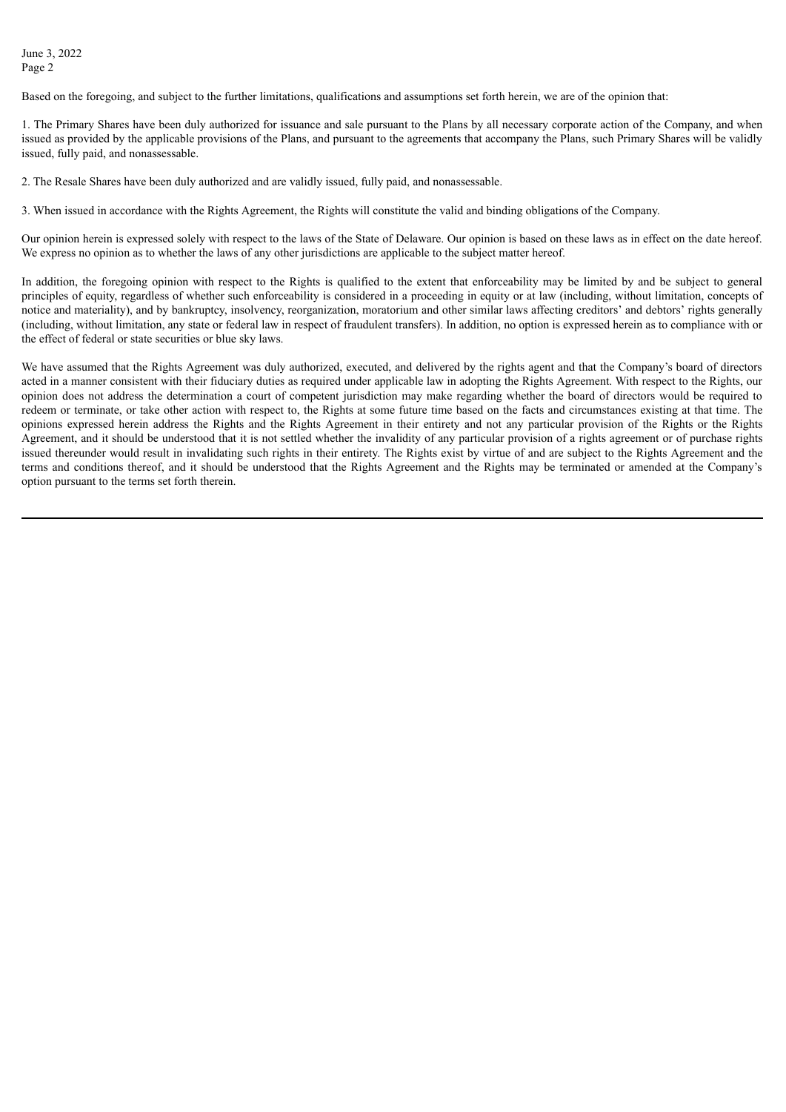June 3, 2022 Page 2

Based on the foregoing, and subject to the further limitations, qualifications and assumptions set forth herein, we are of the opinion that:

1. The Primary Shares have been duly authorized for issuance and sale pursuant to the Plans by all necessary corporate action of the Company, and when issued as provided by the applicable provisions of the Plans, and pursuant to the agreements that accompany the Plans, such Primary Shares will be validly issued, fully paid, and nonassessable.

2. The Resale Shares have been duly authorized and are validly issued, fully paid, and nonassessable.

3. When issued in accordance with the Rights Agreement, the Rights will constitute the valid and binding obligations of the Company.

Our opinion herein is expressed solely with respect to the laws of the State of Delaware. Our opinion is based on these laws as in effect on the date hereof. We express no opinion as to whether the laws of any other jurisdictions are applicable to the subject matter hereof.

In addition, the foregoing opinion with respect to the Rights is qualified to the extent that enforceability may be limited by and be subject to general principles of equity, regardless of whether such enforceability is considered in a proceeding in equity or at law (including, without limitation, concepts of notice and materiality), and by bankruptcy, insolvency, reorganization, moratorium and other similar laws affecting creditors' and debtors' rights generally (including, without limitation, any state or federal law in respect of fraudulent transfers). In addition, no option is expressed herein as to compliance with or the effect of federal or state securities or blue sky laws.

We have assumed that the Rights Agreement was duly authorized, executed, and delivered by the rights agent and that the Company's board of directors acted in a manner consistent with their fiduciary duties as required under applicable law in adopting the Rights Agreement. With respect to the Rights, our opinion does not address the determination a court of competent jurisdiction may make regarding whether the board of directors would be required to redeem or terminate, or take other action with respect to, the Rights at some future time based on the facts and circumstances existing at that time. The opinions expressed herein address the Rights and the Rights Agreement in their entirety and not any particular provision of the Rights or the Rights Agreement, and it should be understood that it is not settled whether the invalidity of any particular provision of a rights agreement or of purchase rights issued thereunder would result in invalidating such rights in their entirety. The Rights exist by virtue of and are subject to the Rights Agreement and the terms and conditions thereof, and it should be understood that the Rights Agreement and the Rights may be terminated or amended at the Company's option pursuant to the terms set forth therein.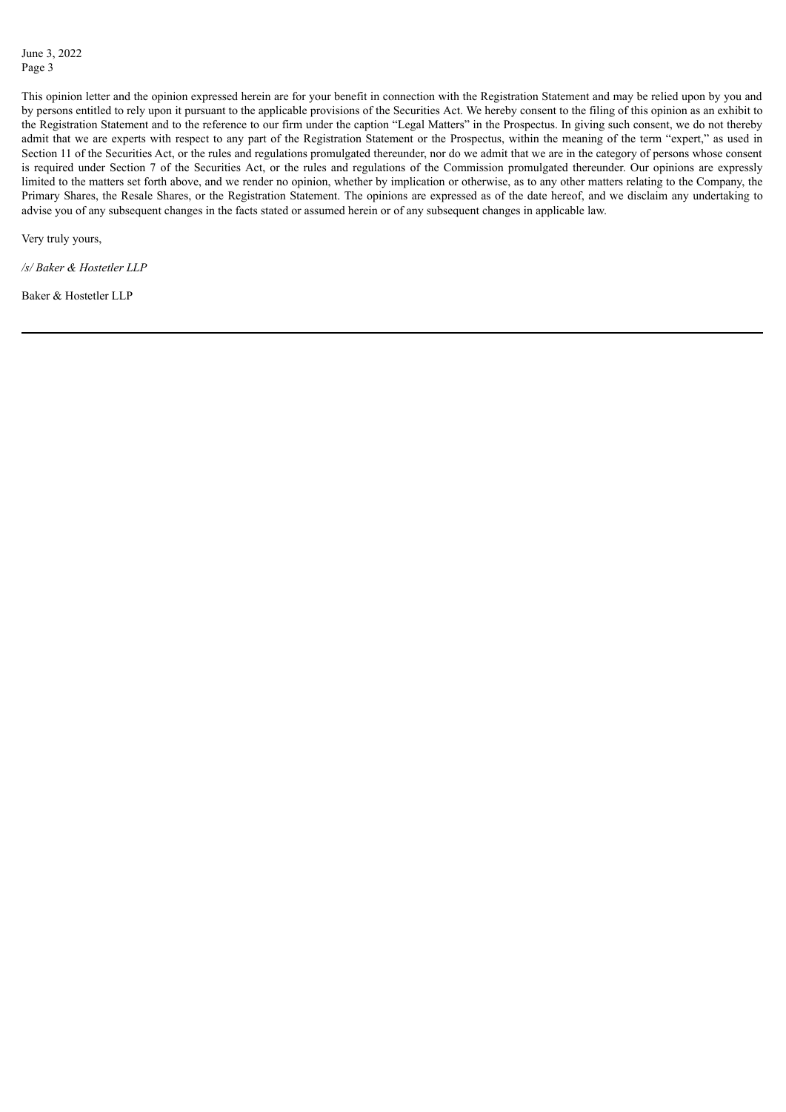This opinion letter and the opinion expressed herein are for your benefit in connection with the Registration Statement and may be relied upon by you and by persons entitled to rely upon it pursuant to the applicable provisions of the Securities Act. We hereby consent to the filing of this opinion as an exhibit to the Registration Statement and to the reference to our firm under the caption "Legal Matters" in the Prospectus. In giving such consent, we do not thereby admit that we are experts with respect to any part of the Registration Statement or the Prospectus, within the meaning of the term "expert," as used in Section 11 of the Securities Act, or the rules and regulations promulgated thereunder, nor do we admit that we are in the category of persons whose consent is required under Section 7 of the Securities Act, or the rules and regulations of the Commission promulgated thereunder. Our opinions are expressly limited to the matters set forth above, and we render no opinion, whether by implication or otherwise, as to any other matters relating to the Company, the Primary Shares, the Resale Shares, or the Registration Statement. The opinions are expressed as of the date hereof, and we disclaim any undertaking to advise you of any subsequent changes in the facts stated or assumed herein or of any subsequent changes in applicable law.

Very truly yours,

*/s/ Baker & Hostetler LLP*

Baker & Hostetler LLP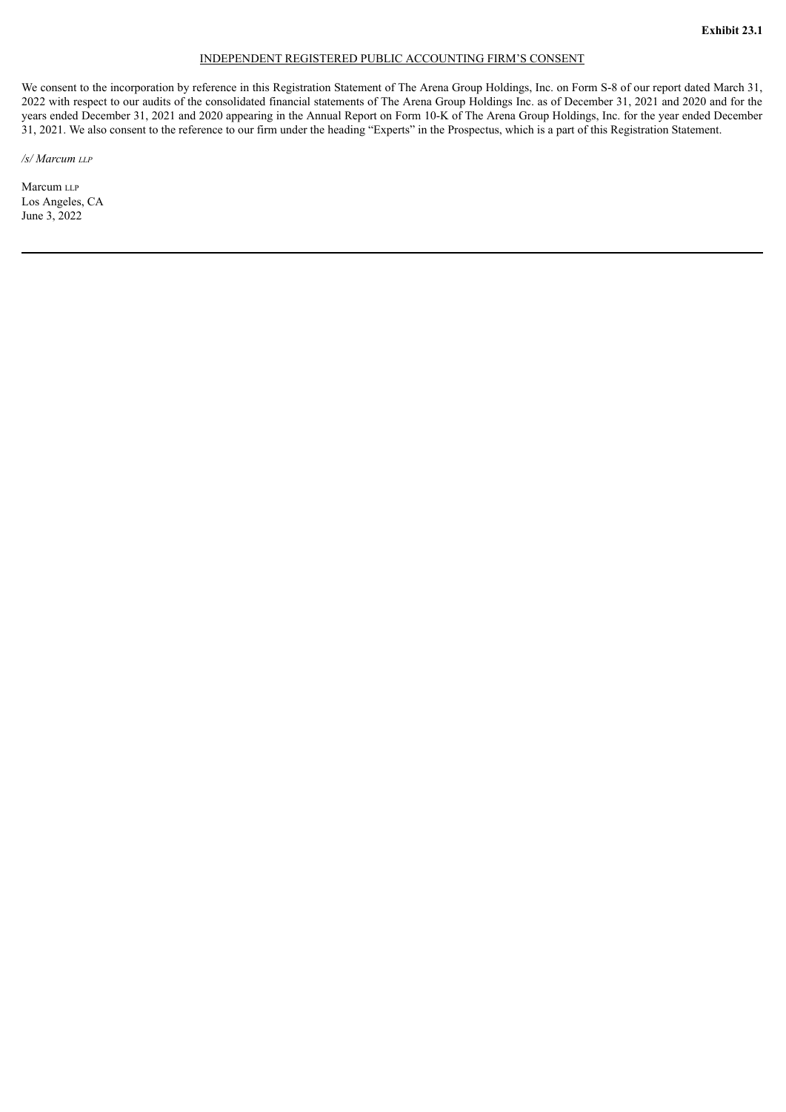# INDEPENDENT REGISTERED PUBLIC ACCOUNTING FIRM'S CONSENT

<span id="page-47-0"></span>We consent to the incorporation by reference in this Registration Statement of The Arena Group Holdings, Inc. on Form S-8 of our report dated March 31, 2022 with respect to our audits of the consolidated financial statements of The Arena Group Holdings Inc. as of December 31, 2021 and 2020 and for the years ended December 31, 2021 and 2020 appearing in the Annual Report on Form 10-K of The Arena Group Holdings, Inc. for the year ended December 31, 2021. We also consent to the reference to our firm under the heading "Experts" in the Prospectus, which is a part of this Registration Statement.

*/s/ Marcum llp*

Marcum LLP Los Angeles, CA June 3, 2022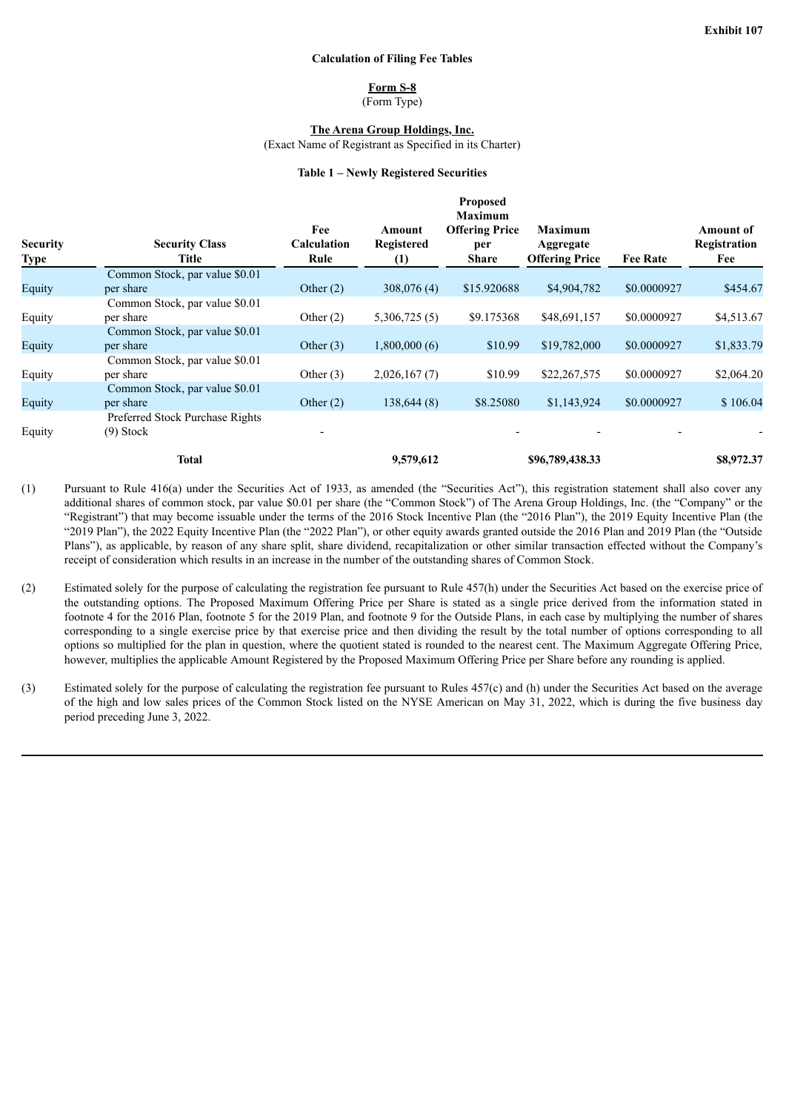#### **Calculation of Filing Fee Tables**

## **Form S-8**

(Form Type)

**The Arena Group Holdings, Inc.**

(Exact Name of Registrant as Specified in its Charter)

#### **Table 1 – Newly Registered Securities**

<span id="page-48-0"></span>

| <b>Security</b><br><b>Type</b> | <b>Security Class</b><br>Title  | Fee<br><b>Calculation</b><br>Rule | Amount<br><b>Registered</b><br>$\left(1\right)$ | <b>Proposed</b><br><b>Maximum</b><br><b>Offering Price</b><br>per<br><b>Share</b> | <b>Maximum</b><br>Aggregate<br><b>Offering Price</b> | <b>Fee Rate</b> | <b>Amount of</b><br>Registration<br>Fee |
|--------------------------------|---------------------------------|-----------------------------------|-------------------------------------------------|-----------------------------------------------------------------------------------|------------------------------------------------------|-----------------|-----------------------------------------|
|                                | Common Stock, par value \$0.01  |                                   |                                                 |                                                                                   |                                                      |                 |                                         |
| Equity                         | per share                       | Other $(2)$                       | 308,076(4)                                      | \$15.920688                                                                       | \$4,904,782                                          | \$0.0000927     | \$454.67                                |
|                                | Common Stock, par value \$0.01  |                                   |                                                 |                                                                                   |                                                      |                 |                                         |
| Equity                         | per share                       | Other $(2)$                       | 5,306,725(5)                                    | \$9.175368                                                                        | \$48,691,157                                         | \$0.0000927     | \$4,513.67                              |
|                                | Common Stock, par value \$0.01  |                                   |                                                 |                                                                                   |                                                      |                 |                                         |
| Equity                         | per share                       | Other $(3)$                       | 1,800,000(6)                                    | \$10.99                                                                           | \$19,782,000                                         | \$0.0000927     | \$1,833.79                              |
|                                | Common Stock, par value \$0.01  |                                   |                                                 |                                                                                   |                                                      |                 |                                         |
| Equity                         | per share                       | Other $(3)$                       | 2,026,167(7)                                    | \$10.99                                                                           | \$22,267,575                                         | \$0.0000927     | \$2,064.20                              |
|                                | Common Stock, par value \$0.01  |                                   |                                                 |                                                                                   |                                                      |                 |                                         |
| Equity                         | per share                       | Other $(2)$                       | 138,644(8)                                      | \$8.25080                                                                         | \$1,143,924                                          | \$0.0000927     | \$106.04                                |
|                                | Preferred Stock Purchase Rights |                                   |                                                 |                                                                                   |                                                      |                 |                                         |
| Equity                         | $(9)$ Stock                     |                                   |                                                 |                                                                                   |                                                      |                 |                                         |
|                                | <b>Total</b>                    |                                   | 9,579,612                                       |                                                                                   | \$96,789,438.33                                      |                 | \$8,972.37                              |

- (1) Pursuant to Rule 416(a) under the Securities Act of 1933, as amended (the "Securities Act"), this registration statement shall also cover any additional shares of common stock, par value \$0.01 per share (the "Common Stock") of The Arena Group Holdings, Inc. (the "Company" or the "Registrant") that may become issuable under the terms of the 2016 Stock Incentive Plan (the "2016 Plan"), the 2019 Equity Incentive Plan (the "2019 Plan"), the 2022 Equity Incentive Plan (the "2022 Plan"), or other equity awards granted outside the 2016 Plan and 2019 Plan (the "Outside Plans"), as applicable, by reason of any share split, share dividend, recapitalization or other similar transaction effected without the Company's receipt of consideration which results in an increase in the number of the outstanding shares of Common Stock.
- (2) Estimated solely for the purpose of calculating the registration fee pursuant to Rule 457(h) under the Securities Act based on the exercise price of the outstanding options. The Proposed Maximum Offering Price per Share is stated as a single price derived from the information stated in footnote 4 for the 2016 Plan, footnote 5 for the 2019 Plan, and footnote 9 for the Outside Plans, in each case by multiplying the number of shares corresponding to a single exercise price by that exercise price and then dividing the result by the total number of options corresponding to all options so multiplied for the plan in question, where the quotient stated is rounded to the nearest cent. The Maximum Aggregate Offering Price, however, multiplies the applicable Amount Registered by the Proposed Maximum Offering Price per Share before any rounding is applied.
- (3) Estimated solely for the purpose of calculating the registration fee pursuant to Rules 457(c) and (h) under the Securities Act based on the average of the high and low sales prices of the Common Stock listed on the NYSE American on May 31, 2022, which is during the five business day period preceding June 3, 2022.